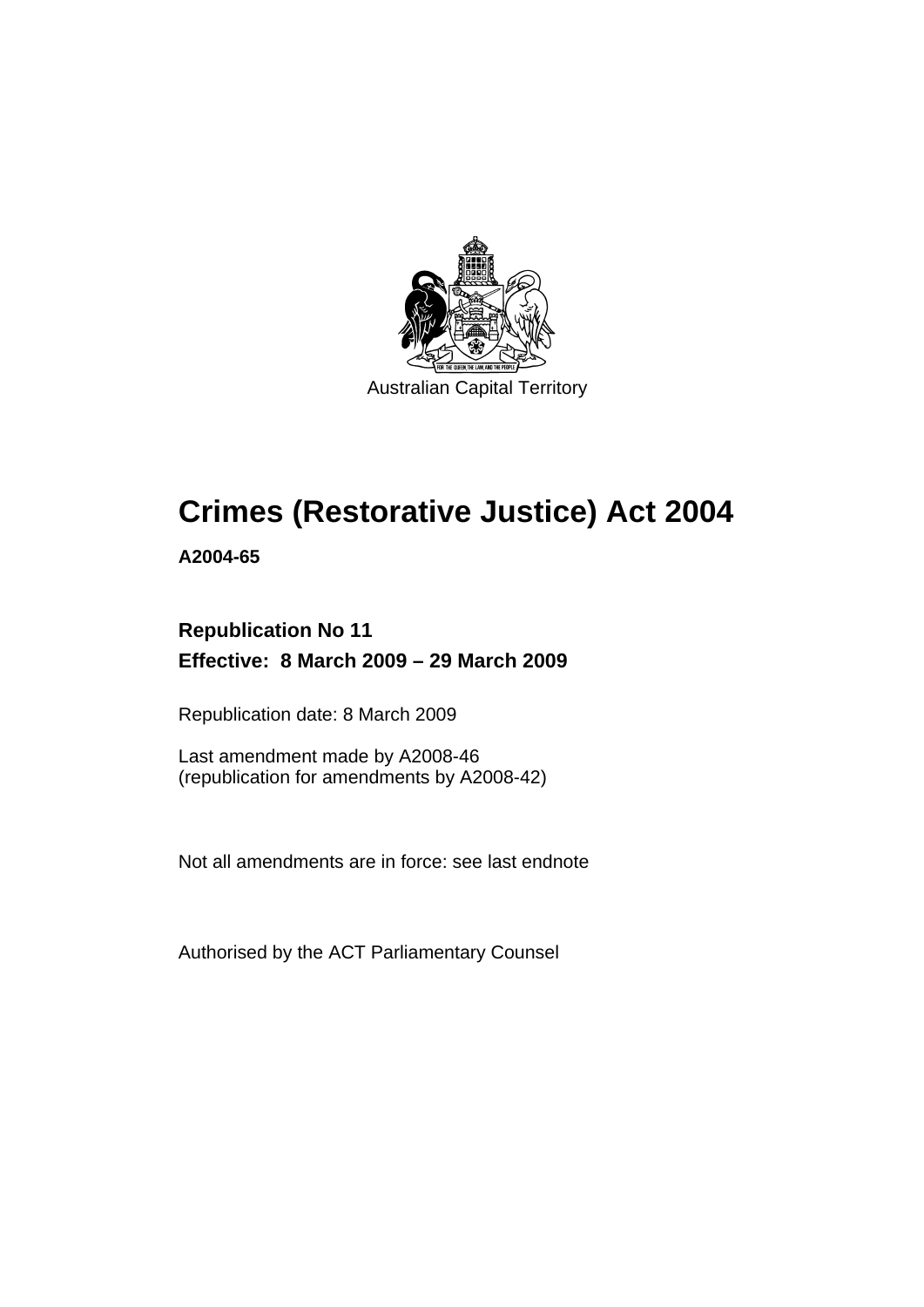

Australian Capital Territory

## **[Crimes \(Restorative Justice\) Act 2004](#page-8-0)**

**A2004-65** 

## **Republication No 11 Effective: 8 March 2009 – 29 March 2009**

Republication date: 8 March 2009

Last amendment made by A2008-46 (republication for amendments by A2008-42)

Not all amendments are in force: see last endnote

Authorised by the ACT Parliamentary Counsel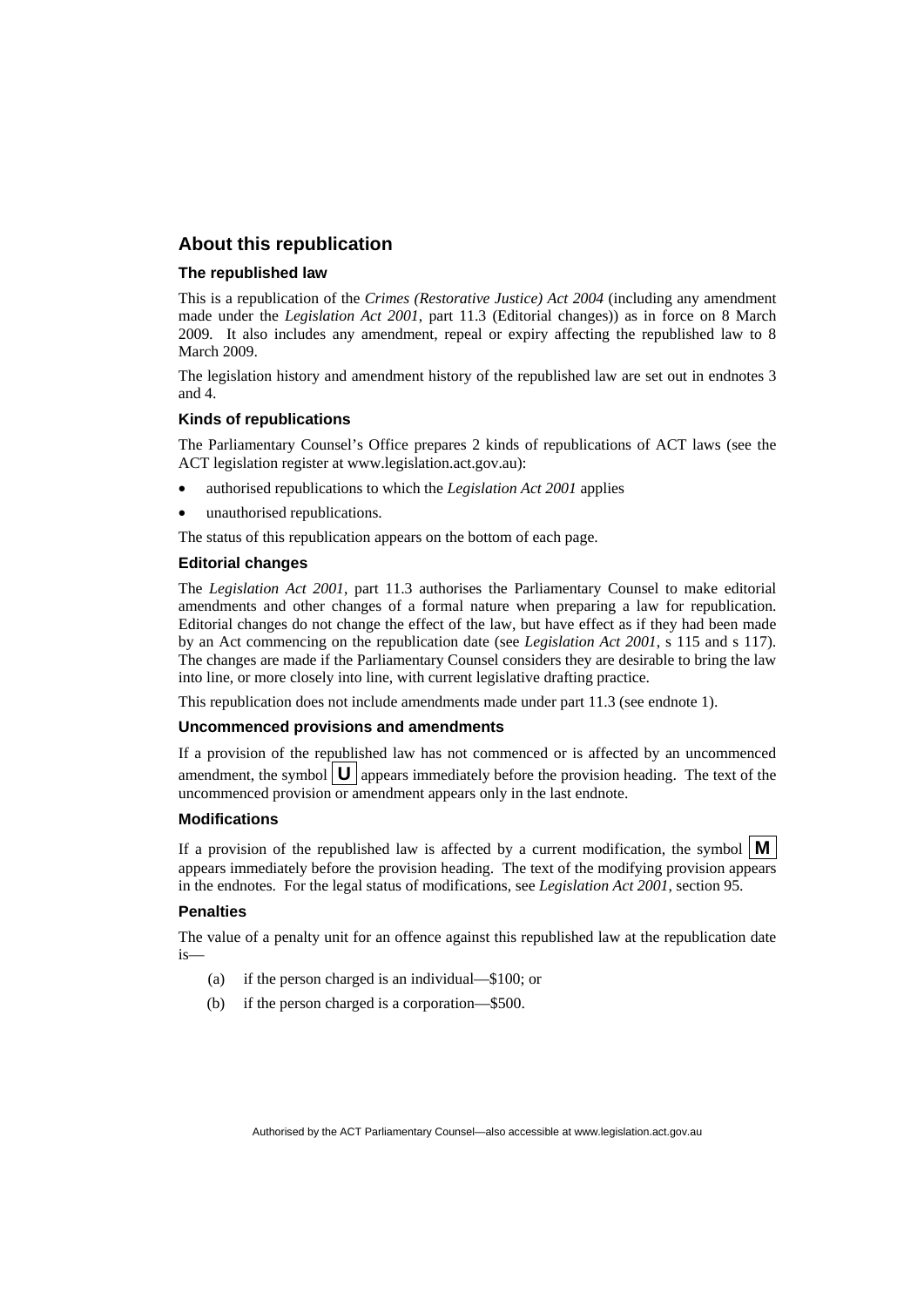#### **About this republication**

#### **The republished law**

This is a republication of the *Crimes (Restorative Justice) Act 2004* (including any amendment made under the *Legislation Act 2001*, part 11.3 (Editorial changes)) as in force on 8 March 2009*.* It also includes any amendment, repeal or expiry affecting the republished law to 8 March 2009.

The legislation history and amendment history of the republished law are set out in endnotes 3 and 4.

#### **Kinds of republications**

The Parliamentary Counsel's Office prepares 2 kinds of republications of ACT laws (see the ACT legislation register at www.legislation.act.gov.au):

- authorised republications to which the *Legislation Act 2001* applies
- unauthorised republications.

The status of this republication appears on the bottom of each page.

#### **Editorial changes**

The *Legislation Act 2001*, part 11.3 authorises the Parliamentary Counsel to make editorial amendments and other changes of a formal nature when preparing a law for republication. Editorial changes do not change the effect of the law, but have effect as if they had been made by an Act commencing on the republication date (see *Legislation Act 2001*, s 115 and s 117). The changes are made if the Parliamentary Counsel considers they are desirable to bring the law into line, or more closely into line, with current legislative drafting practice.

This republication does not include amendments made under part 11.3 (see endnote 1).

#### **Uncommenced provisions and amendments**

If a provision of the republished law has not commenced or is affected by an uncommenced amendment, the symbol  $\mathbf{U}$  appears immediately before the provision heading. The text of the uncommenced provision  $\overline{or}$  amendment appears only in the last endnote.

#### **Modifications**

If a provision of the republished law is affected by a current modification, the symbol  $\mathbf{M}$ appears immediately before the provision heading. The text of the modifying provision appears in the endnotes. For the legal status of modifications, see *Legislation Act 2001*, section 95.

#### **Penalties**

The value of a penalty unit for an offence against this republished law at the republication date is—

- (a) if the person charged is an individual—\$100; or
- (b) if the person charged is a corporation—\$500.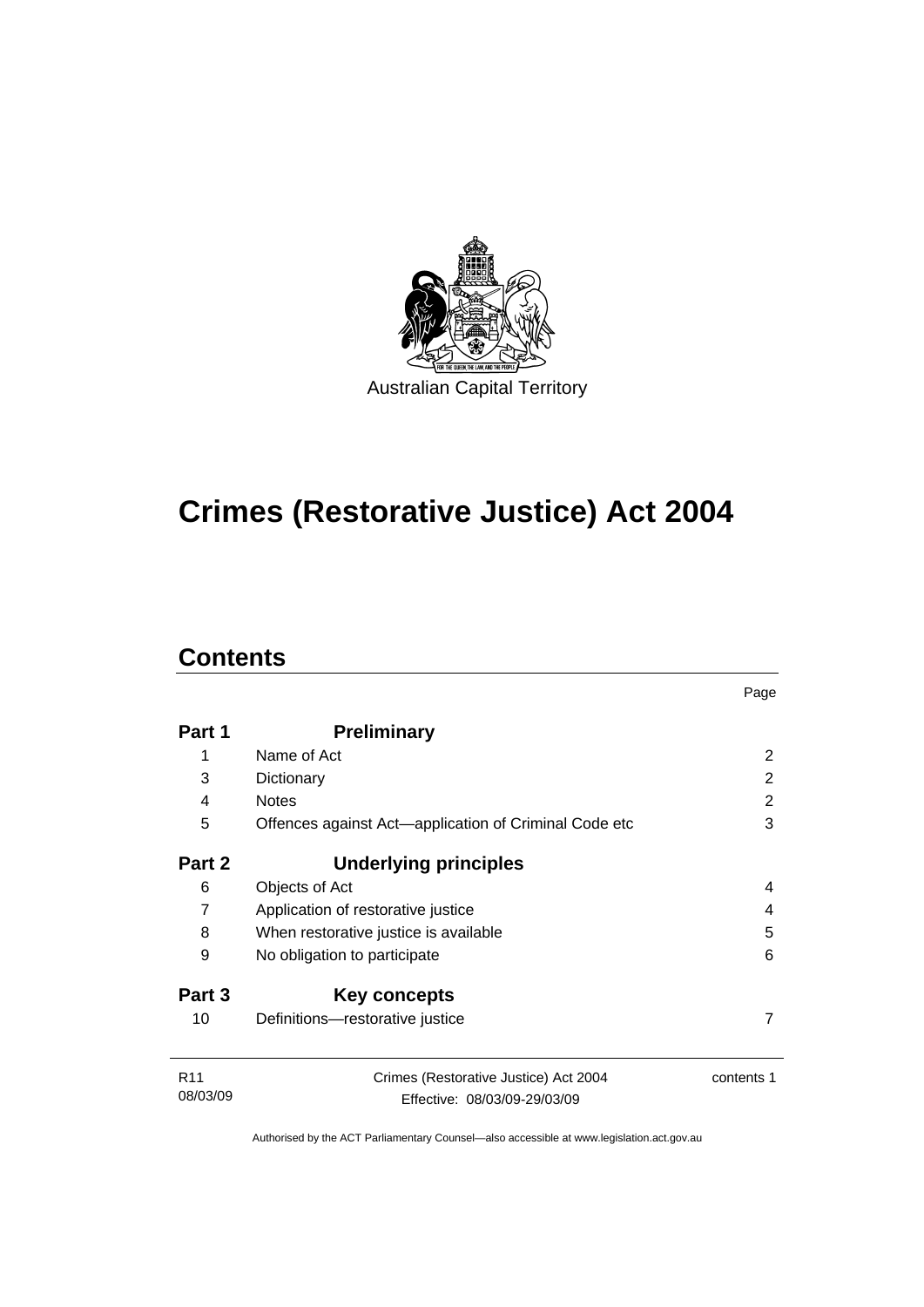

## **[Crimes \(Restorative Justice\) Act 2004](#page-8-0)**

## **Contents**

|                             |                                                                       | Page          |
|-----------------------------|-----------------------------------------------------------------------|---------------|
| Part 1                      | <b>Preliminary</b>                                                    |               |
| 1                           | Name of Act                                                           | 2             |
| 3                           | Dictionary                                                            | $\mathcal{P}$ |
| 4                           | <b>Notes</b>                                                          | 2             |
| 5                           | Offences against Act-application of Criminal Code etc                 | 3             |
| Part 2                      | Underlying principles                                                 |               |
| 6                           | Objects of Act                                                        | 4             |
| 7                           | Application of restorative justice                                    | 4             |
| 8                           | When restorative justice is available                                 | 5             |
| 9                           | No obligation to participate                                          | 6             |
| Part 3                      | Key concepts                                                          |               |
| 10                          | Definitions-restorative justice                                       | 7             |
| R <sub>11</sub><br>08/03/09 | Crimes (Restorative Justice) Act 2004<br>Effective: 08/03/09-29/03/09 | contents 1    |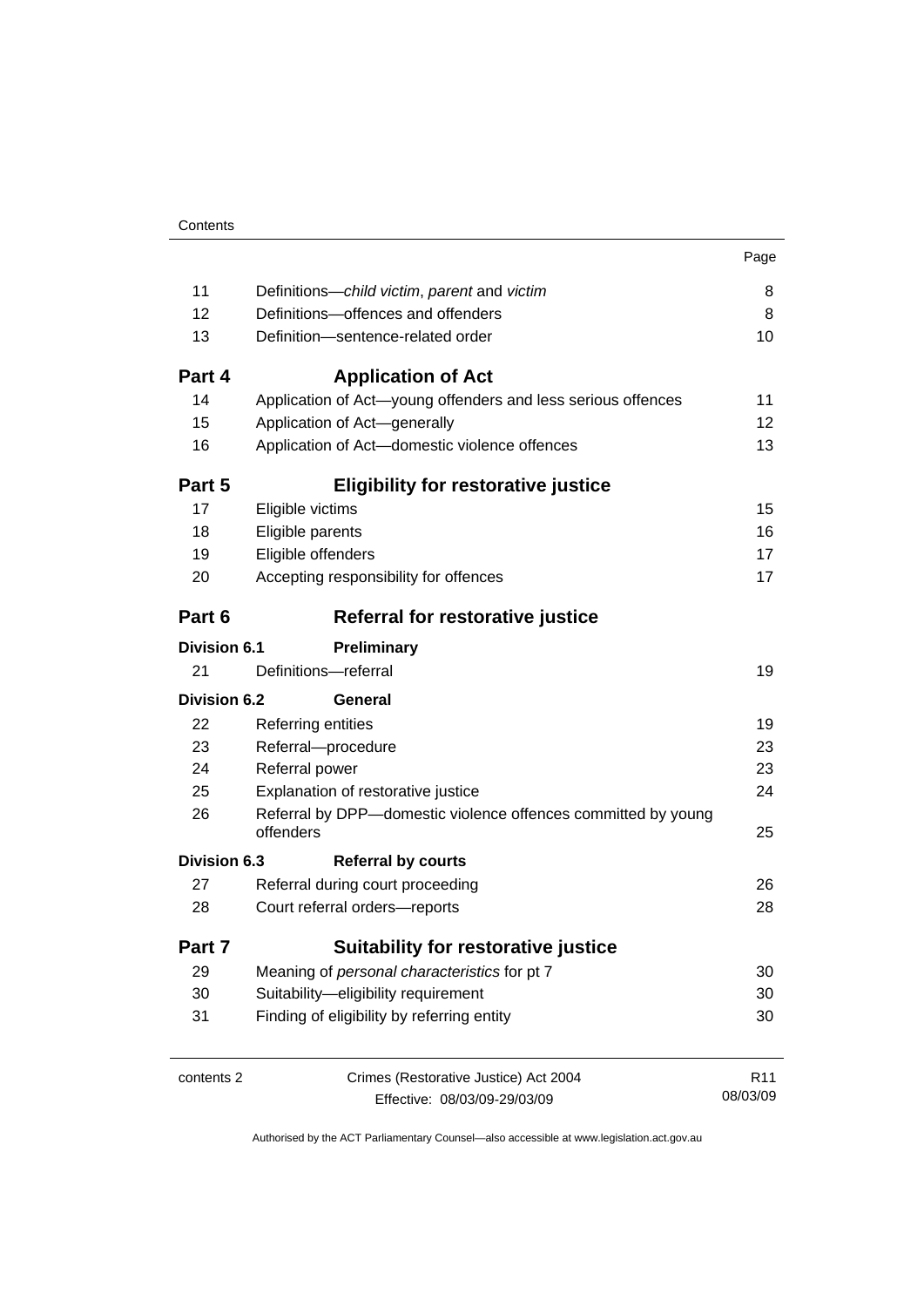|                     |                                                                            | Page            |  |
|---------------------|----------------------------------------------------------------------------|-----------------|--|
| 11                  | Definitions-child victim, parent and victim                                | 8               |  |
| 12                  | Definitions-offences and offenders                                         |                 |  |
| 13                  | Definition-sentence-related order                                          | 10              |  |
| Part 4              | <b>Application of Act</b>                                                  |                 |  |
| 14                  | Application of Act-young offenders and less serious offences               | 11              |  |
| 15                  | Application of Act-generally                                               | 12              |  |
| 16                  | Application of Act-domestic violence offences                              | 13              |  |
| Part 5              | <b>Eligibility for restorative justice</b>                                 |                 |  |
| 17                  | Eligible victims                                                           | 15              |  |
| 18                  | Eligible parents                                                           | 16              |  |
| 19                  | Eligible offenders                                                         | 17              |  |
| 20                  | Accepting responsibility for offences                                      | 17              |  |
| Part 6              | Referral for restorative justice                                           |                 |  |
| <b>Division 6.1</b> | Preliminary                                                                |                 |  |
| 21                  | Definitions-referral                                                       | 19              |  |
| <b>Division 6.2</b> | General                                                                    |                 |  |
| 22                  | Referring entities                                                         | 19              |  |
| 23                  | Referral-procedure                                                         | 23              |  |
| 24                  | Referral power                                                             | 23              |  |
| 25                  | Explanation of restorative justice                                         | 24              |  |
| 26                  | Referral by DPP-domestic violence offences committed by young<br>offenders | 25              |  |
| Division 6.3        | <b>Referral by courts</b>                                                  |                 |  |
| 27                  | Referral during court proceeding                                           | 26              |  |
| 28                  | Court referral orders-reports                                              | 28              |  |
| Part 7              | <b>Suitability for restorative justice</b>                                 |                 |  |
| 29                  | Meaning of personal characteristics for pt 7                               | 30              |  |
| 30                  | Suitability-eligibility requirement                                        |                 |  |
| 31                  | Finding of eligibility by referring entity                                 | 30              |  |
| contents 2          | Crimes (Restorative Justice) Act 2004                                      | R <sub>11</sub> |  |
|                     | Effective: 08/03/09-29/03/09                                               | 08/03/09        |  |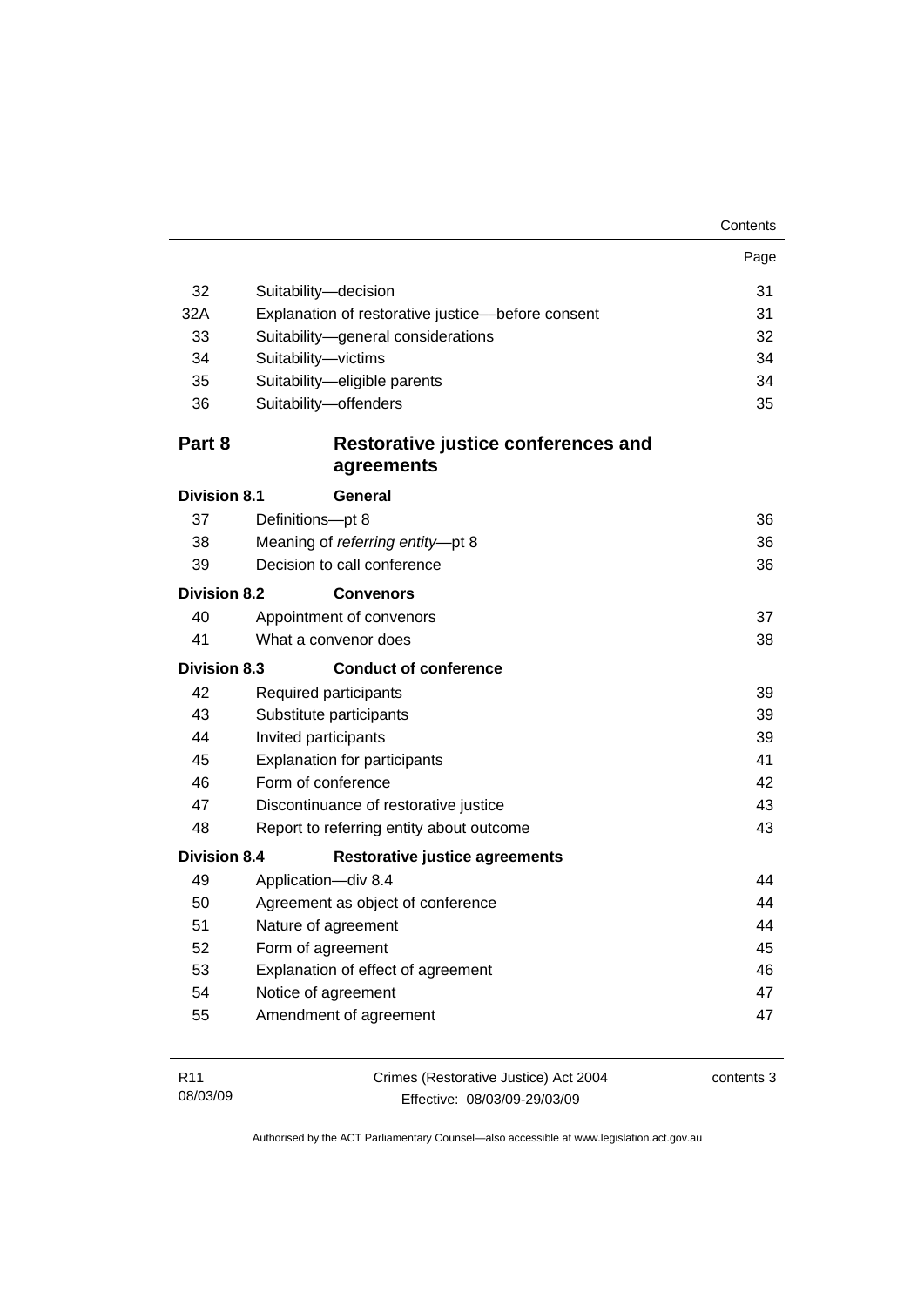| Contents |
|----------|
|----------|

|                     |                                                   | Page |  |  |
|---------------------|---------------------------------------------------|------|--|--|
| 32                  | Suitability-decision                              | 31   |  |  |
| 32A                 | Explanation of restorative justice-before consent |      |  |  |
| 33                  | Suitability-general considerations                | 32   |  |  |
| 34                  | Suitability-victims                               | 34   |  |  |
| 35                  | Suitability-eligible parents                      | 34   |  |  |
| 36                  | Suitability-offenders                             | 35   |  |  |
| Part 8              | Restorative justice conferences and<br>agreements |      |  |  |
| <b>Division 8.1</b> | General                                           |      |  |  |
| 37                  | Definitions-pt 8                                  | 36   |  |  |
| 38                  | Meaning of referring entity-pt 8                  | 36   |  |  |
| 39                  | Decision to call conference                       | 36   |  |  |
| <b>Division 8.2</b> | <b>Convenors</b>                                  |      |  |  |
| 40                  | Appointment of convenors                          | 37   |  |  |
| 41                  | What a convenor does                              | 38   |  |  |
| <b>Division 8.3</b> | <b>Conduct of conference</b>                      |      |  |  |
| 42                  | Required participants                             | 39   |  |  |
| 43                  | Substitute participants                           | 39   |  |  |
| 44                  | Invited participants                              |      |  |  |
| 45                  | <b>Explanation for participants</b>               | 41   |  |  |
| 46                  | Form of conference                                | 42   |  |  |
| 47                  | Discontinuance of restorative justice             | 43   |  |  |
| 48                  | Report to referring entity about outcome          | 43   |  |  |
| <b>Division 8.4</b> | <b>Restorative justice agreements</b>             |      |  |  |
| 49                  | Application-div 8.4                               | 44   |  |  |
| 50                  | Agreement as object of conference                 |      |  |  |
| 51                  | Nature of agreement                               |      |  |  |
| 52                  | Form of agreement                                 |      |  |  |
| 53                  | Explanation of effect of agreement                |      |  |  |
| 54                  | Notice of agreement                               | 47   |  |  |
| 55                  | Amendment of agreement                            | 47   |  |  |
|                     |                                                   |      |  |  |

| R11      | Crimes (Restorative Justice) Act 2004 | contents 3 |
|----------|---------------------------------------|------------|
| 08/03/09 | Effective: 08/03/09-29/03/09          |            |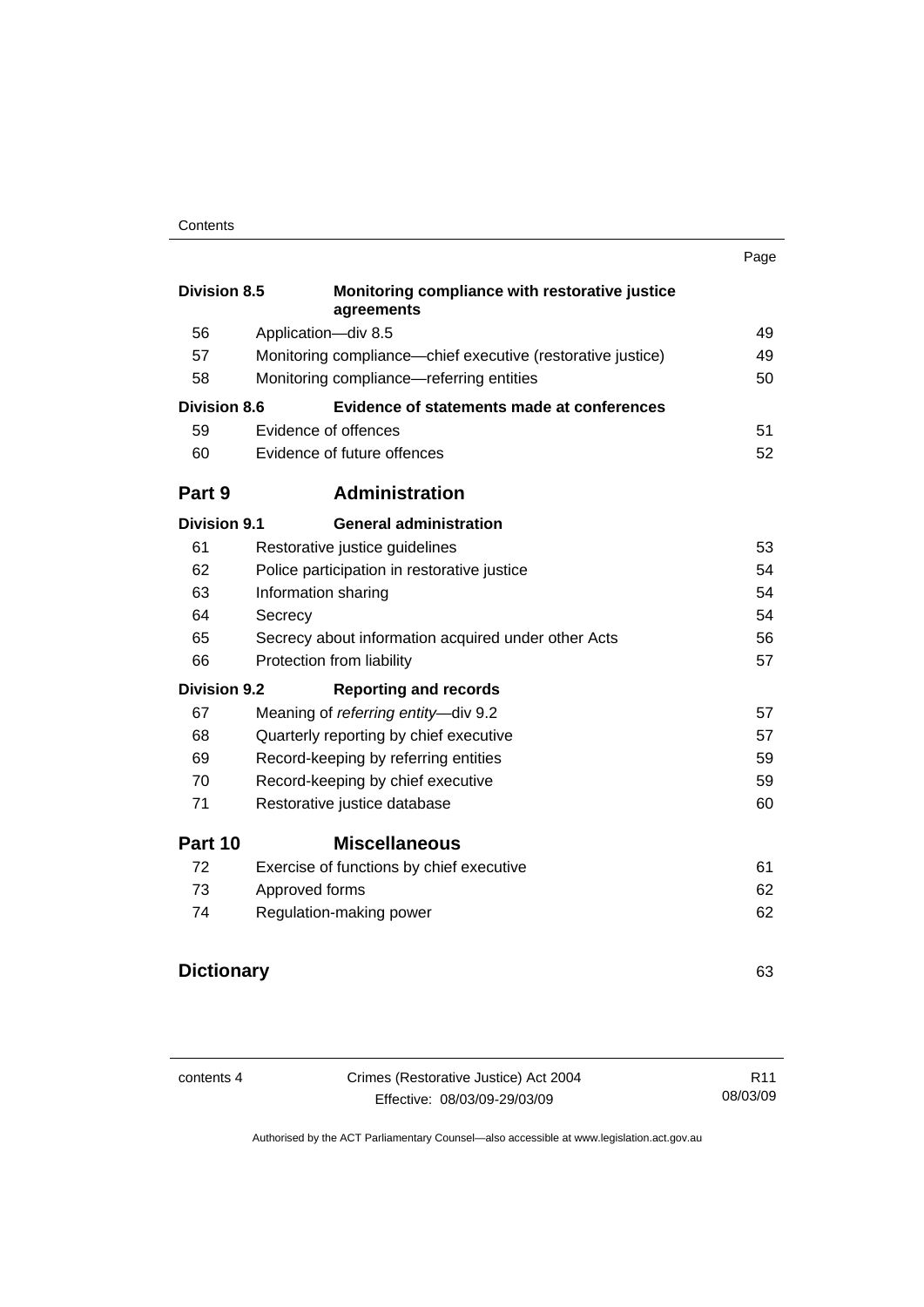|                     |                                                              | Page |
|---------------------|--------------------------------------------------------------|------|
| <b>Division 8.5</b> | Monitoring compliance with restorative justice<br>agreements |      |
| 56                  | Application-div 8.5                                          | 49   |
| 57                  | Monitoring compliance-chief executive (restorative justice)  | 49   |
| 58                  | Monitoring compliance-referring entities                     | 50   |
| <b>Division 8.6</b> | Evidence of statements made at conferences                   |      |
| 59                  | Evidence of offences                                         | 51   |
| 60                  | Evidence of future offences                                  | 52   |
| Part 9              | <b>Administration</b>                                        |      |
| <b>Division 9.1</b> | <b>General administration</b>                                |      |
| 61                  | Restorative justice guidelines                               | 53   |
| 62                  | Police participation in restorative justice                  | 54   |
| 63                  | Information sharing                                          | 54   |
| 64                  | Secrecy                                                      | 54   |
| 65                  | Secrecy about information acquired under other Acts          | 56   |
| 66                  | Protection from liability                                    | 57   |
| <b>Division 9.2</b> | <b>Reporting and records</b>                                 |      |
| 67                  | Meaning of referring entity-div 9.2                          | 57   |
| 68                  | Quarterly reporting by chief executive                       | 57   |
| 69                  | Record-keeping by referring entities                         | 59   |
| 70                  | Record-keeping by chief executive                            | 59   |
| 71                  | Restorative justice database                                 | 60   |
| Part 10             | <b>Miscellaneous</b>                                         |      |
| 72                  | Exercise of functions by chief executive                     | 61   |
| 73                  | Approved forms                                               | 62   |
| 74                  | Regulation-making power                                      | 62   |
| <b>Dictionary</b>   |                                                              | 63   |
|                     |                                                              |      |

| contents 4 | Crimes (Restorative Justice) Act 2004 | R <sub>11</sub> |
|------------|---------------------------------------|-----------------|
|            | Effective: 08/03/09-29/03/09          | 08/03/09        |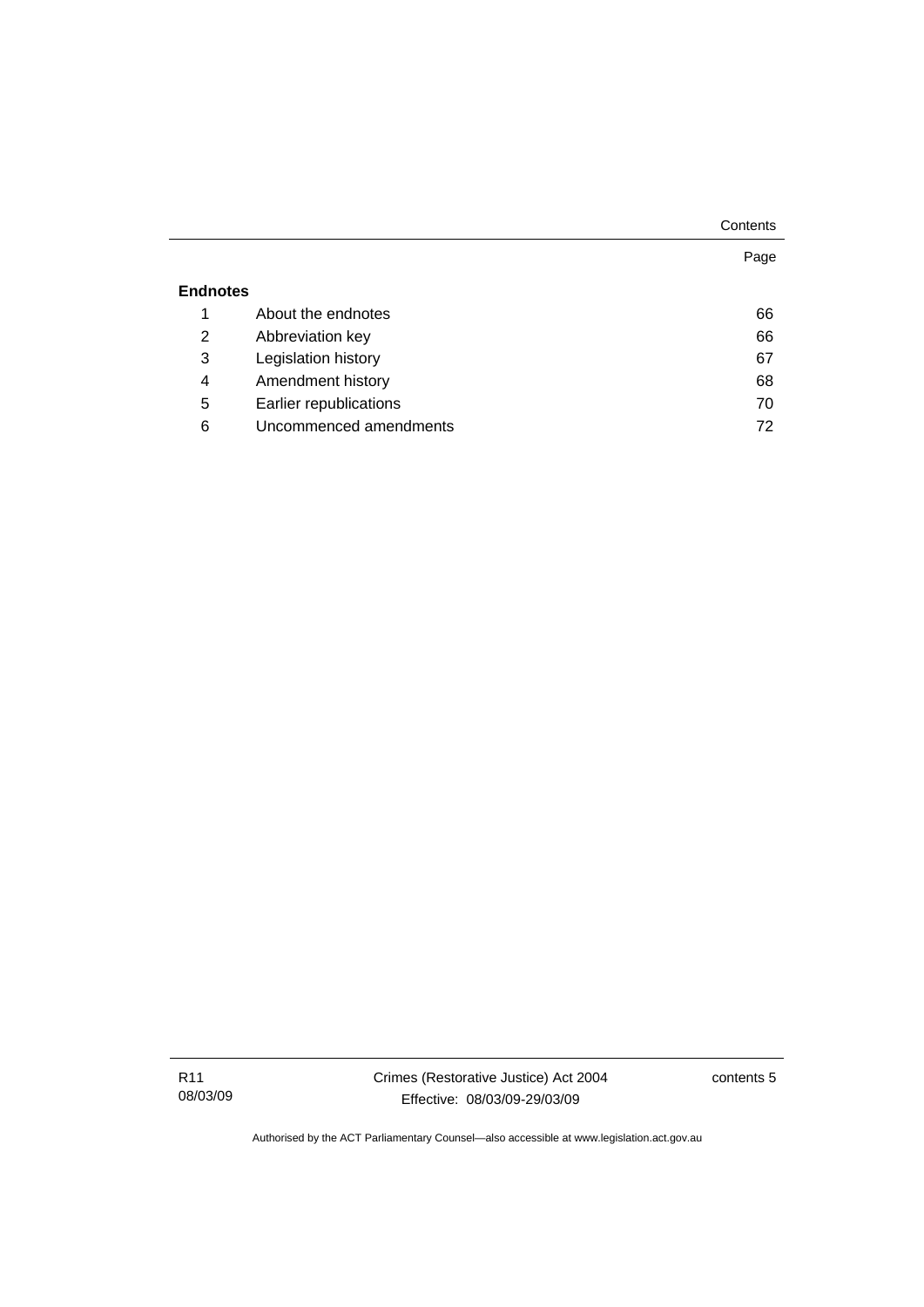|                 |                        | Page |
|-----------------|------------------------|------|
| <b>Endnotes</b> |                        |      |
| 1               | About the endnotes     | 66   |
| 2               | Abbreviation key       | 66   |
| 3               | Legislation history    | 67   |
| 4               | Amendment history      | 68   |
| 5               | Earlier republications | 70   |
| 6               | Uncommenced amendments | 72   |
|                 |                        |      |

contents 5

**Contents**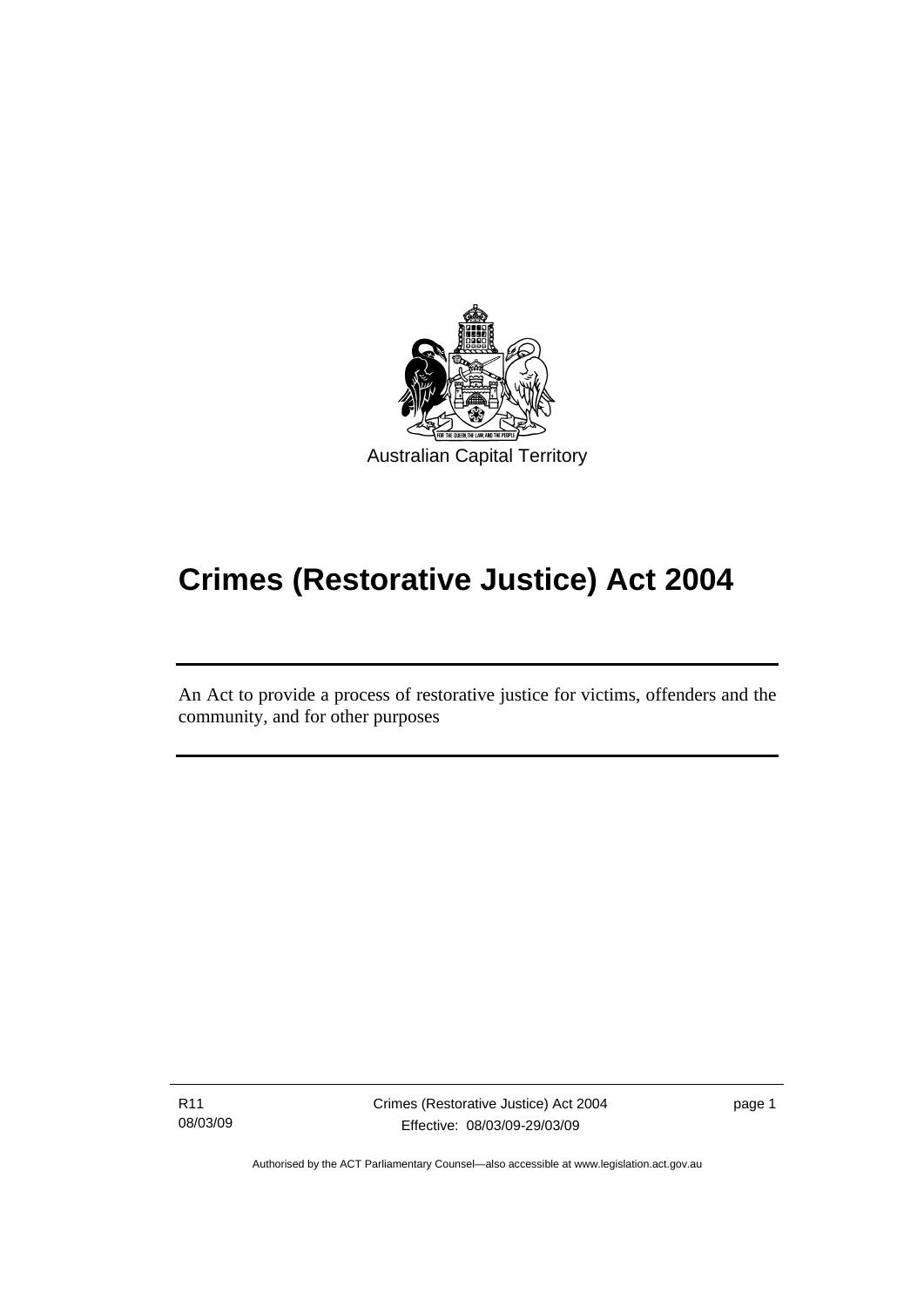<span id="page-8-0"></span>

# **Crimes (Restorative Justice) Act 2004**

An Act to provide a process of restorative justice for victims, offenders and the community, and for other purposes

R11 08/03/09

l

Crimes (Restorative Justice) Act 2004 Effective: 08/03/09-29/03/09

page 1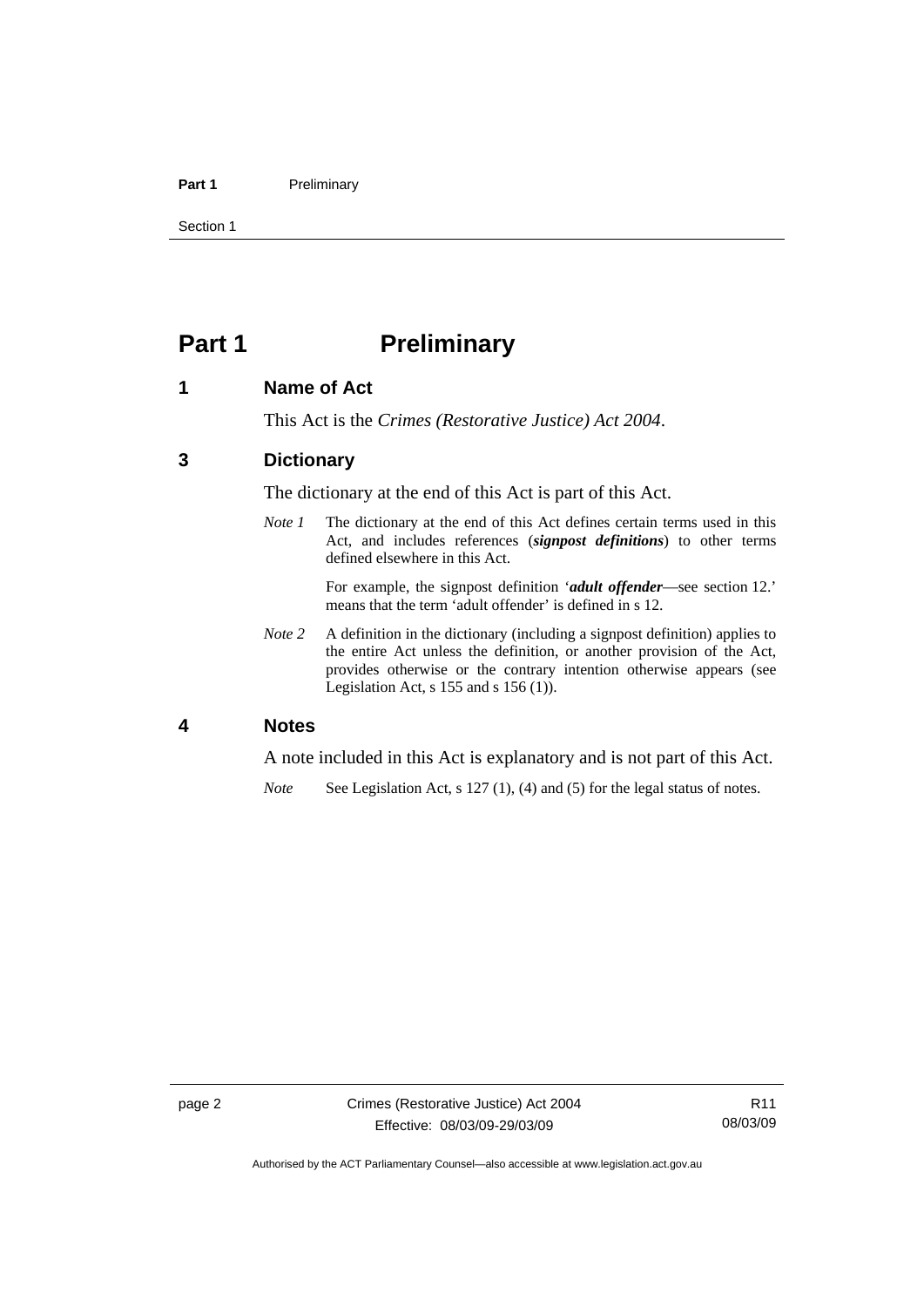#### <span id="page-9-0"></span>Part 1 **Preliminary**

Section 1

## **Part 1** Preliminary

#### **1 Name of Act**

This Act is the *Crimes (Restorative Justice) Act 2004*.

#### **3 Dictionary**

The dictionary at the end of this Act is part of this Act.

*Note 1* The dictionary at the end of this Act defines certain terms used in this Act, and includes references (*signpost definitions*) to other terms defined elsewhere in this Act.

> For example, the signpost definition '*adult offender*—see section 12.' means that the term 'adult offender' is defined in s 12.

*Note 2* A definition in the dictionary (including a signpost definition) applies to the entire Act unless the definition, or another provision of the Act, provides otherwise or the contrary intention otherwise appears (see Legislation Act, s 155 and s 156 (1)).

#### **4 Notes**

A note included in this Act is explanatory and is not part of this Act.

*Note* See Legislation Act, s 127 (1), (4) and (5) for the legal status of notes.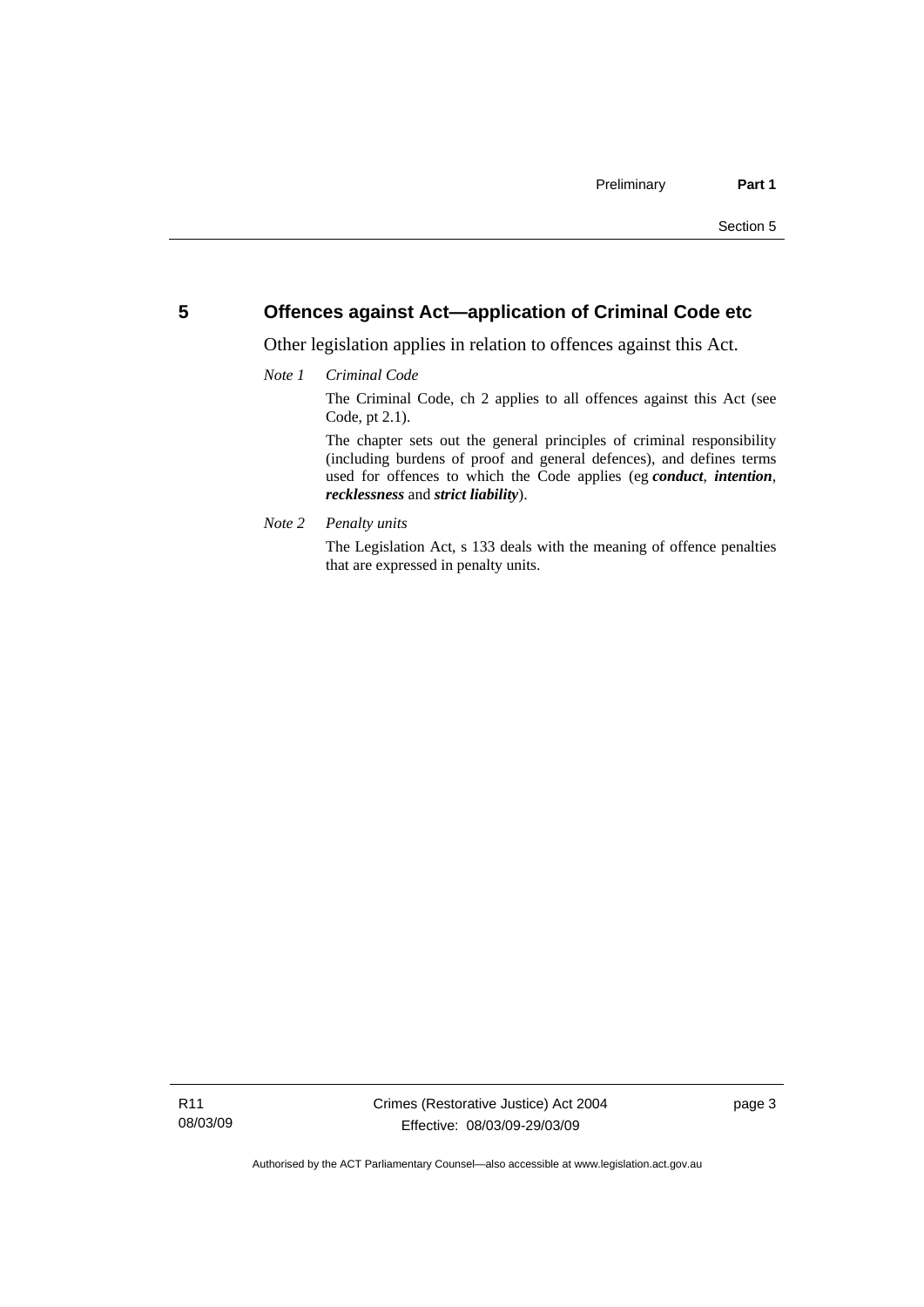#### <span id="page-10-0"></span>**5 Offences against Act—application of Criminal Code etc**

Other legislation applies in relation to offences against this Act.

#### *Note 1 Criminal Code*

The Criminal Code, ch 2 applies to all offences against this Act (see Code, pt 2.1).

The chapter sets out the general principles of criminal responsibility (including burdens of proof and general defences), and defines terms used for offences to which the Code applies (eg *conduct*, *intention*, *recklessness* and *strict liability*).

*Note 2 Penalty units* 

The Legislation Act, s 133 deals with the meaning of offence penalties that are expressed in penalty units.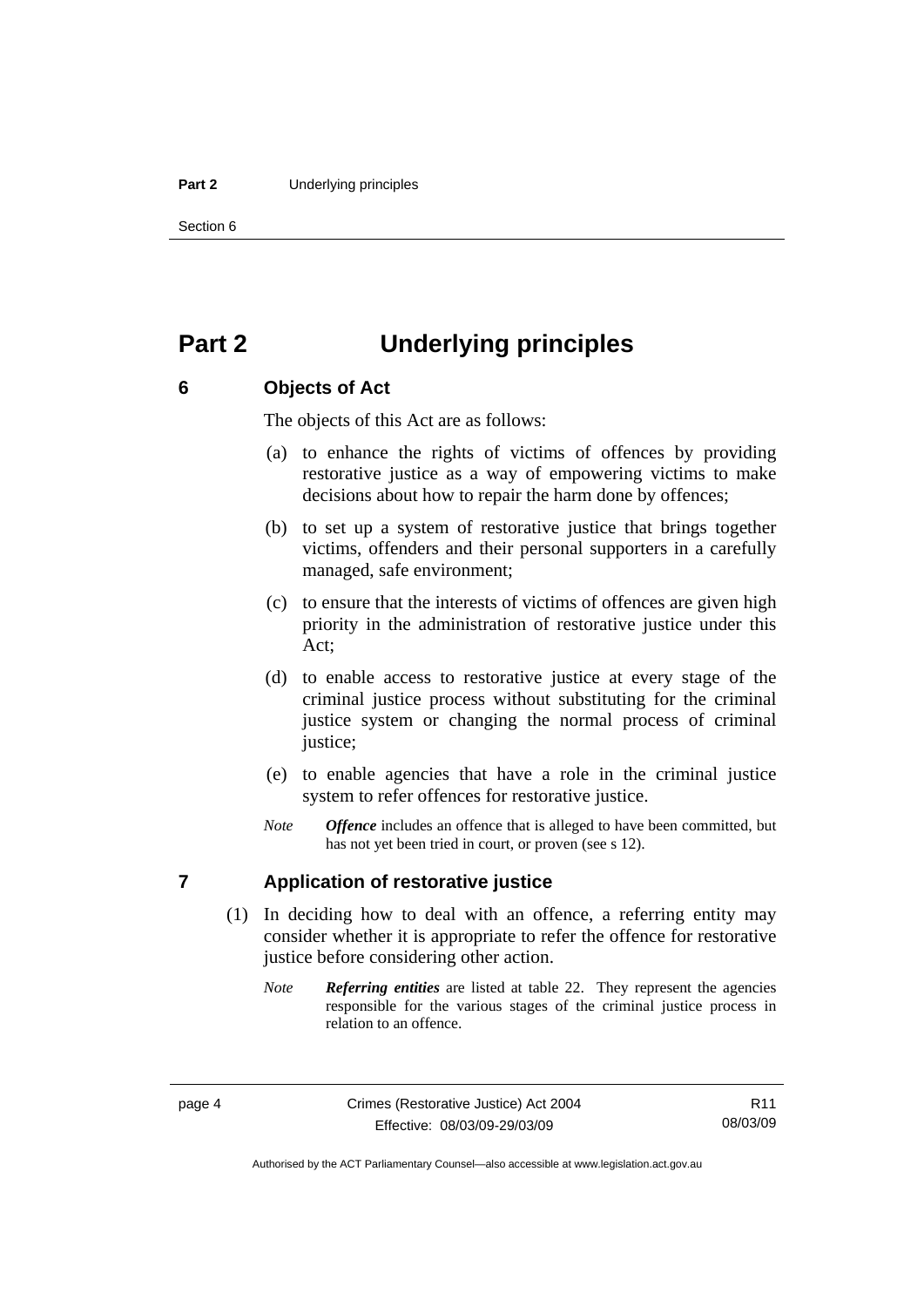#### <span id="page-11-0"></span>**Part 2** Underlying principles

Section 6

## **Part 2 Underlying principles**

#### **6 Objects of Act**

The objects of this Act are as follows:

- (a) to enhance the rights of victims of offences by providing restorative justice as a way of empowering victims to make decisions about how to repair the harm done by offences;
- (b) to set up a system of restorative justice that brings together victims, offenders and their personal supporters in a carefully managed, safe environment;
- (c) to ensure that the interests of victims of offences are given high priority in the administration of restorative justice under this Act;
- (d) to enable access to restorative justice at every stage of the criminal justice process without substituting for the criminal justice system or changing the normal process of criminal justice;
- (e) to enable agencies that have a role in the criminal justice system to refer offences for restorative justice.
- *Note Offence* includes an offence that is alleged to have been committed, but has not yet been tried in court, or proven (see s 12).

#### **7 Application of restorative justice**

- (1) In deciding how to deal with an offence, a referring entity may consider whether it is appropriate to refer the offence for restorative justice before considering other action.
	- *Note Referring entities* are listed at table 22. They represent the agencies responsible for the various stages of the criminal justice process in relation to an offence.

R11 08/03/09

Authorised by the ACT Parliamentary Counsel—also accessible at www.legislation.act.gov.au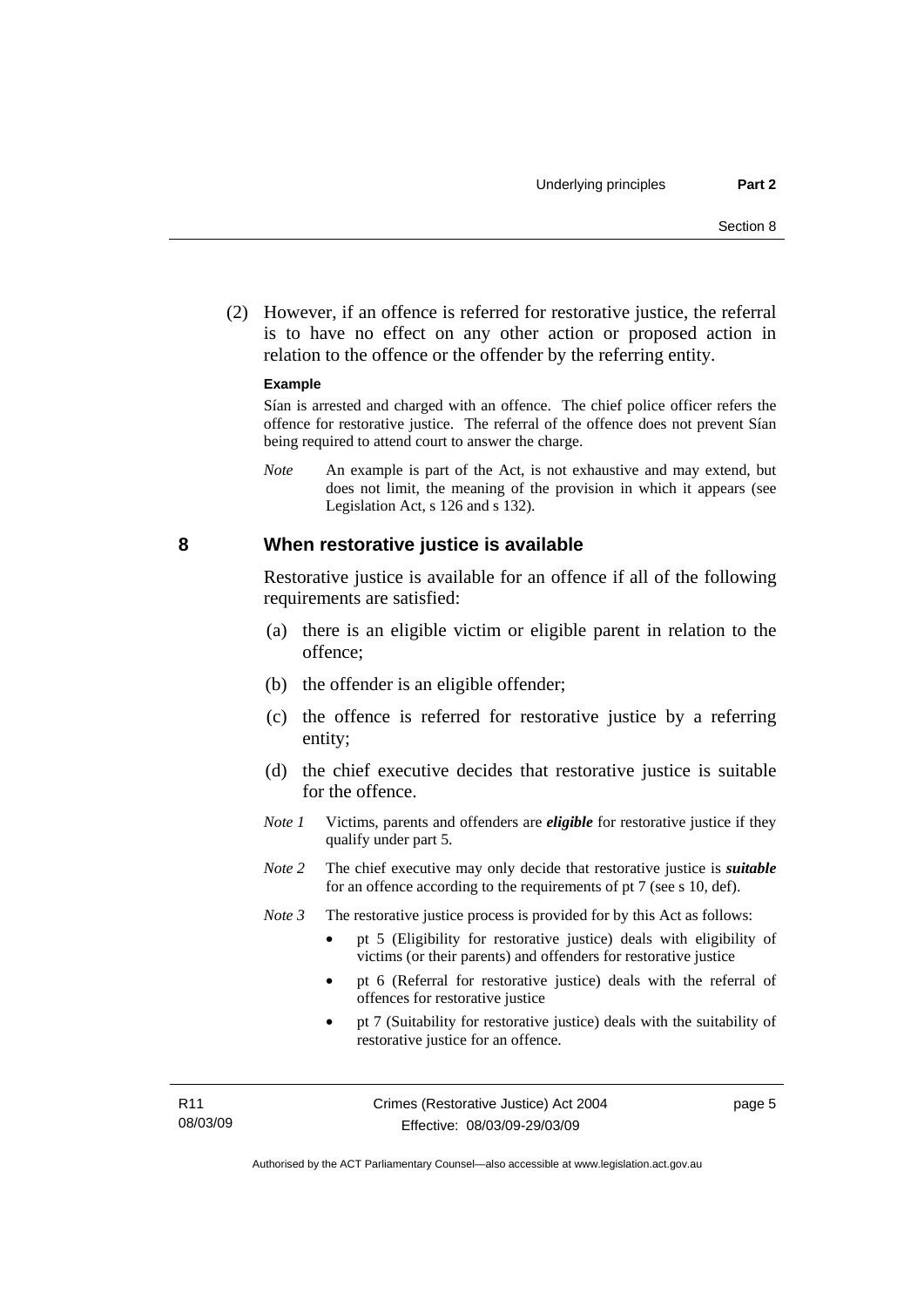<span id="page-12-0"></span> (2) However, if an offence is referred for restorative justice, the referral is to have no effect on any other action or proposed action in relation to the offence or the offender by the referring entity.

#### **Example**

Sían is arrested and charged with an offence. The chief police officer refers the offence for restorative justice. The referral of the offence does not prevent Sían being required to attend court to answer the charge.

*Note* An example is part of the Act, is not exhaustive and may extend, but does not limit, the meaning of the provision in which it appears (see Legislation Act, s 126 and s 132).

#### **8 When restorative justice is available**

Restorative justice is available for an offence if all of the following requirements are satisfied:

- (a) there is an eligible victim or eligible parent in relation to the offence;
- (b) the offender is an eligible offender;
- (c) the offence is referred for restorative justice by a referring entity;
- (d) the chief executive decides that restorative justice is suitable for the offence.
- *Note 1* Victims, parents and offenders are *eligible* for restorative justice if they qualify under part 5.
- *Note 2* The chief executive may only decide that restorative justice is *suitable*  for an offence according to the requirements of pt 7 (see s 10, def).
- *Note 3* The restorative justice process is provided for by this Act as follows:
	- pt 5 (Eligibility for restorative justice) deals with eligibility of victims (or their parents) and offenders for restorative justice
	- pt 6 (Referral for restorative justice) deals with the referral of offences for restorative justice
	- pt 7 (Suitability for restorative justice) deals with the suitability of restorative justice for an offence.

page 5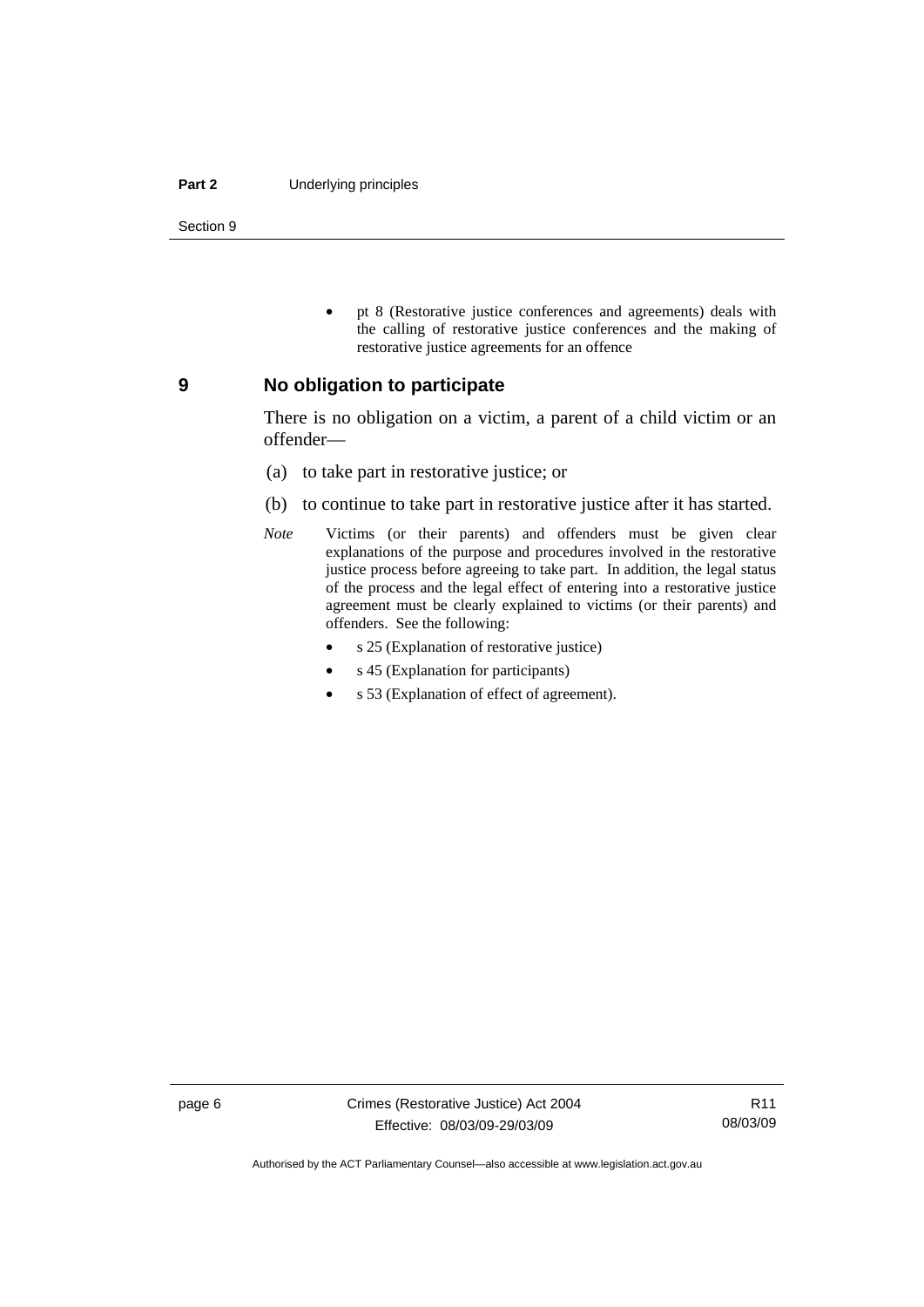#### <span id="page-13-0"></span>**Part 2** Underlying principles

Section 9

• pt 8 (Restorative justice conferences and agreements) deals with the calling of restorative justice conferences and the making of restorative justice agreements for an offence

#### **9 No obligation to participate**

There is no obligation on a victim, a parent of a child victim or an offender—

- (a) to take part in restorative justice; or
- (b) to continue to take part in restorative justice after it has started.
- *Note* Victims (or their parents) and offenders must be given clear explanations of the purpose and procedures involved in the restorative justice process before agreeing to take part. In addition, the legal status of the process and the legal effect of entering into a restorative justice agreement must be clearly explained to victims (or their parents) and offenders. See the following:
	- s 25 (Explanation of restorative justice)
	- s 45 (Explanation for participants)
	- s 53 (Explanation of effect of agreement).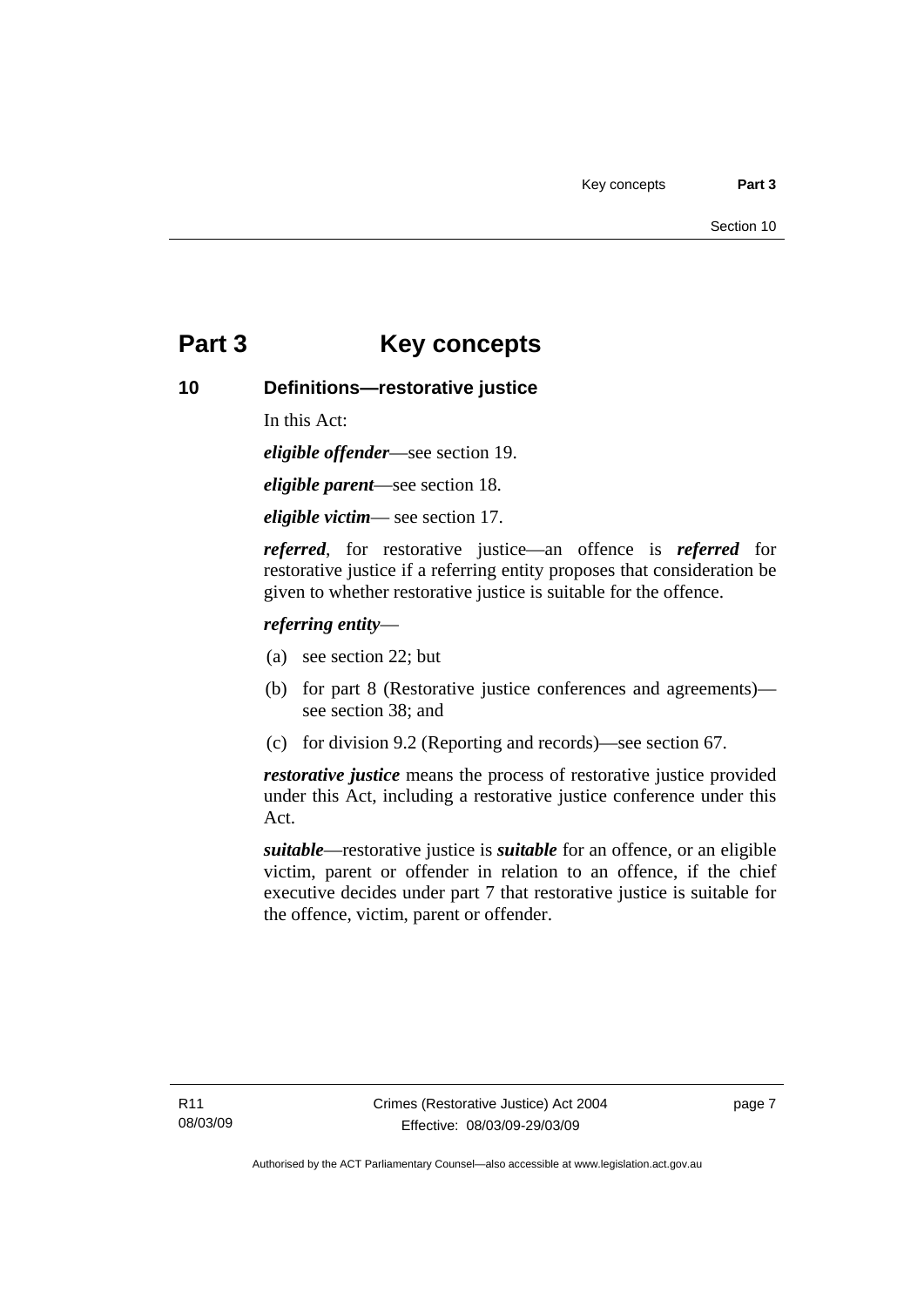## <span id="page-14-0"></span>**Part 3 Key concepts**

#### **10 Definitions—restorative justice**

In this Act:

*eligible offender*—see section 19.

*eligible parent*—see section 18.

*eligible victim*— see section 17.

*referred*, for restorative justice—an offence is *referred* for restorative justice if a referring entity proposes that consideration be given to whether restorative justice is suitable for the offence.

#### *referring entity*—

- (a) see section 22; but
- (b) for part 8 (Restorative justice conferences and agreements) see section 38; and
- (c) for division 9.2 (Reporting and records)—see section 67.

*restorative justice* means the process of restorative justice provided under this Act, including a restorative justice conference under this Act.

*suitable*—restorative justice is *suitable* for an offence, or an eligible victim, parent or offender in relation to an offence, if the chief executive decides under part 7 that restorative justice is suitable for the offence, victim, parent or offender.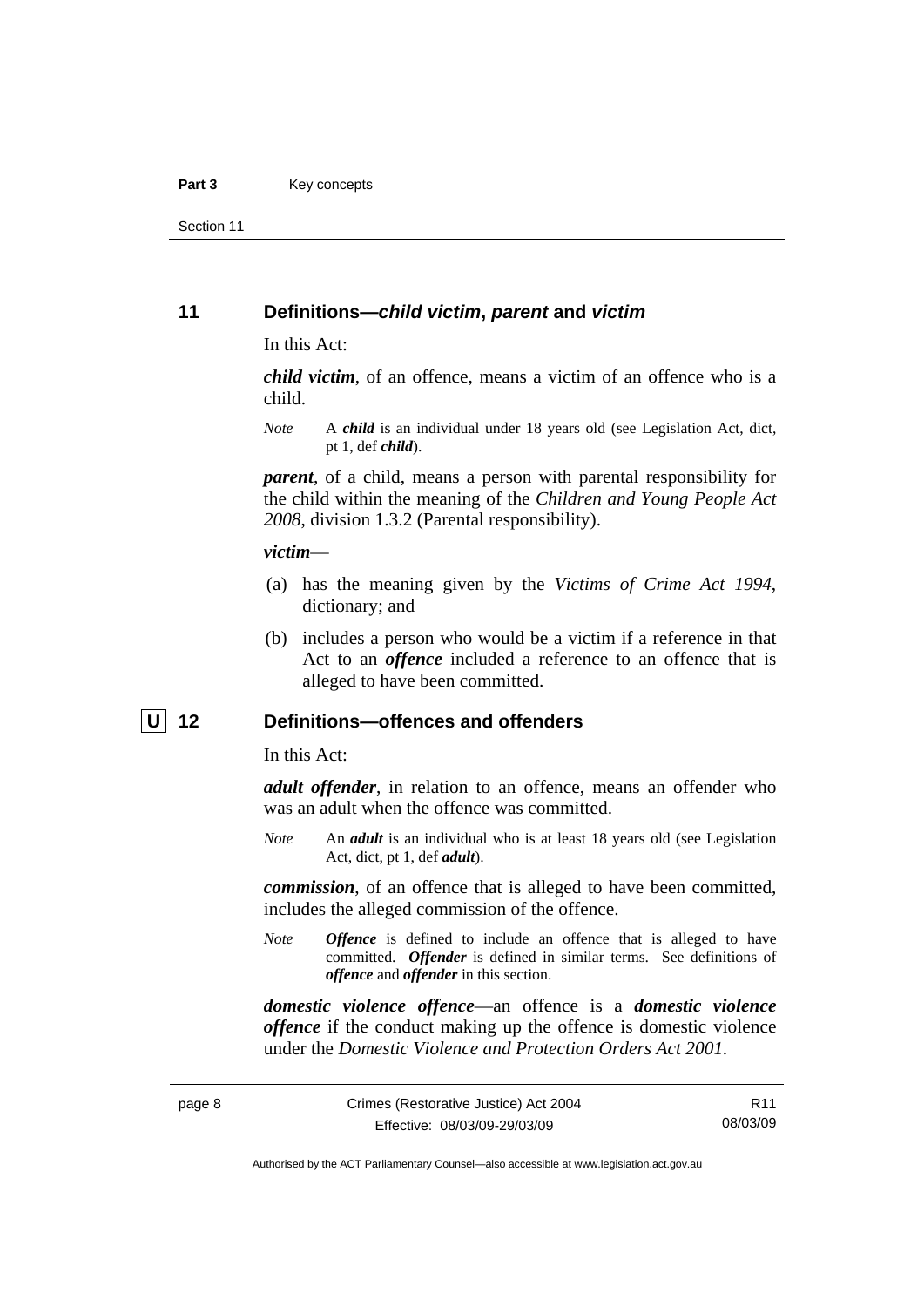<span id="page-15-0"></span>Section 11

#### **11 Definitions—***child victim***,** *parent* **and** *victim*

In this Act:

*child victim*, of an offence, means a victim of an offence who is a child.

*Note* A *child* is an individual under 18 years old (see Legislation Act, dict, pt 1, def *child*).

*parent*, of a child, means a person with parental responsibility for the child within the meaning of the *Children and Young People Act 2008*, division 1.3.2 (Parental responsibility).

#### *victim*—

- (a) has the meaning given by the *Victims of Crime Act 1994*, dictionary; and
- (b) includes a person who would be a victim if a reference in that Act to an *offence* included a reference to an offence that is alleged to have been committed.

#### **U 12 Definitions—offences and offenders**

In this Act:

*adult offender*, in relation to an offence, means an offender who was an adult when the offence was committed.

*Note* An *adult* is an individual who is at least 18 years old (see Legislation Act, dict, pt 1, def *adult*).

*commission*, of an offence that is alleged to have been committed, includes the alleged commission of the offence.

*Note Offence* is defined to include an offence that is alleged to have committed. *Offender* is defined in similar terms. See definitions of *offence* and *offender* in this section.

*domestic violence offence*—an offence is a *domestic violence offence* if the conduct making up the offence is domestic violence under the *Domestic Violence and Protection Orders Act 2001*.

R11 08/03/09

Authorised by the ACT Parliamentary Counsel—also accessible at www.legislation.act.gov.au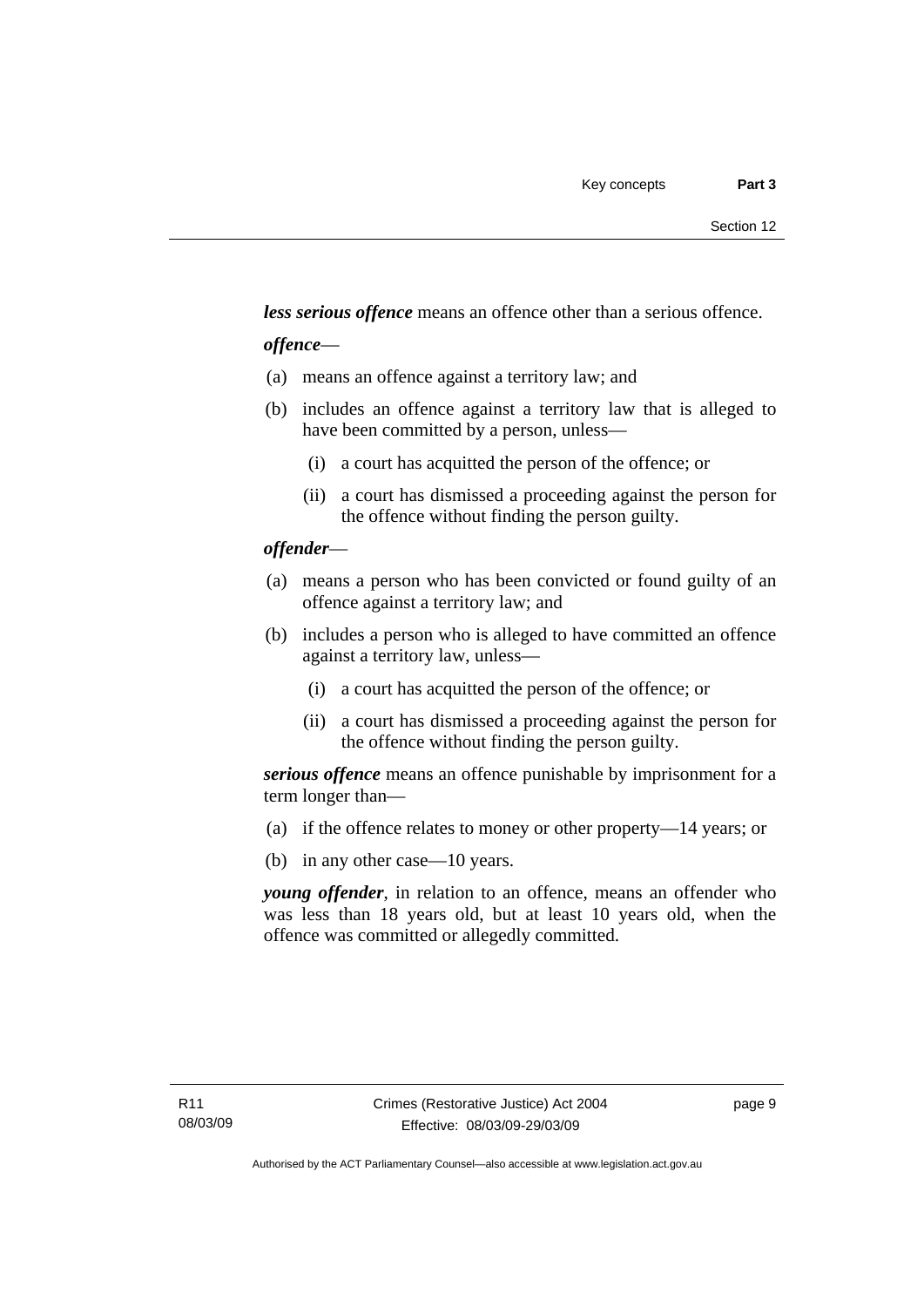*less serious offence* means an offence other than a serious offence.

#### *offence*—

- (a) means an offence against a territory law; and
- (b) includes an offence against a territory law that is alleged to have been committed by a person, unless—
	- (i) a court has acquitted the person of the offence; or
	- (ii) a court has dismissed a proceeding against the person for the offence without finding the person guilty.

#### *offender*—

- (a) means a person who has been convicted or found guilty of an offence against a territory law; and
- (b) includes a person who is alleged to have committed an offence against a territory law, unless—
	- (i) a court has acquitted the person of the offence; or
	- (ii) a court has dismissed a proceeding against the person for the offence without finding the person guilty.

*serious offence* means an offence punishable by imprisonment for a term longer than—

- (a) if the offence relates to money or other property—14 years; or
- (b) in any other case—10 years.

*young offender*, in relation to an offence, means an offender who was less than 18 years old, but at least 10 years old, when the offence was committed or allegedly committed.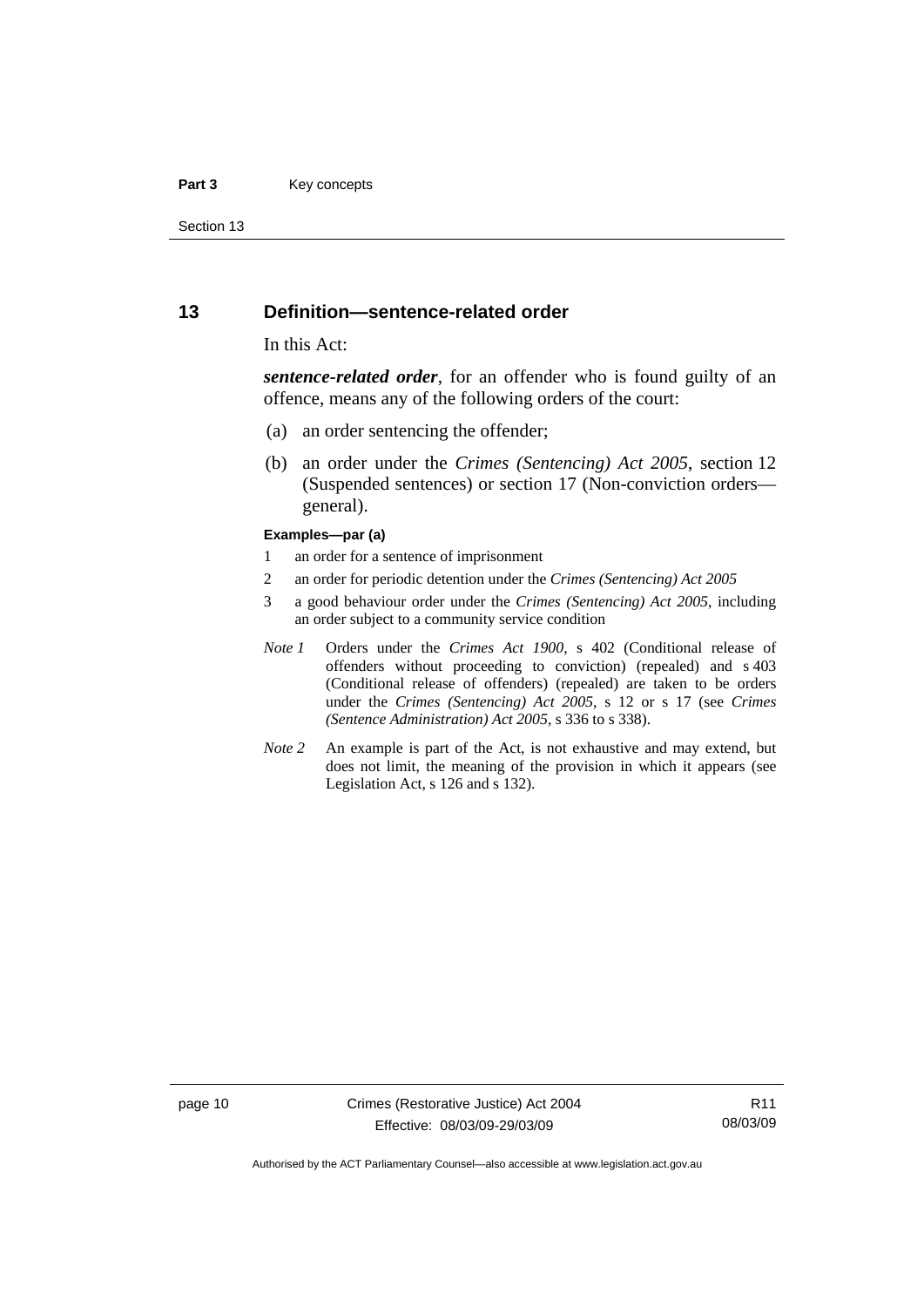#### <span id="page-17-0"></span>**Part 3** Key concepts

Section 13

#### **13 Definition—sentence-related order**

#### In this Act:

*sentence-related order*, for an offender who is found guilty of an offence, means any of the following orders of the court:

- (a) an order sentencing the offender;
- (b) an order under the *Crimes (Sentencing) Act 2005*, section 12 (Suspended sentences) or section 17 (Non-conviction orders general).

#### **Examples—par (a)**

- 1 an order for a sentence of imprisonment
- 2 an order for periodic detention under the *Crimes (Sentencing) Act 2005*
- 3 a good behaviour order under the *Crimes (Sentencing) Act 2005*, including an order subject to a community service condition
- *Note 1* Orders under the *Crimes Act 1900*, s 402 (Conditional release of offenders without proceeding to conviction) (repealed) and s 403 (Conditional release of offenders) (repealed) are taken to be orders under the *Crimes (Sentencing) Act 2005*, s 12 or s 17 (see *Crimes (Sentence Administration) Act 2005*, s 336 to s 338).
- *Note 2* An example is part of the Act, is not exhaustive and may extend, but does not limit, the meaning of the provision in which it appears (see Legislation Act, s 126 and s 132).

page 10 Crimes (Restorative Justice) Act 2004 Effective: 08/03/09-29/03/09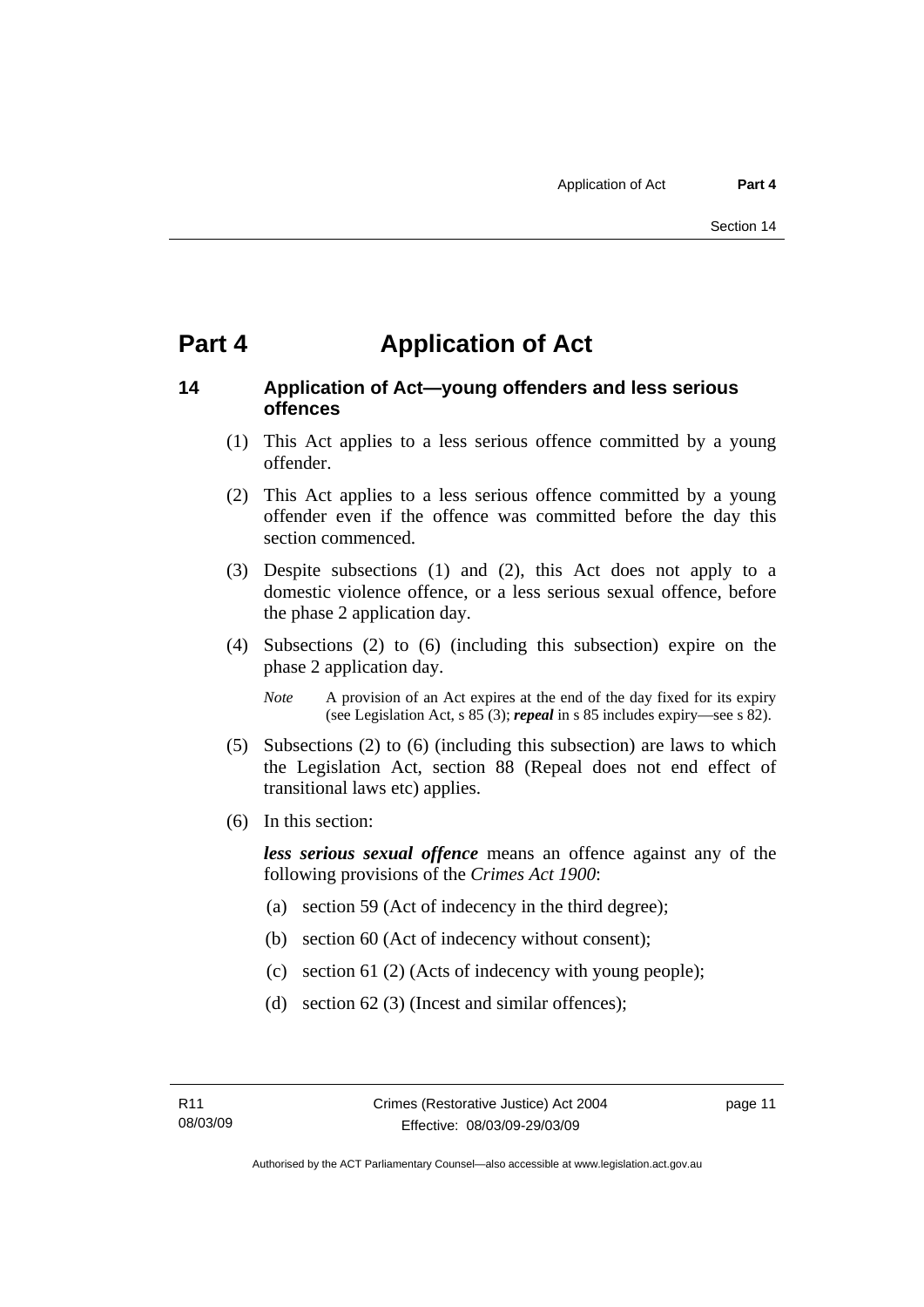## <span id="page-18-0"></span>**Part 4 Application of Act**

#### **14 Application of Act—young offenders and less serious offences**

- (1) This Act applies to a less serious offence committed by a young offender.
- (2) This Act applies to a less serious offence committed by a young offender even if the offence was committed before the day this section commenced.
- (3) Despite subsections (1) and (2), this Act does not apply to a domestic violence offence, or a less serious sexual offence, before the phase 2 application day.
- (4) Subsections (2) to (6) (including this subsection) expire on the phase 2 application day.
	- *Note* A provision of an Act expires at the end of the day fixed for its expiry (see Legislation Act, s 85 (3); *repeal* in s 85 includes expiry—see s 82).
- (5) Subsections (2) to (6) (including this subsection) are laws to which the Legislation Act, section 88 (Repeal does not end effect of transitional laws etc) applies.
- (6) In this section:

*less serious sexual offence* means an offence against any of the following provisions of the *Crimes Act 1900*:

- (a) section 59 (Act of indecency in the third degree);
- (b) section 60 (Act of indecency without consent);
- (c) section 61 (2) (Acts of indecency with young people);
- (d) section 62 (3) (Incest and similar offences);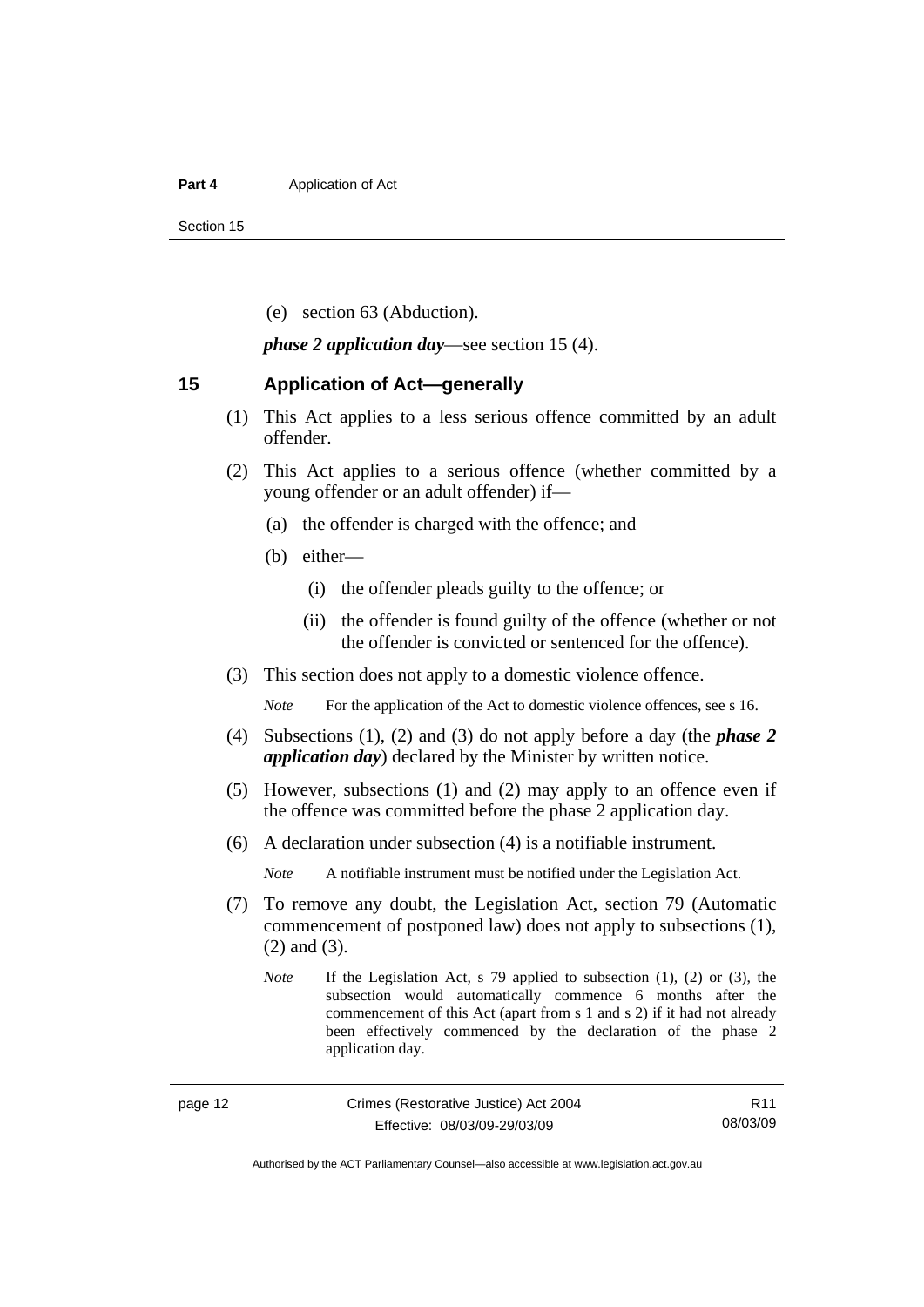#### <span id="page-19-0"></span>**Part 4 Application of Act**

Section 15

(e) section 63 (Abduction).

*phase 2 application day*—see section 15 (4).

#### **15 Application of Act—generally**

- (1) This Act applies to a less serious offence committed by an adult offender.
- (2) This Act applies to a serious offence (whether committed by a young offender or an adult offender) if—
	- (a) the offender is charged with the offence; and
	- (b) either—
		- (i) the offender pleads guilty to the offence; or
		- (ii) the offender is found guilty of the offence (whether or not the offender is convicted or sentenced for the offence).
- (3) This section does not apply to a domestic violence offence.

*Note* For the application of the Act to domestic violence offences, see s 16.

- (4) Subsections (1), (2) and (3) do not apply before a day (the *phase 2 application day*) declared by the Minister by written notice.
- (5) However, subsections (1) and (2) may apply to an offence even if the offence was committed before the phase 2 application day.
- (6) A declaration under subsection (4) is a notifiable instrument.

*Note* A notifiable instrument must be notified under the Legislation Act.

- (7) To remove any doubt, the Legislation Act, section 79 (Automatic commencement of postponed law) does not apply to subsections (1), (2) and (3).
	- *Note* If the Legislation Act, s 79 applied to subsection (1), (2) or (3), the subsection would automatically commence 6 months after the commencement of this Act (apart from s 1 and s 2) if it had not already been effectively commenced by the declaration of the phase 2 application day.

Authorised by the ACT Parliamentary Counsel—also accessible at www.legislation.act.gov.au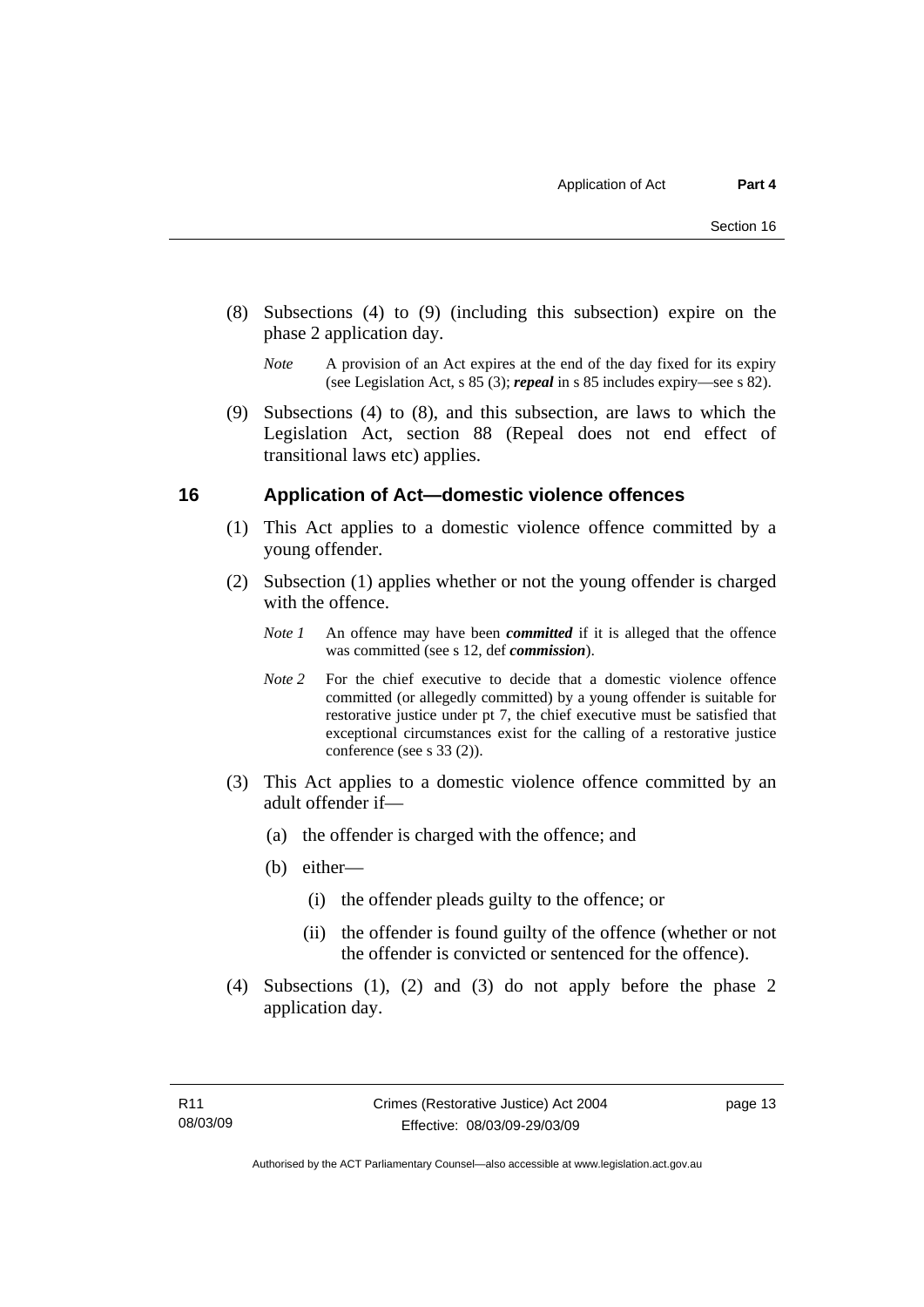- <span id="page-20-0"></span> (8) Subsections (4) to (9) (including this subsection) expire on the phase 2 application day.
	- *Note* A provision of an Act expires at the end of the day fixed for its expiry (see Legislation Act, s 85 (3); *repeal* in s 85 includes expiry—see s 82).
- (9) Subsections (4) to (8), and this subsection, are laws to which the Legislation Act, section 88 (Repeal does not end effect of transitional laws etc) applies.

#### **16 Application of Act—domestic violence offences**

- (1) This Act applies to a domestic violence offence committed by a young offender.
- (2) Subsection (1) applies whether or not the young offender is charged with the offence.
	- *Note 1* An offence may have been *committed* if it is alleged that the offence was committed (see s 12, def *commission*).
	- *Note* 2 For the chief executive to decide that a domestic violence offence committed (or allegedly committed) by a young offender is suitable for restorative justice under pt 7, the chief executive must be satisfied that exceptional circumstances exist for the calling of a restorative justice conference (see s 33 (2)).
- (3) This Act applies to a domestic violence offence committed by an adult offender if—
	- (a) the offender is charged with the offence; and
	- (b) either—
		- (i) the offender pleads guilty to the offence; or
		- (ii) the offender is found guilty of the offence (whether or not the offender is convicted or sentenced for the offence).
- (4) Subsections (1), (2) and (3) do not apply before the phase 2 application day.

page 13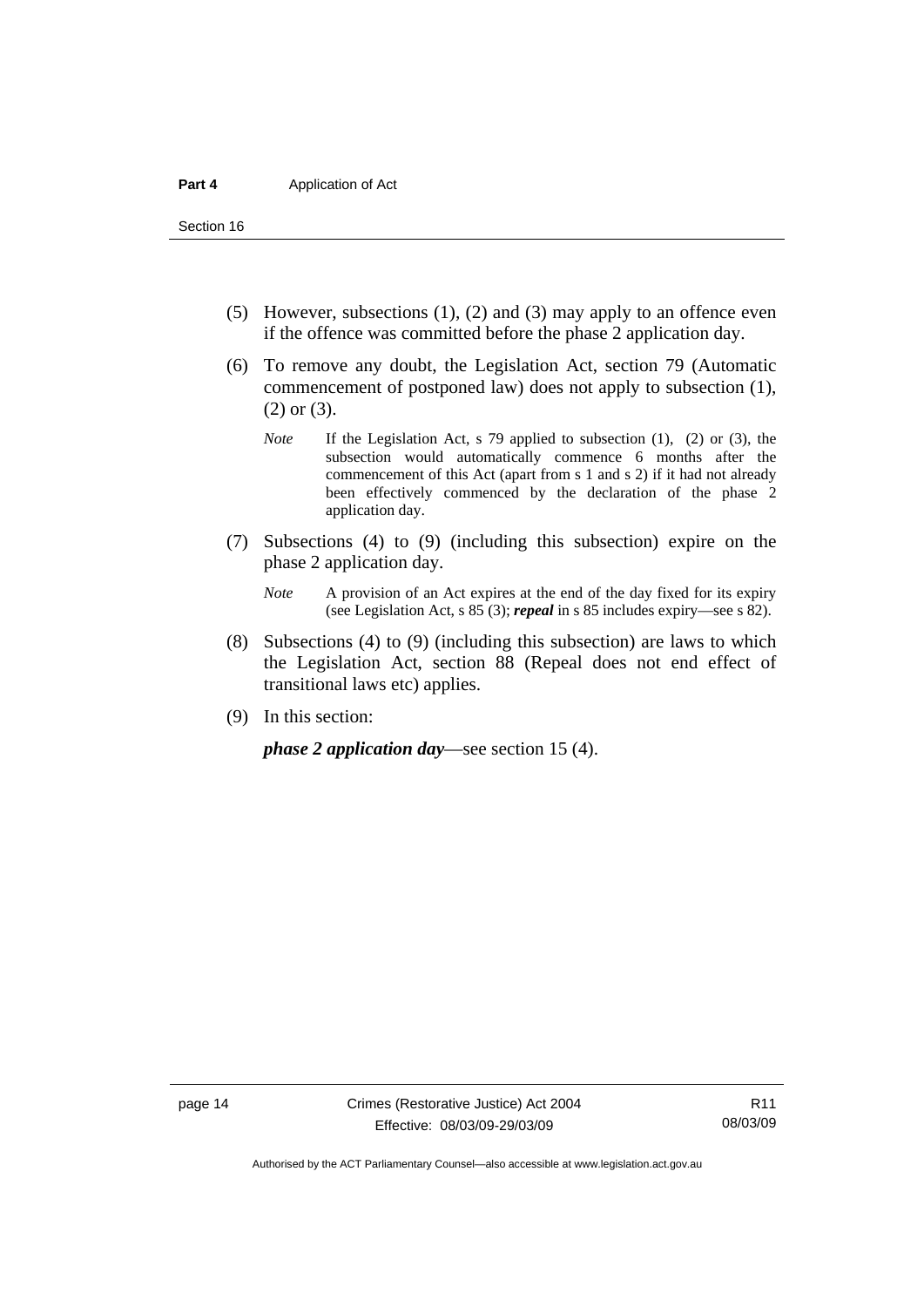Section 16

- (5) However, subsections (1), (2) and (3) may apply to an offence even if the offence was committed before the phase 2 application day.
- (6) To remove any doubt, the Legislation Act, section 79 (Automatic commencement of postponed law) does not apply to subsection (1), (2) or (3).
	- *Note* If the Legislation Act, s 79 applied to subsection (1), (2) or (3), the subsection would automatically commence 6 months after the commencement of this Act (apart from s 1 and s 2) if it had not already been effectively commenced by the declaration of the phase 2 application day.
- (7) Subsections (4) to (9) (including this subsection) expire on the phase 2 application day.
	- *Note* A provision of an Act expires at the end of the day fixed for its expiry (see Legislation Act, s 85 (3); *repeal* in s 85 includes expiry—see s 82).
- (8) Subsections (4) to (9) (including this subsection) are laws to which the Legislation Act, section 88 (Repeal does not end effect of transitional laws etc) applies.
- (9) In this section:

*phase 2 application day*—see section 15 (4).

Authorised by the ACT Parliamentary Counsel—also accessible at www.legislation.act.gov.au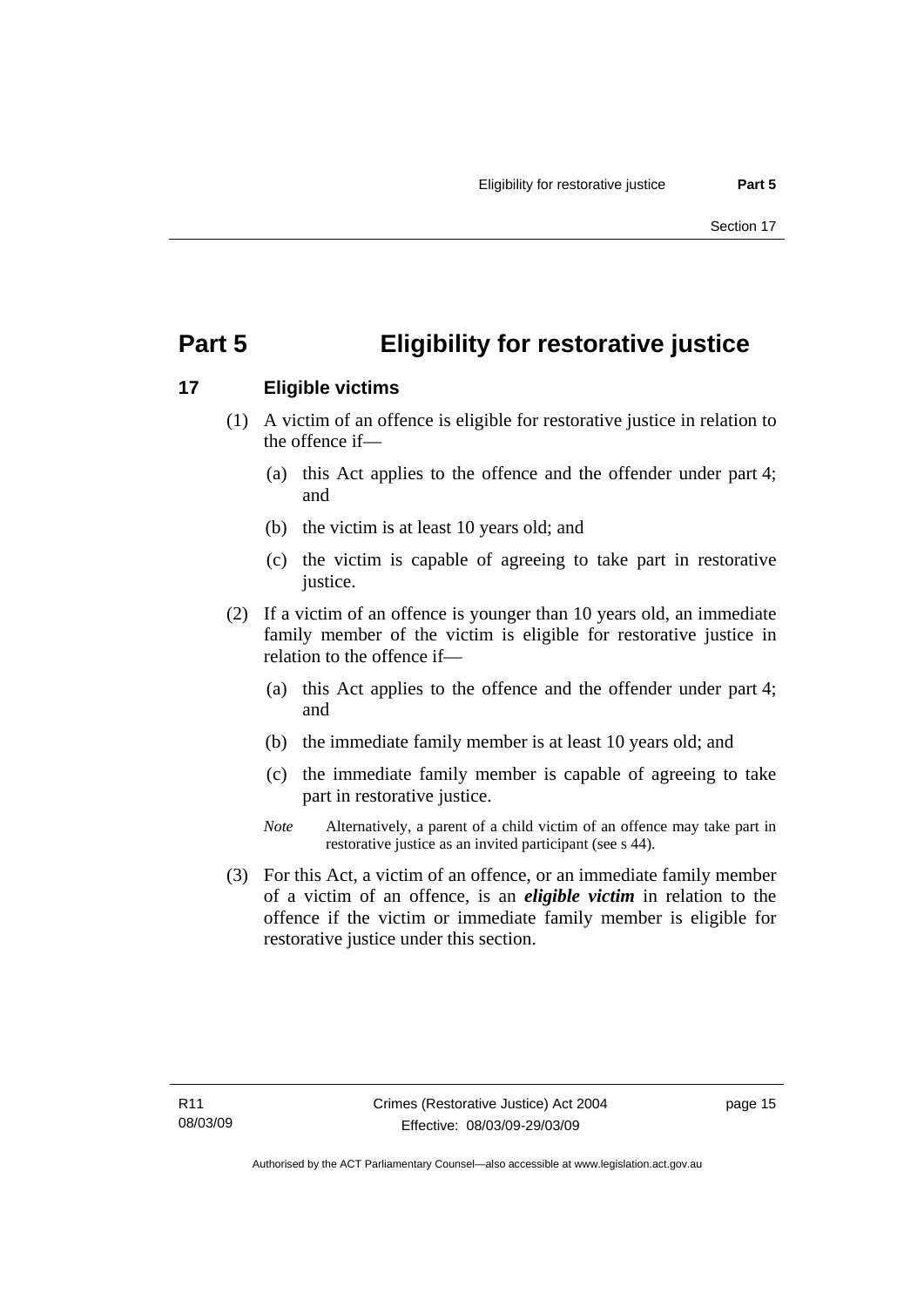## <span id="page-22-0"></span>**Part 5 Eligibility for restorative justice**

### **17 Eligible victims**

- (1) A victim of an offence is eligible for restorative justice in relation to the offence if—
	- (a) this Act applies to the offence and the offender under part 4; and
	- (b) the victim is at least 10 years old; and
	- (c) the victim is capable of agreeing to take part in restorative justice.
- (2) If a victim of an offence is younger than 10 years old, an immediate family member of the victim is eligible for restorative justice in relation to the offence if—
	- (a) this Act applies to the offence and the offender under part 4; and
	- (b) the immediate family member is at least 10 years old; and
	- (c) the immediate family member is capable of agreeing to take part in restorative justice.
	- *Note* Alternatively, a parent of a child victim of an offence may take part in restorative justice as an invited participant (see s 44).
- (3) For this Act, a victim of an offence, or an immediate family member of a victim of an offence, is an *eligible victim* in relation to the offence if the victim or immediate family member is eligible for restorative justice under this section.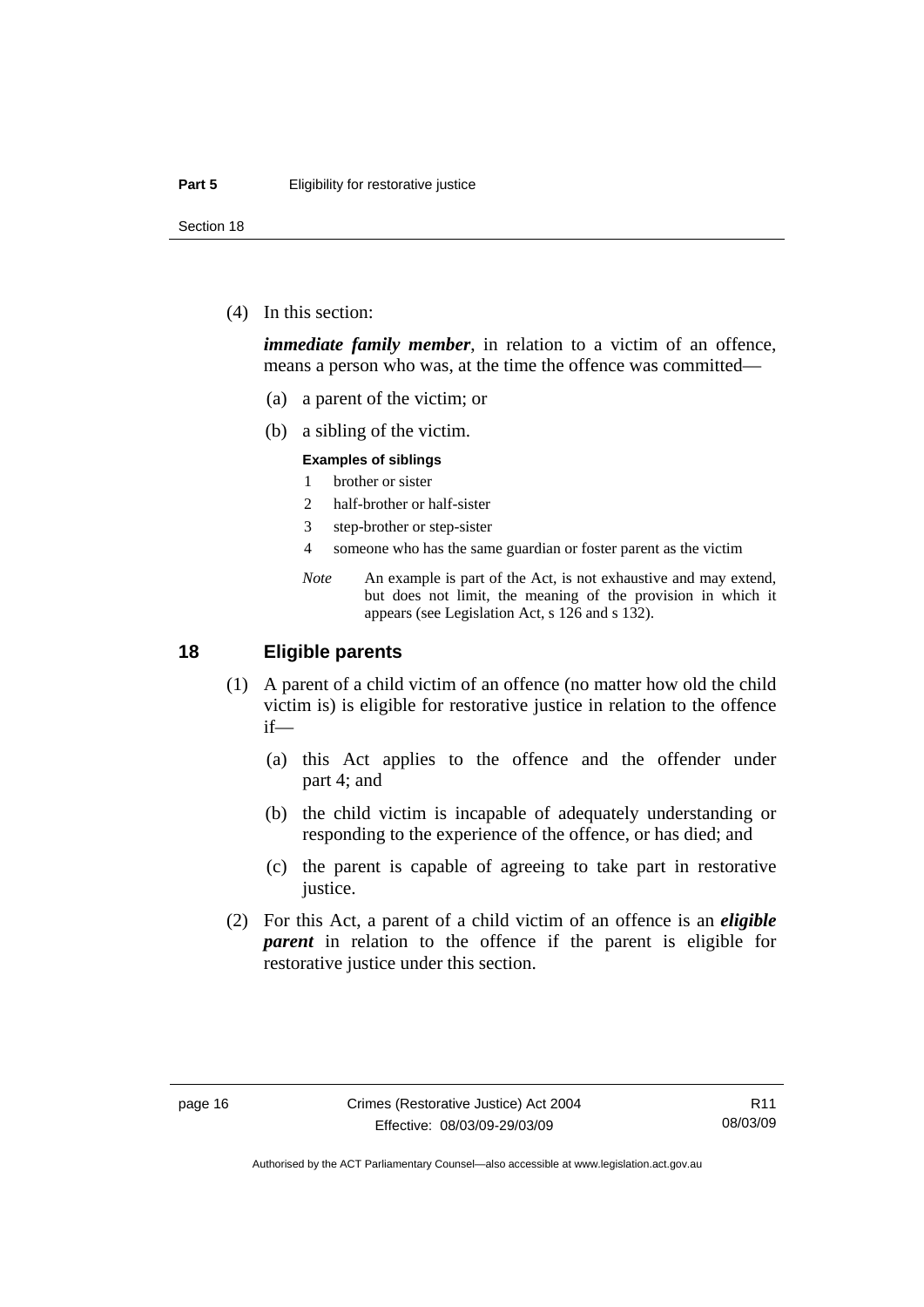<span id="page-23-0"></span>Section 18

(4) In this section:

*immediate family member*, in relation to a victim of an offence, means a person who was, at the time the offence was committed—

- (a) a parent of the victim; or
- (b) a sibling of the victim.

#### **Examples of siblings**

- 1 brother or sister
- 2 half-brother or half-sister
- 3 step-brother or step-sister
- 4 someone who has the same guardian or foster parent as the victim
- *Note* An example is part of the Act, is not exhaustive and may extend, but does not limit, the meaning of the provision in which it appears (see Legislation Act, s 126 and s 132).

#### **18 Eligible parents**

- (1) A parent of a child victim of an offence (no matter how old the child victim is) is eligible for restorative justice in relation to the offence if—
	- (a) this Act applies to the offence and the offender under part 4; and
	- (b) the child victim is incapable of adequately understanding or responding to the experience of the offence, or has died; and
	- (c) the parent is capable of agreeing to take part in restorative justice.
- (2) For this Act, a parent of a child victim of an offence is an *eligible parent* in relation to the offence if the parent is eligible for restorative justice under this section.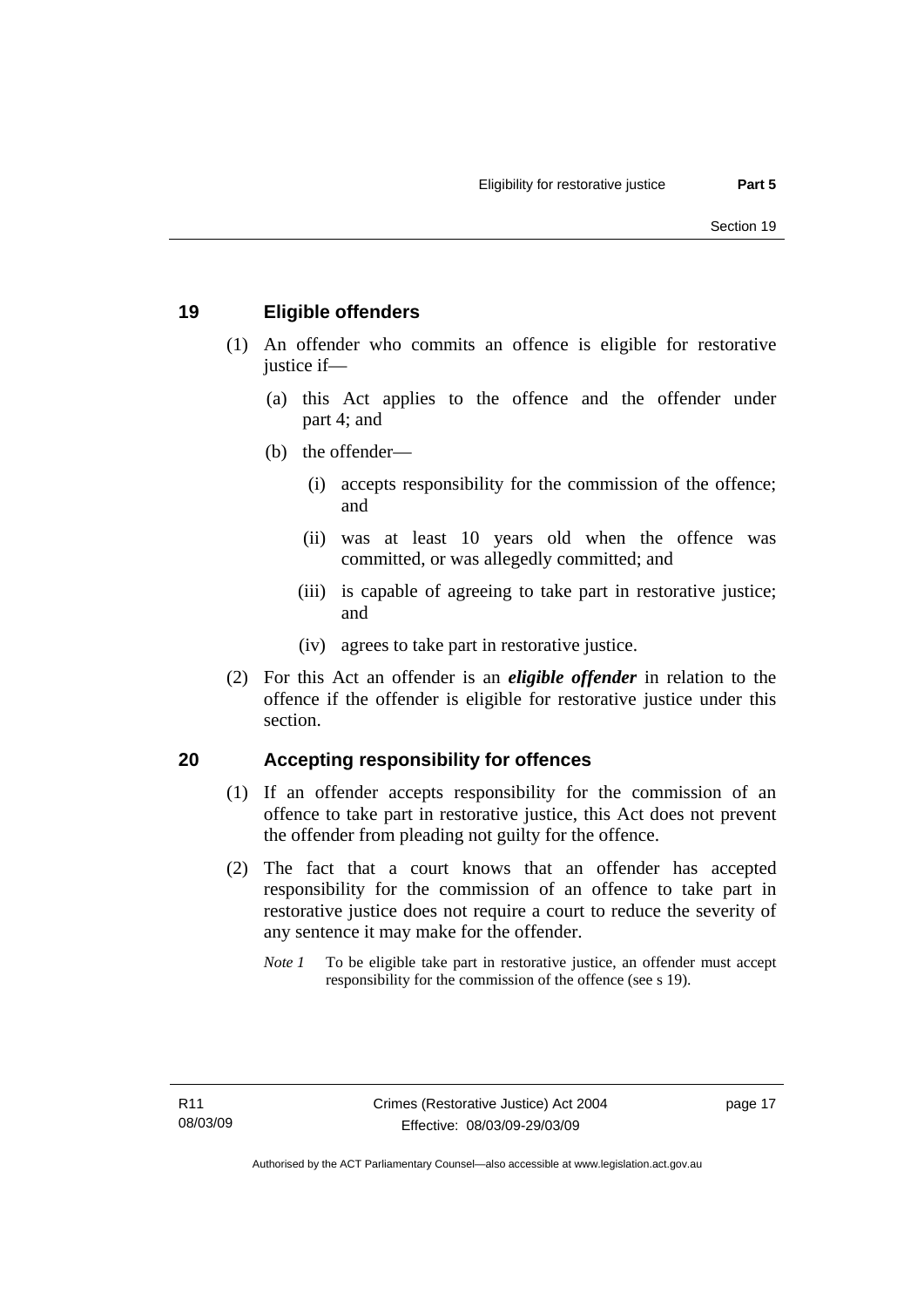#### <span id="page-24-0"></span>**19 Eligible offenders**

- (1) An offender who commits an offence is eligible for restorative justice if-
	- (a) this Act applies to the offence and the offender under part 4; and
	- (b) the offender—
		- (i) accepts responsibility for the commission of the offence; and
		- (ii) was at least 10 years old when the offence was committed, or was allegedly committed; and
		- (iii) is capable of agreeing to take part in restorative justice; and
		- (iv) agrees to take part in restorative justice.
- (2) For this Act an offender is an *eligible offender* in relation to the offence if the offender is eligible for restorative justice under this section.

#### **20 Accepting responsibility for offences**

- (1) If an offender accepts responsibility for the commission of an offence to take part in restorative justice, this Act does not prevent the offender from pleading not guilty for the offence.
- (2) The fact that a court knows that an offender has accepted responsibility for the commission of an offence to take part in restorative justice does not require a court to reduce the severity of any sentence it may make for the offender.
	- *Note 1* To be eligible take part in restorative justice, an offender must accept responsibility for the commission of the offence (see s 19).

page 17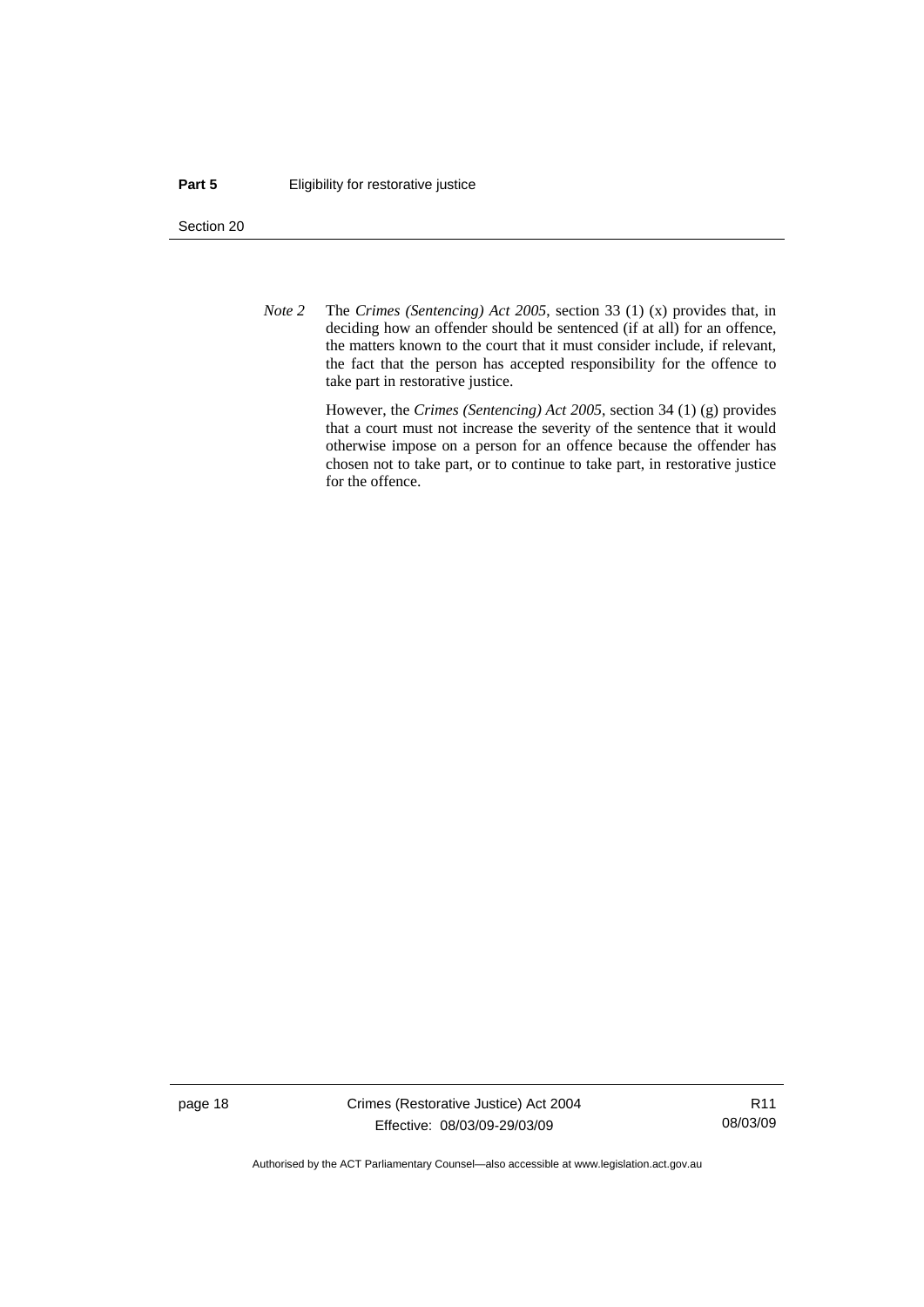#### **Part 5 Eligibility for restorative justice**

Section 20

*Note 2* The *Crimes (Sentencing) Act 2005*, section 33 (1) (x) provides that, in deciding how an offender should be sentenced (if at all) for an offence, the matters known to the court that it must consider include, if relevant, the fact that the person has accepted responsibility for the offence to take part in restorative justice.

> However, the *Crimes (Sentencing) Act 2005*, section 34 (1) (g) provides that a court must not increase the severity of the sentence that it would otherwise impose on a person for an offence because the offender has chosen not to take part, or to continue to take part, in restorative justice for the offence.

page 18 Crimes (Restorative Justice) Act 2004 Effective: 08/03/09-29/03/09

R11 08/03/09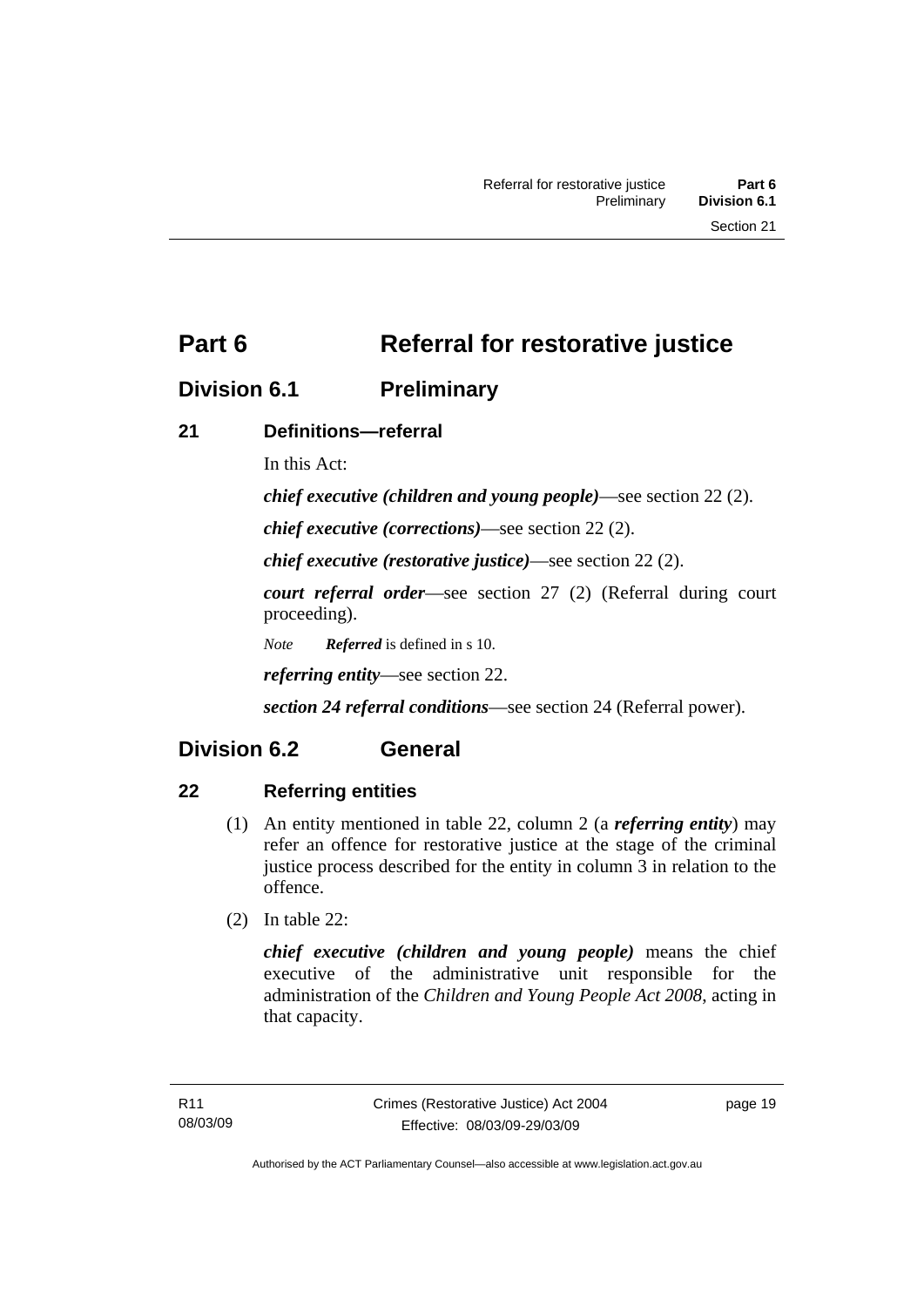<span id="page-26-0"></span>**Part 6** Referral for restorative justice

### **Division 6.1 Preliminary**

### **21 Definitions—referral**

In this Act:

*chief executive (children and young people)*—see section 22 (2).

*chief executive (corrections)*—see section 22 (2).

*chief executive (restorative justice)*—see section 22 (2).

*court referral order*—see section 27 (2) (Referral during court proceeding).

*Note Referred* is defined in s 10.

*referring entity*—see section 22.

*section 24 referral conditions*—see section 24 (Referral power).

## **Division 6.2 General**

### **22 Referring entities**

- (1) An entity mentioned in table 22, column 2 (a *referring entity*) may refer an offence for restorative justice at the stage of the criminal justice process described for the entity in column 3 in relation to the offence.
- (2) In table 22:

*chief executive (children and young people)* means the chief executive of the administrative unit responsible for the administration of the *Children and Young People Act 2008*, acting in that capacity.

page 19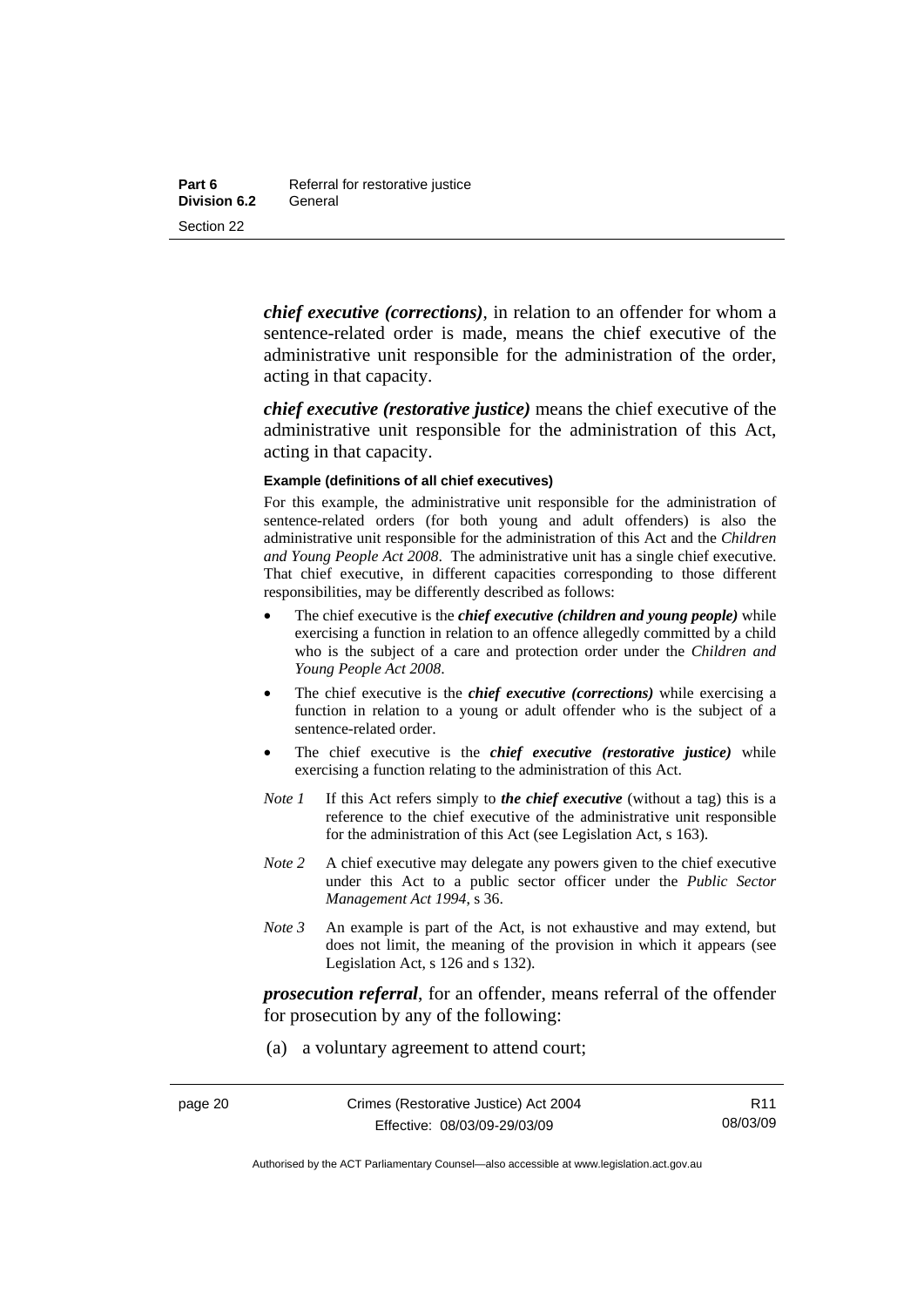*chief executive (corrections)*, in relation to an offender for whom a sentence-related order is made, means the chief executive of the administrative unit responsible for the administration of the order, acting in that capacity.

*chief executive (restorative justice)* means the chief executive of the administrative unit responsible for the administration of this Act, acting in that capacity.

#### **Example (definitions of all chief executives)**

For this example, the administrative unit responsible for the administration of sentence-related orders (for both young and adult offenders) is also the administrative unit responsible for the administration of this Act and the *Children and Young People Act 2008*. The administrative unit has a single chief executive. That chief executive, in different capacities corresponding to those different responsibilities, may be differently described as follows:

- The chief executive is the *chief executive (children and young people)* while exercising a function in relation to an offence allegedly committed by a child who is the subject of a care and protection order under the *Children and Young People Act 2008*.
- The chief executive is the *chief executive (corrections)* while exercising a function in relation to a young or adult offender who is the subject of a sentence-related order.
- The chief executive is the *chief executive (restorative justice)* while exercising a function relating to the administration of this Act.
- *Note 1* If this Act refers simply to *the chief executive* (without a tag) this is a reference to the chief executive of the administrative unit responsible for the administration of this Act (see Legislation Act, s 163).
- *Note* 2 A chief executive may delegate any powers given to the chief executive under this Act to a public sector officer under the *Public Sector Management Act 1994*, s 36.
- *Note 3* An example is part of the Act, is not exhaustive and may extend, but does not limit, the meaning of the provision in which it appears (see Legislation Act, s 126 and s 132).

*prosecution referral*, for an offender, means referral of the offender for prosecution by any of the following:

(a) a voluntary agreement to attend court;

R11 08/03/09

Authorised by the ACT Parliamentary Counsel—also accessible at www.legislation.act.gov.au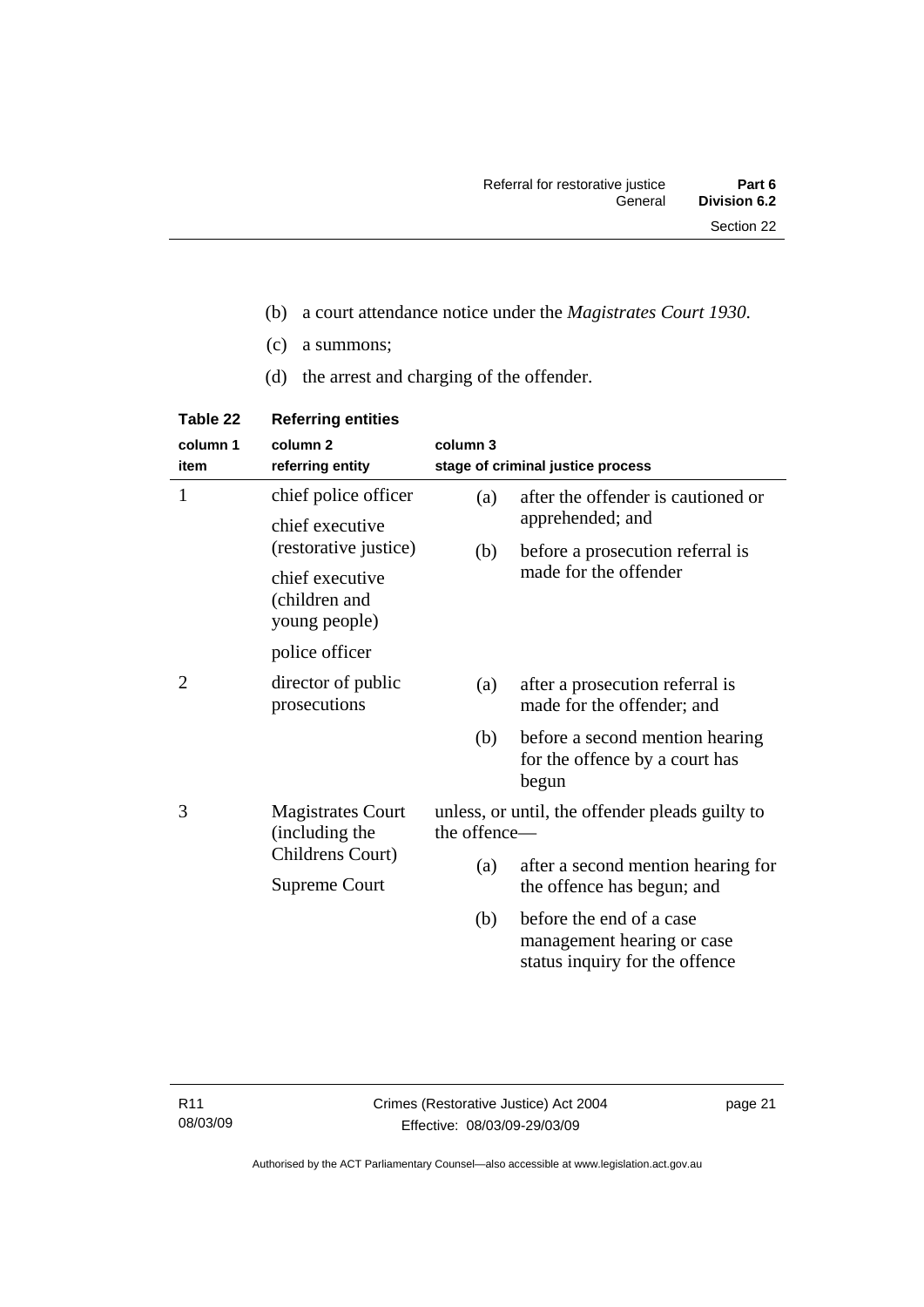- (b) a court attendance notice under the *Magistrates Court 1930*.
- (c) a summons;
- (d) the arrest and charging of the offender.

| Table 22         | <b>Referring entities</b>                         |                                                                 |                                                                                          |
|------------------|---------------------------------------------------|-----------------------------------------------------------------|------------------------------------------------------------------------------------------|
| column 1<br>item | column <sub>2</sub><br>referring entity           | column 3                                                        | stage of criminal justice process                                                        |
| 1                | chief police officer                              | (a)                                                             | after the offender is cautioned or                                                       |
|                  | chief executive<br>(restorative justice)          |                                                                 | apprehended; and                                                                         |
|                  |                                                   | (b)                                                             | before a prosecution referral is                                                         |
|                  | chief executive<br>(children and<br>young people) |                                                                 | made for the offender                                                                    |
|                  | police officer                                    |                                                                 |                                                                                          |
| 2                | director of public<br>prosecutions                | (a)                                                             | after a prosecution referral is<br>made for the offender; and                            |
|                  |                                                   | (b)                                                             | before a second mention hearing<br>for the offence by a court has<br>begun               |
| 3                | <b>Magistrates Court</b><br>(including the        | unless, or until, the offender pleads guilty to<br>the offence- |                                                                                          |
|                  | Childrens Court)                                  | (a)                                                             | after a second mention hearing for                                                       |
|                  | <b>Supreme Court</b>                              |                                                                 | the offence has begun; and                                                               |
|                  |                                                   | (b)                                                             | before the end of a case<br>management hearing or case<br>status inquiry for the offence |

page 21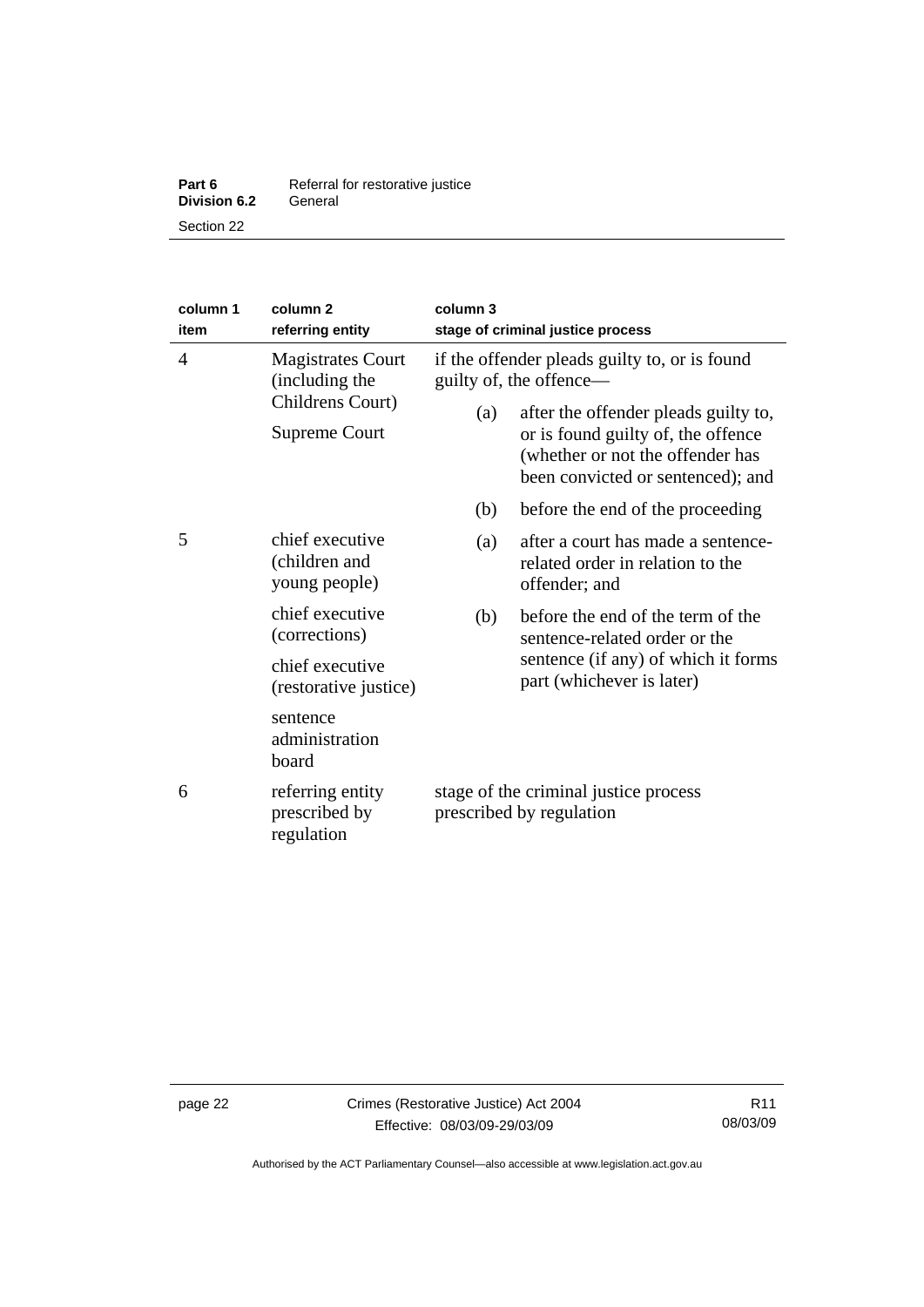| Part 6              | Referral for restorative justice |
|---------------------|----------------------------------|
| <b>Division 6.2</b> | General                          |
| Section 22          |                                  |

| column 1<br>item | column <sub>2</sub><br>referring entity                                                | column 3<br>stage of criminal justice process                                                                           |                                                                                                                                        |
|------------------|----------------------------------------------------------------------------------------|-------------------------------------------------------------------------------------------------------------------------|----------------------------------------------------------------------------------------------------------------------------------------|
| $\overline{4}$   | <b>Magistrates Court</b><br>(including the<br>Childrens Court)<br><b>Supreme Court</b> | if the offender pleads guilty to, or is found<br>guilty of, the offence—<br>after the offender pleads guilty to,<br>(a) |                                                                                                                                        |
|                  |                                                                                        |                                                                                                                         | or is found guilty of, the offence<br>(whether or not the offender has<br>been convicted or sentenced); and                            |
|                  |                                                                                        | (b)                                                                                                                     | before the end of the proceeding                                                                                                       |
| 5                | chief executive<br>(children and<br>young people)                                      | (a)                                                                                                                     | after a court has made a sentence-<br>related order in relation to the<br>offender; and                                                |
|                  | chief executive<br>(corrections)                                                       | (b)                                                                                                                     | before the end of the term of the<br>sentence-related order or the<br>sentence (if any) of which it forms<br>part (whichever is later) |
|                  | chief executive<br>(restorative justice)                                               |                                                                                                                         |                                                                                                                                        |
|                  | sentence<br>administration<br>board                                                    |                                                                                                                         |                                                                                                                                        |
| 6                | referring entity<br>prescribed by<br>regulation                                        | stage of the criminal justice process<br>prescribed by regulation                                                       |                                                                                                                                        |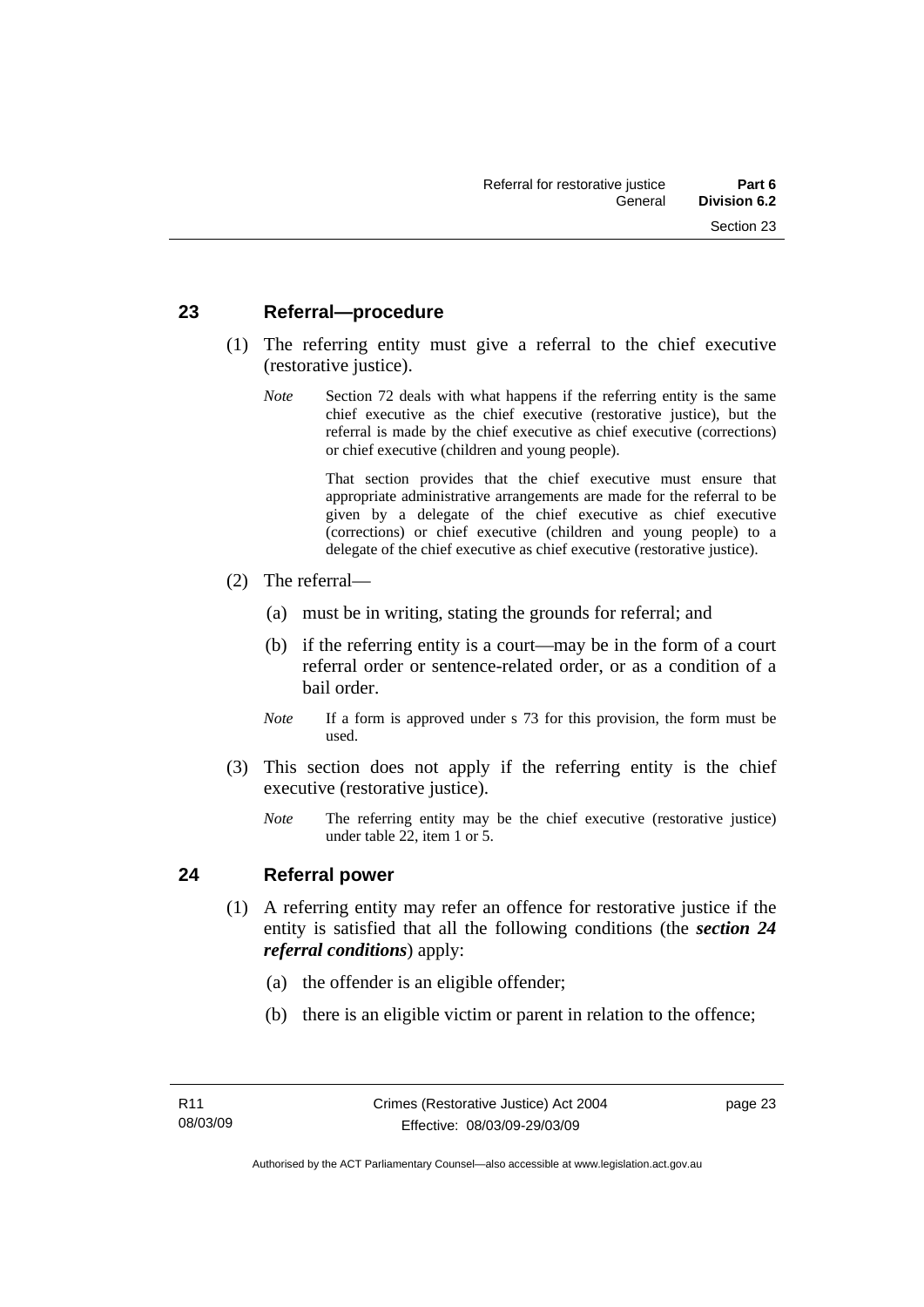#### <span id="page-30-0"></span>**23 Referral—procedure**

- (1) The referring entity must give a referral to the chief executive (restorative justice).
	- *Note* Section 72 deals with what happens if the referring entity is the same chief executive as the chief executive (restorative justice), but the referral is made by the chief executive as chief executive (corrections) or chief executive (children and young people).

 That section provides that the chief executive must ensure that appropriate administrative arrangements are made for the referral to be given by a delegate of the chief executive as chief executive (corrections) or chief executive (children and young people) to a delegate of the chief executive as chief executive (restorative justice).

- (2) The referral—
	- (a) must be in writing, stating the grounds for referral; and
	- (b) if the referring entity is a court—may be in the form of a court referral order or sentence-related order, or as a condition of a bail order.
	- *Note* If a form is approved under s 73 for this provision, the form must be used.
- (3) This section does not apply if the referring entity is the chief executive (restorative justice).
	- *Note* The referring entity may be the chief executive (restorative justice) under table 22, item 1 or 5.

#### **24 Referral power**

- (1) A referring entity may refer an offence for restorative justice if the entity is satisfied that all the following conditions (the *section 24 referral conditions*) apply:
	- (a) the offender is an eligible offender;
	- (b) there is an eligible victim or parent in relation to the offence;

page 23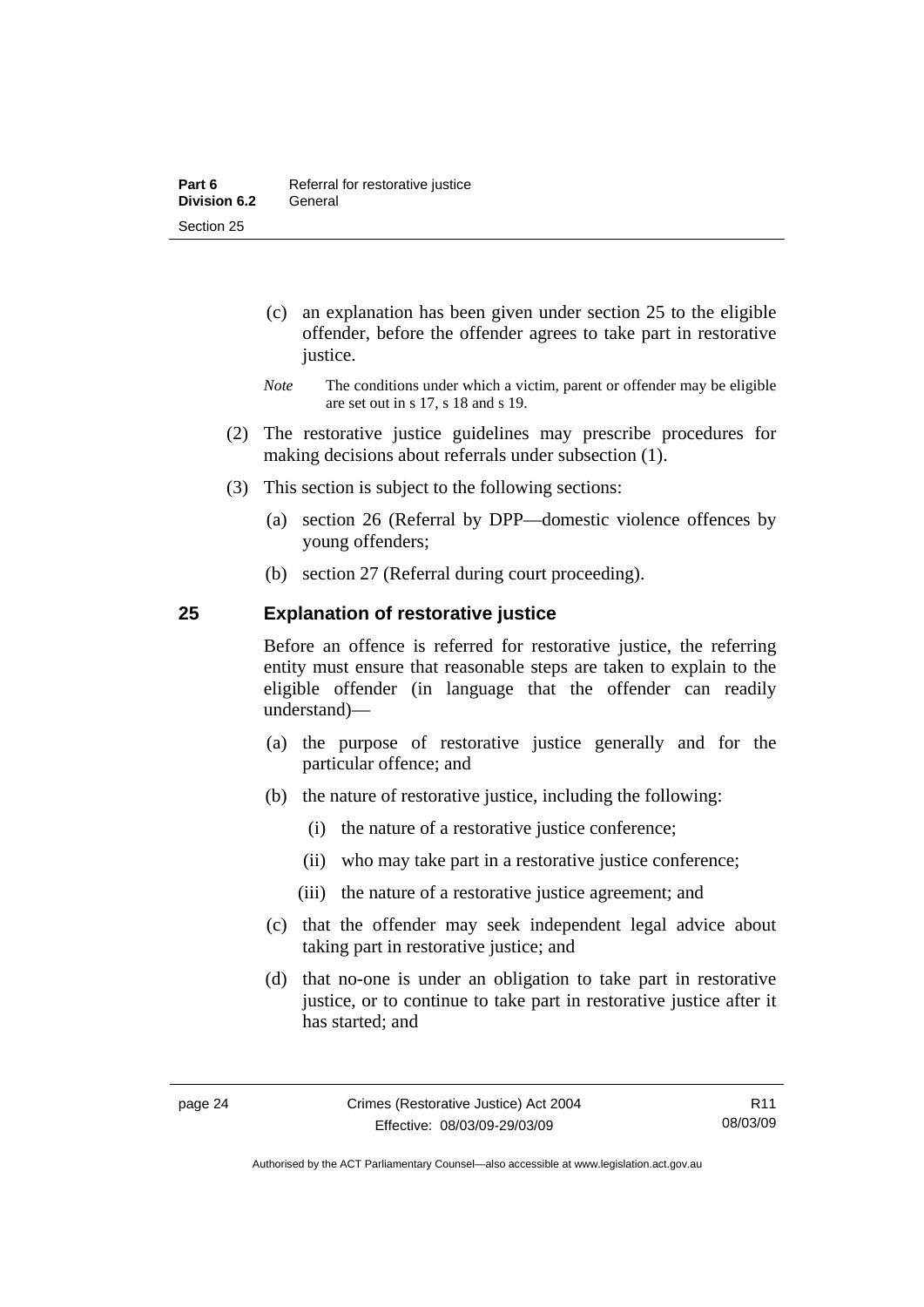- <span id="page-31-0"></span> (c) an explanation has been given under section 25 to the eligible offender, before the offender agrees to take part in restorative justice.
- *Note* The conditions under which a victim, parent or offender may be eligible are set out in s 17, s 18 and s 19.
- (2) The restorative justice guidelines may prescribe procedures for making decisions about referrals under subsection (1).
- (3) This section is subject to the following sections:
	- (a) section 26 (Referral by DPP—domestic violence offences by young offenders;
	- (b) section 27 (Referral during court proceeding).

#### **25 Explanation of restorative justice**

Before an offence is referred for restorative justice, the referring entity must ensure that reasonable steps are taken to explain to the eligible offender (in language that the offender can readily understand)––

- (a) the purpose of restorative justice generally and for the particular offence; and
- (b) the nature of restorative justice, including the following:
	- (i) the nature of a restorative justice conference;
	- (ii) who may take part in a restorative justice conference;
	- (iii) the nature of a restorative justice agreement; and
- (c) that the offender may seek independent legal advice about taking part in restorative justice; and
- (d) that no-one is under an obligation to take part in restorative justice, or to continue to take part in restorative justice after it has started; and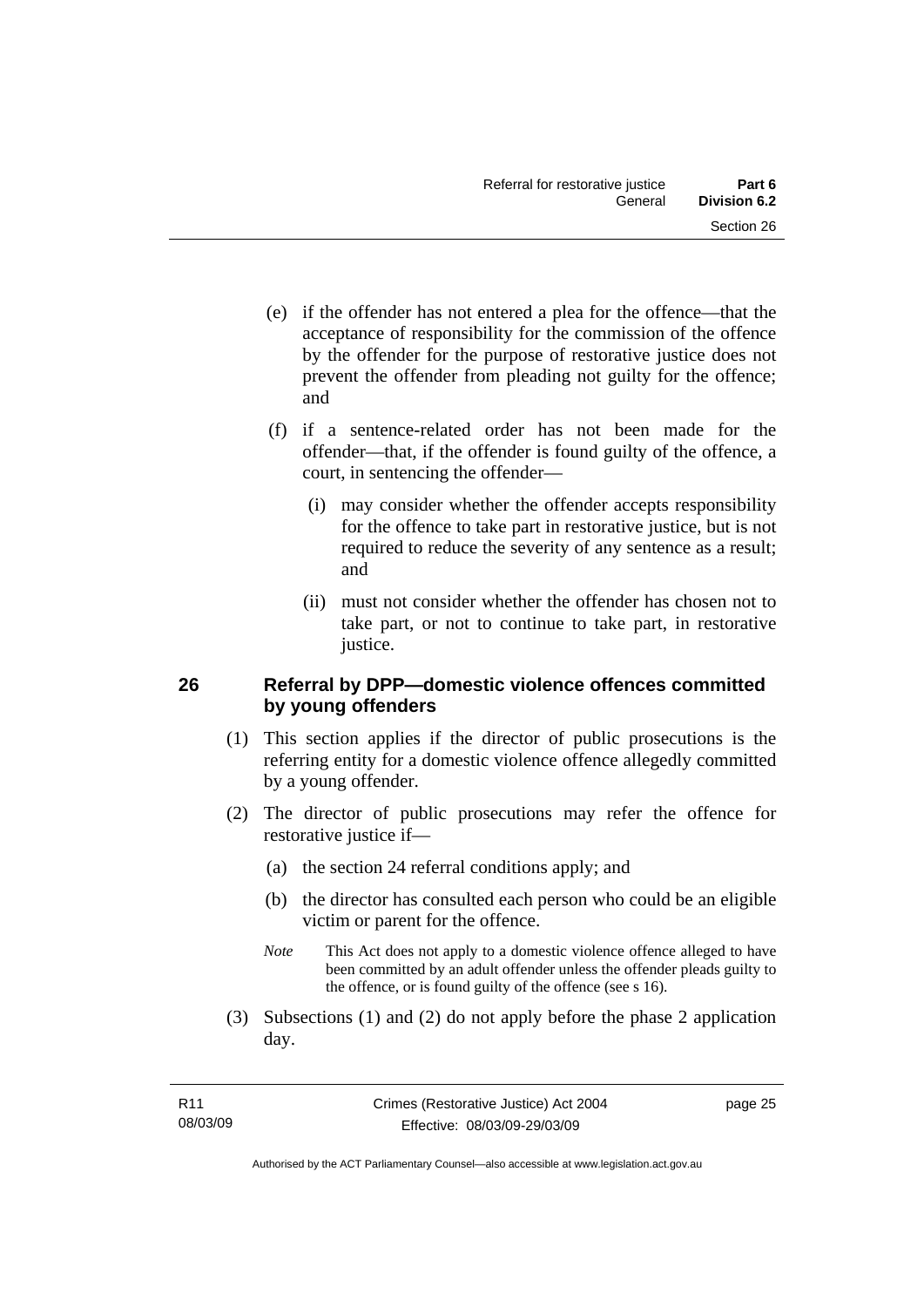- <span id="page-32-0"></span> (e) if the offender has not entered a plea for the offence—that the acceptance of responsibility for the commission of the offence by the offender for the purpose of restorative justice does not prevent the offender from pleading not guilty for the offence; and
- (f) if a sentence-related order has not been made for the offender—that, if the offender is found guilty of the offence, a court, in sentencing the offender—
	- (i) may consider whether the offender accepts responsibility for the offence to take part in restorative justice, but is not required to reduce the severity of any sentence as a result; and
	- (ii) must not consider whether the offender has chosen not to take part, or not to continue to take part, in restorative justice.

#### **26 Referral by DPP—domestic violence offences committed by young offenders**

- (1) This section applies if the director of public prosecutions is the referring entity for a domestic violence offence allegedly committed by a young offender.
- (2) The director of public prosecutions may refer the offence for restorative justice if—
	- (a) the section 24 referral conditions apply; and
	- (b) the director has consulted each person who could be an eligible victim or parent for the offence.
	- *Note* This Act does not apply to a domestic violence offence alleged to have been committed by an adult offender unless the offender pleads guilty to the offence, or is found guilty of the offence (see s 16).
- (3) Subsections (1) and (2) do not apply before the phase 2 application day.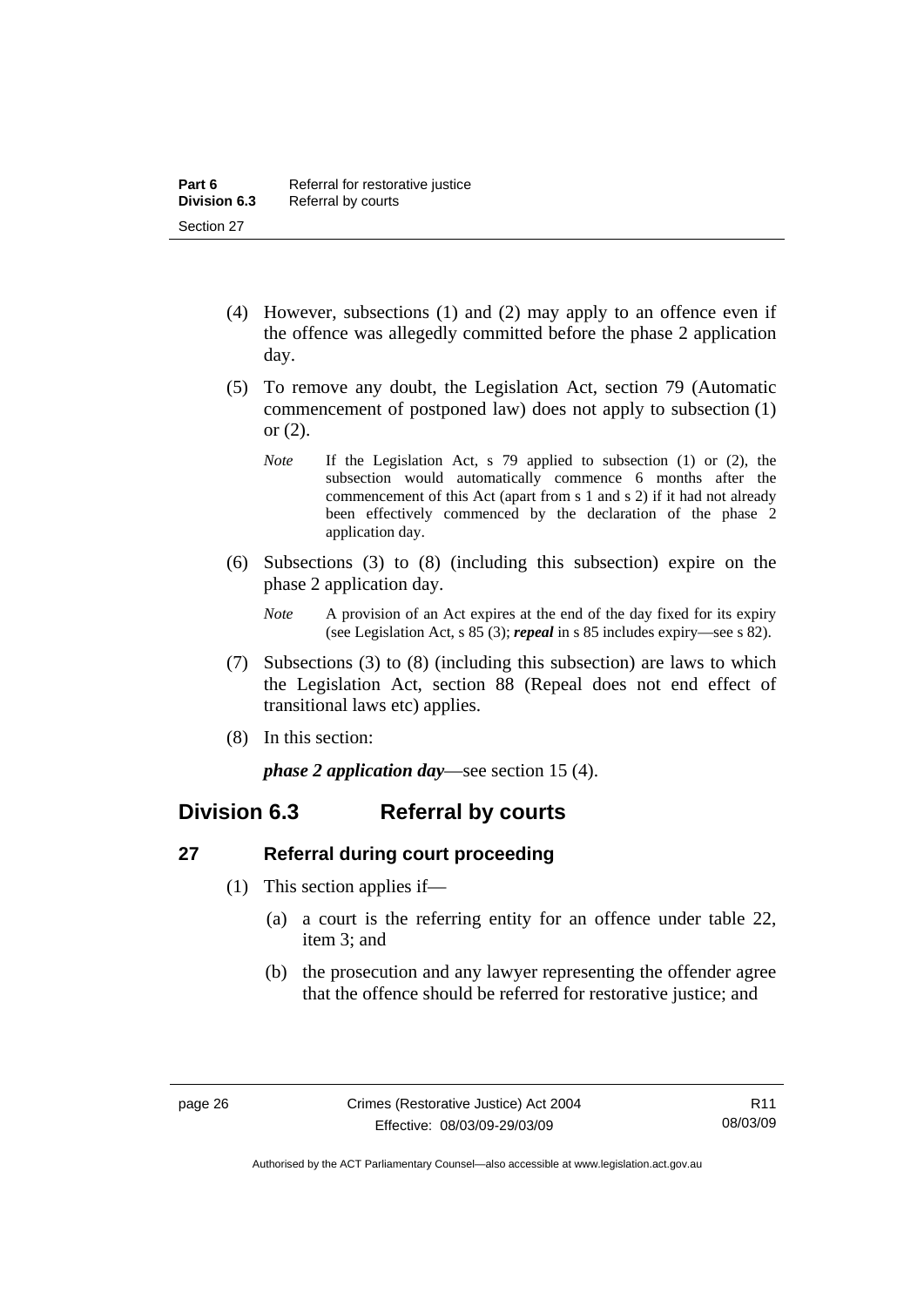- <span id="page-33-0"></span> (4) However, subsections (1) and (2) may apply to an offence even if the offence was allegedly committed before the phase 2 application day.
- (5) To remove any doubt, the Legislation Act, section 79 (Automatic commencement of postponed law) does not apply to subsection (1) or (2).
	- *Note* If the Legislation Act, s 79 applied to subsection (1) or (2), the subsection would automatically commence 6 months after the commencement of this Act (apart from s 1 and s 2) if it had not already been effectively commenced by the declaration of the phase 2 application day.
- (6) Subsections (3) to (8) (including this subsection) expire on the phase 2 application day.
	- *Note* A provision of an Act expires at the end of the day fixed for its expiry (see Legislation Act, s 85 (3); *repeal* in s 85 includes expiry—see s 82).
- (7) Subsections (3) to (8) (including this subsection) are laws to which the Legislation Act, section 88 (Repeal does not end effect of transitional laws etc) applies.
- (8) In this section:

*phase 2 application day*—see section 15 (4).

### **Division 6.3 Referral by courts**

#### **27 Referral during court proceeding**

- (1) This section applies if—
	- (a) a court is the referring entity for an offence under table 22, item 3; and
	- (b) the prosecution and any lawyer representing the offender agree that the offence should be referred for restorative justice; and

Authorised by the ACT Parliamentary Counsel—also accessible at www.legislation.act.gov.au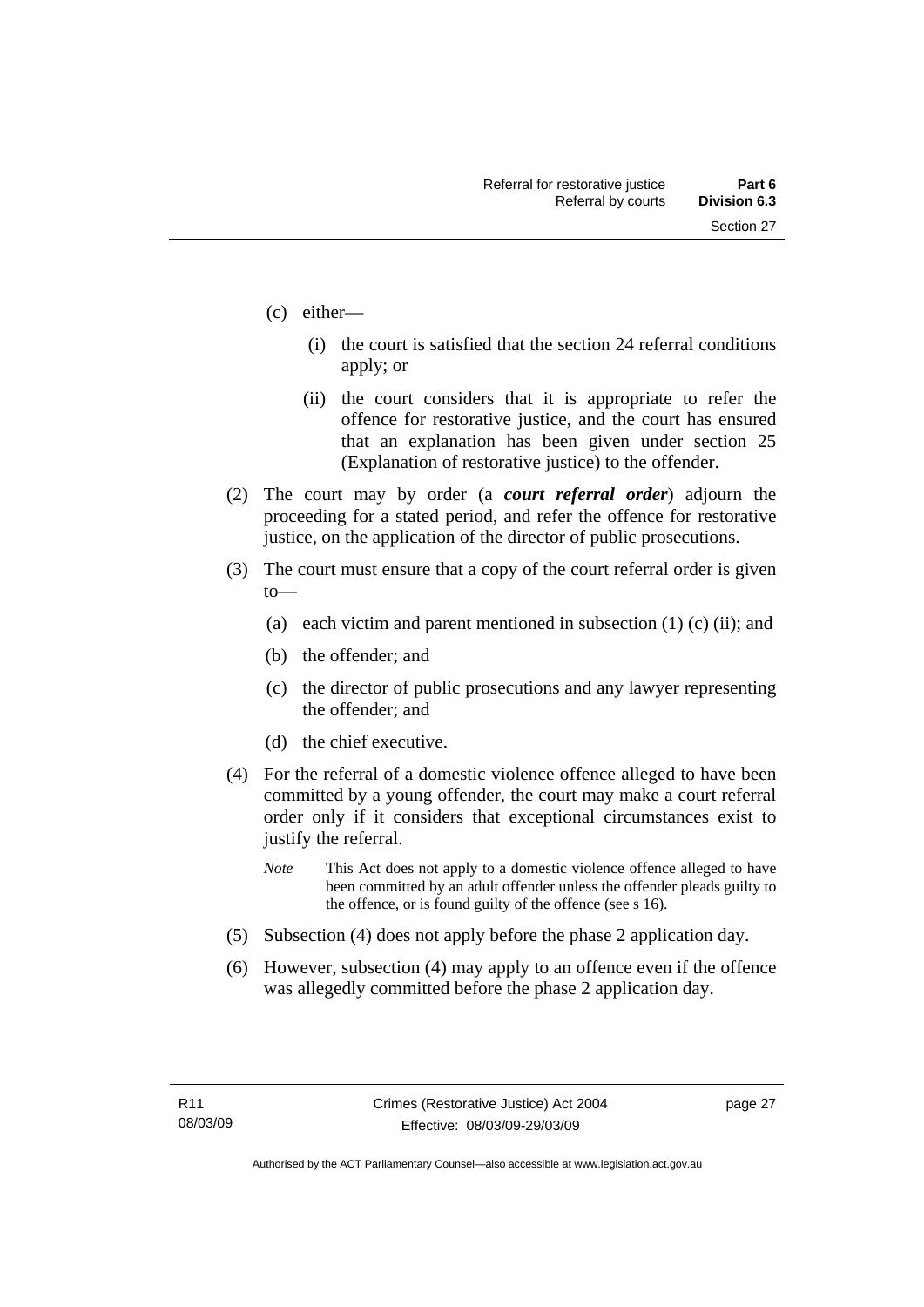- (c) either—
	- (i) the court is satisfied that the section 24 referral conditions apply; or
	- (ii) the court considers that it is appropriate to refer the offence for restorative justice, and the court has ensured that an explanation has been given under section 25 (Explanation of restorative justice) to the offender.
- (2) The court may by order (a *court referral order*) adjourn the proceeding for a stated period, and refer the offence for restorative justice, on the application of the director of public prosecutions.
- (3) The court must ensure that a copy of the court referral order is given to—
	- (a) each victim and parent mentioned in subsection  $(1)$  (c) (ii); and
	- (b) the offender; and
	- (c) the director of public prosecutions and any lawyer representing the offender; and
	- (d) the chief executive.
- (4) For the referral of a domestic violence offence alleged to have been committed by a young offender, the court may make a court referral order only if it considers that exceptional circumstances exist to justify the referral.
	- *Note* This Act does not apply to a domestic violence offence alleged to have been committed by an adult offender unless the offender pleads guilty to the offence, or is found guilty of the offence (see s 16).
- (5) Subsection (4) does not apply before the phase 2 application day.
- (6) However, subsection (4) may apply to an offence even if the offence was allegedly committed before the phase 2 application day.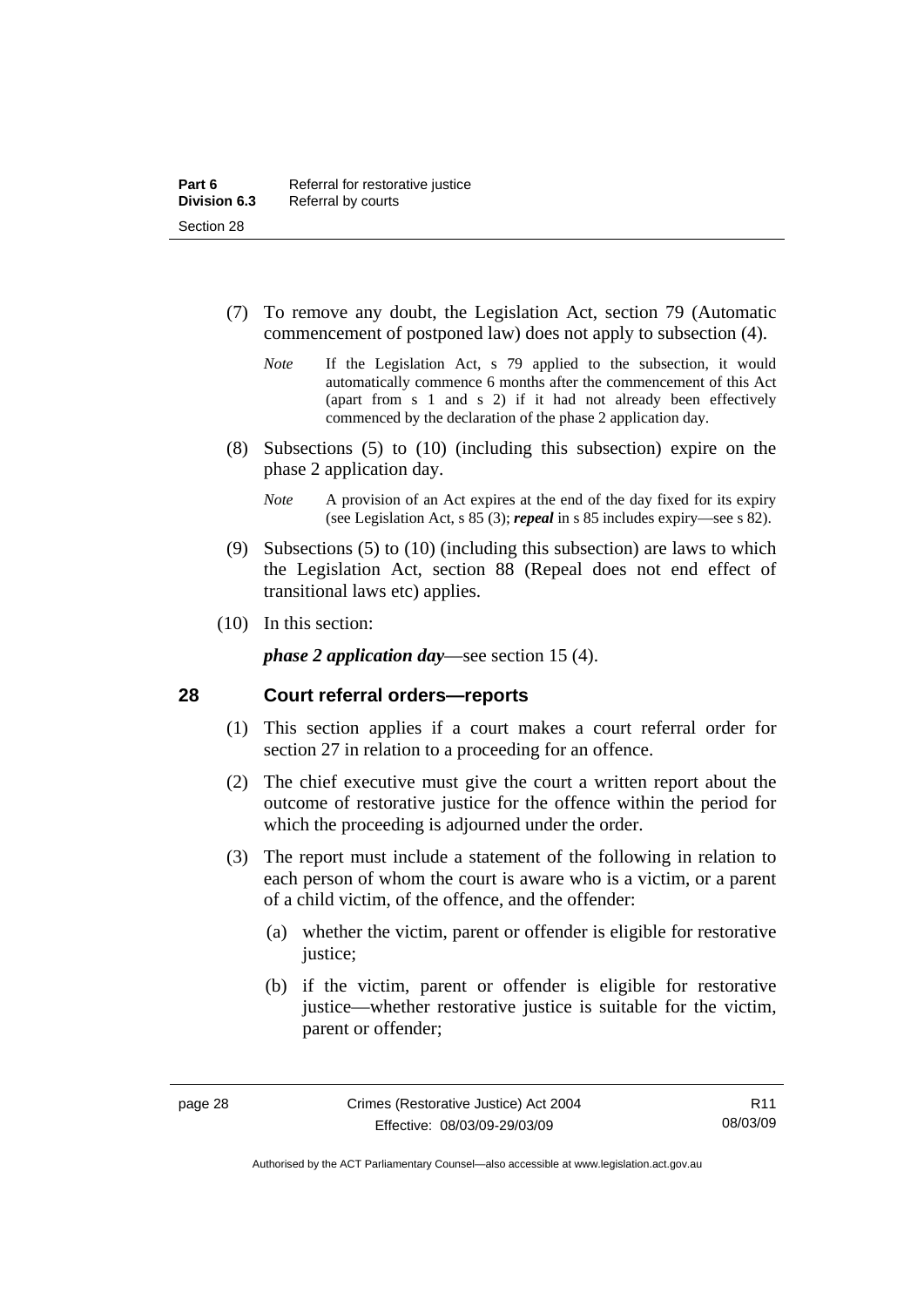- <span id="page-35-0"></span> (7) To remove any doubt, the Legislation Act, section 79 (Automatic commencement of postponed law) does not apply to subsection (4).
	- *Note* If the Legislation Act, s 79 applied to the subsection, it would automatically commence 6 months after the commencement of this Act (apart from s 1 and s 2) if it had not already been effectively commenced by the declaration of the phase 2 application day.
- (8) Subsections (5) to (10) (including this subsection) expire on the phase 2 application day.
	- *Note* A provision of an Act expires at the end of the day fixed for its expiry (see Legislation Act, s 85 (3); *repeal* in s 85 includes expiry—see s 82).
- (9) Subsections (5) to (10) (including this subsection) are laws to which the Legislation Act, section 88 (Repeal does not end effect of transitional laws etc) applies.
- (10) In this section:

*phase 2 application day*—see section 15 (4).

#### **28 Court referral orders—reports**

- (1) This section applies if a court makes a court referral order for section 27 in relation to a proceeding for an offence.
- (2) The chief executive must give the court a written report about the outcome of restorative justice for the offence within the period for which the proceeding is adjourned under the order.
- (3) The report must include a statement of the following in relation to each person of whom the court is aware who is a victim, or a parent of a child victim, of the offence, and the offender:
	- (a) whether the victim, parent or offender is eligible for restorative justice;
	- (b) if the victim, parent or offender is eligible for restorative justice—whether restorative justice is suitable for the victim, parent or offender;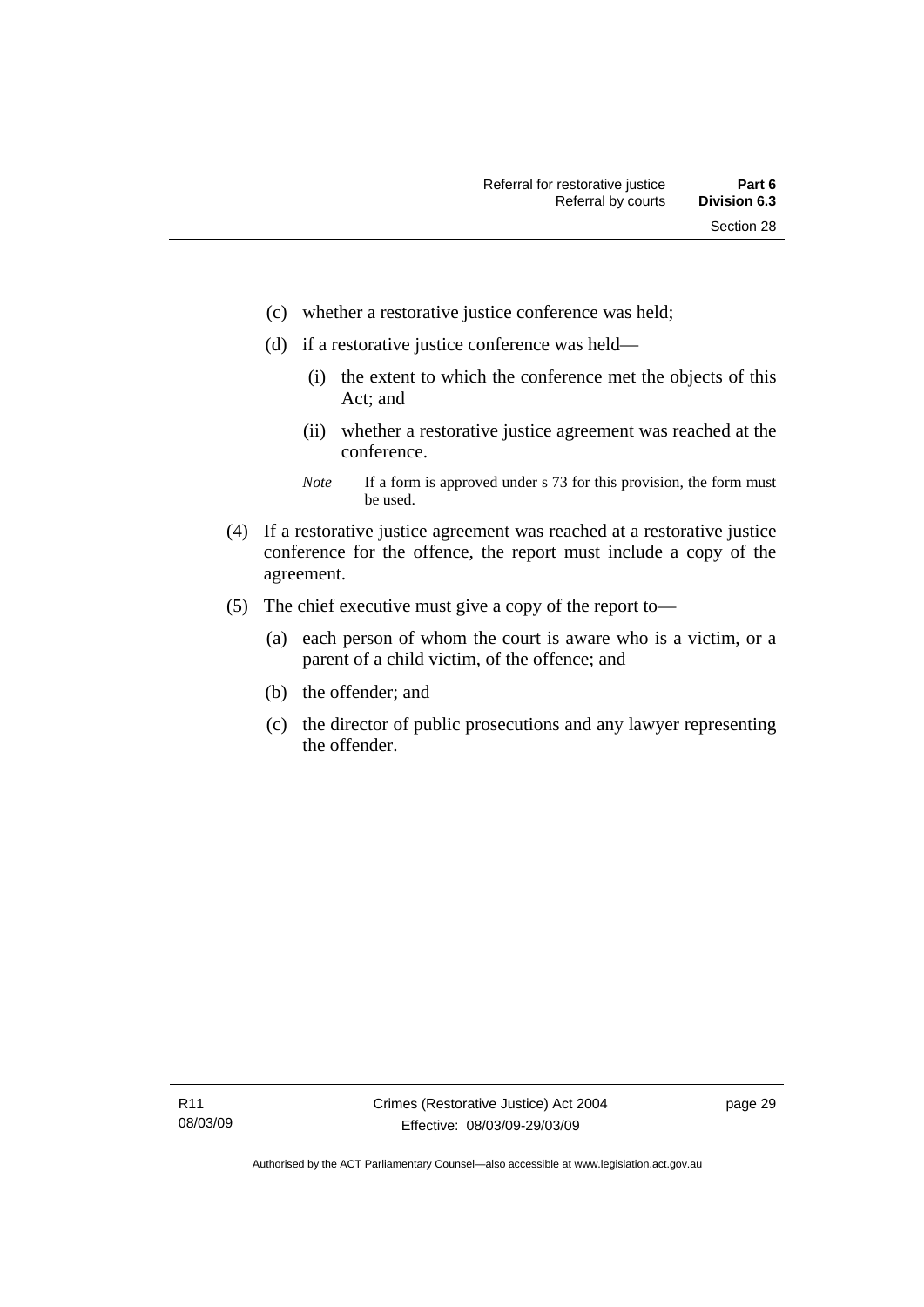- (c) whether a restorative justice conference was held;
- (d) if a restorative justice conference was held—
	- (i) the extent to which the conference met the objects of this Act; and
	- (ii) whether a restorative justice agreement was reached at the conference.
	- *Note* If a form is approved under s 73 for this provision, the form must be used.
- (4) If a restorative justice agreement was reached at a restorative justice conference for the offence, the report must include a copy of the agreement.
- (5) The chief executive must give a copy of the report to—
	- (a) each person of whom the court is aware who is a victim, or a parent of a child victim, of the offence; and
	- (b) the offender; and
	- (c) the director of public prosecutions and any lawyer representing the offender.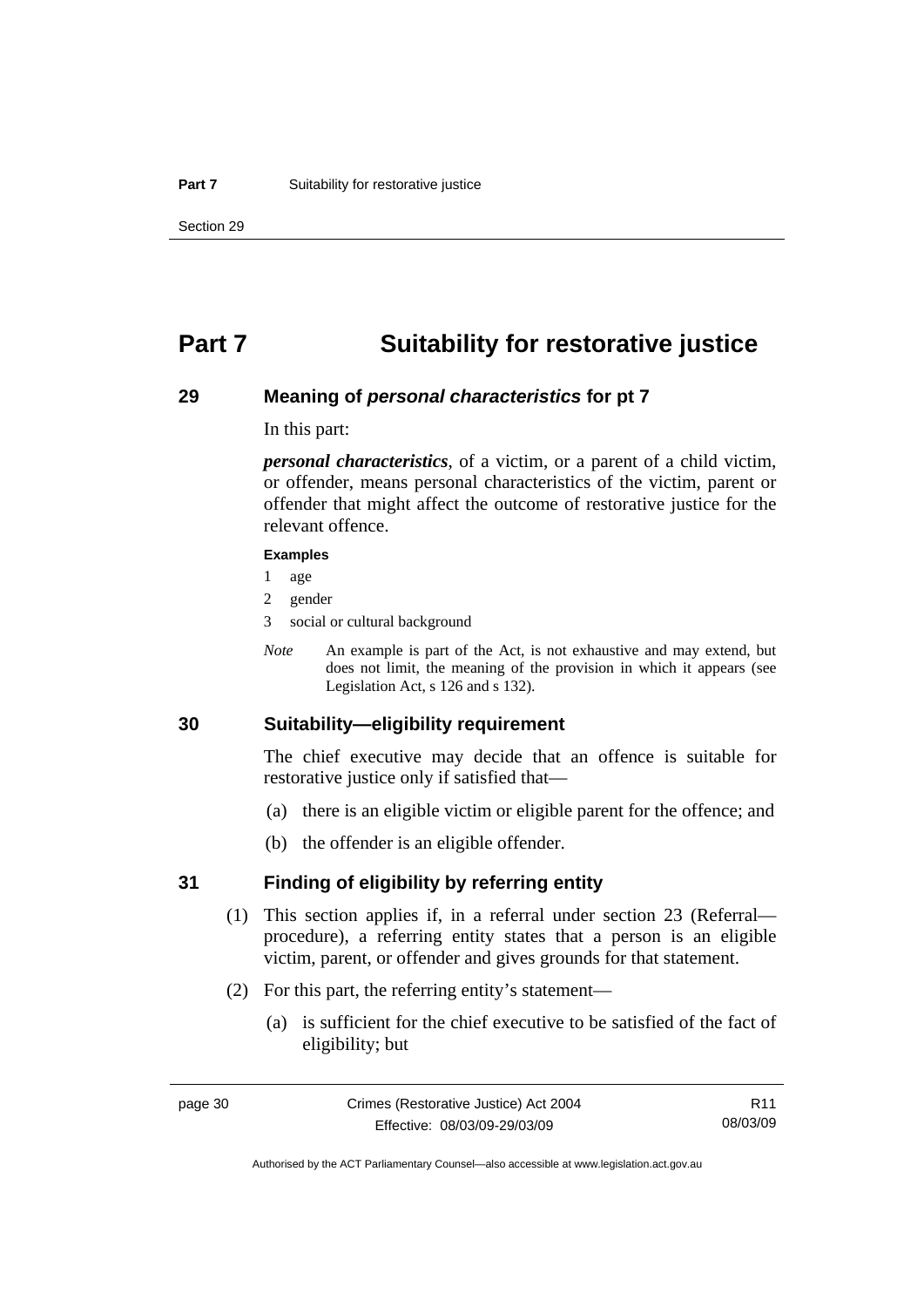## **Part 7 Suitability for restorative justice**

### **29 Meaning of** *personal characteristics* **for pt 7**

In this part:

*personal characteristics*, of a victim, or a parent of a child victim, or offender, means personal characteristics of the victim, parent or offender that might affect the outcome of restorative justice for the relevant offence.

#### **Examples**

- 1 age
- 2 gender
- 3 social or cultural background
- *Note* An example is part of the Act, is not exhaustive and may extend, but does not limit, the meaning of the provision in which it appears (see Legislation Act, s 126 and s 132).

## **30 Suitability—eligibility requirement**

The chief executive may decide that an offence is suitable for restorative justice only if satisfied that—

- (a) there is an eligible victim or eligible parent for the offence; and
- (b) the offender is an eligible offender.

### **31 Finding of eligibility by referring entity**

- (1) This section applies if, in a referral under section 23 (Referral procedure), a referring entity states that a person is an eligible victim, parent, or offender and gives grounds for that statement.
- (2) For this part, the referring entity's statement—
	- (a) is sufficient for the chief executive to be satisfied of the fact of eligibility; but

R11 08/03/09

Authorised by the ACT Parliamentary Counsel—also accessible at www.legislation.act.gov.au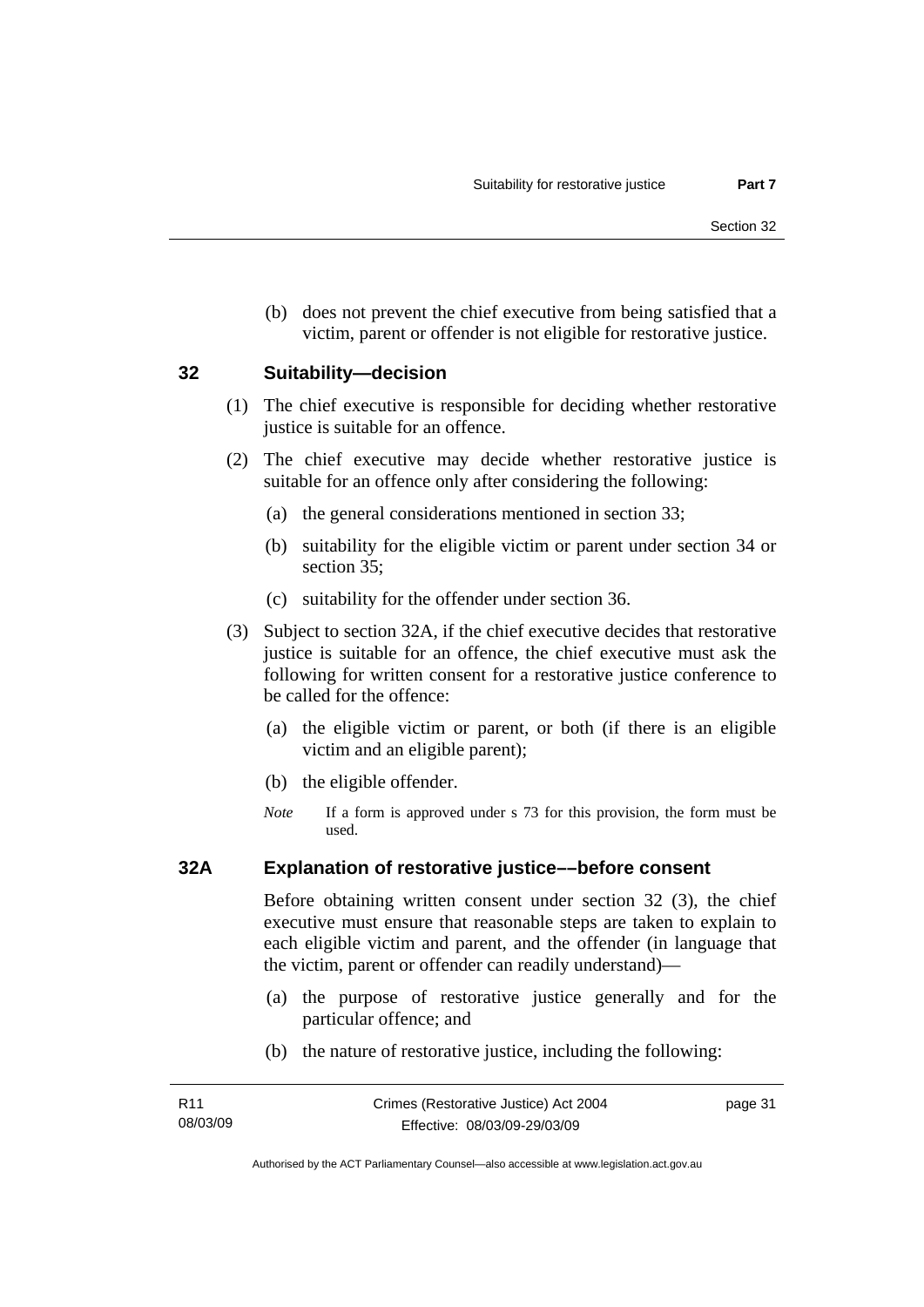(b) does not prevent the chief executive from being satisfied that a victim, parent or offender is not eligible for restorative justice.

### **32 Suitability—decision**

- (1) The chief executive is responsible for deciding whether restorative justice is suitable for an offence.
- (2) The chief executive may decide whether restorative justice is suitable for an offence only after considering the following:
	- (a) the general considerations mentioned in section 33;
	- (b) suitability for the eligible victim or parent under section 34 or section 35;
	- (c) suitability for the offender under section 36.
- (3) Subject to section 32A, if the chief executive decides that restorative justice is suitable for an offence, the chief executive must ask the following for written consent for a restorative justice conference to be called for the offence:
	- (a) the eligible victim or parent, or both (if there is an eligible victim and an eligible parent);
	- (b) the eligible offender.
	- *Note* If a form is approved under s 73 for this provision, the form must be used.

### **32A Explanation of restorative justice––before consent**

Before obtaining written consent under section 32 (3), the chief executive must ensure that reasonable steps are taken to explain to each eligible victim and parent, and the offender (in language that the victim, parent or offender can readily understand)—

- (a) the purpose of restorative justice generally and for the particular offence; and
- (b) the nature of restorative justice, including the following: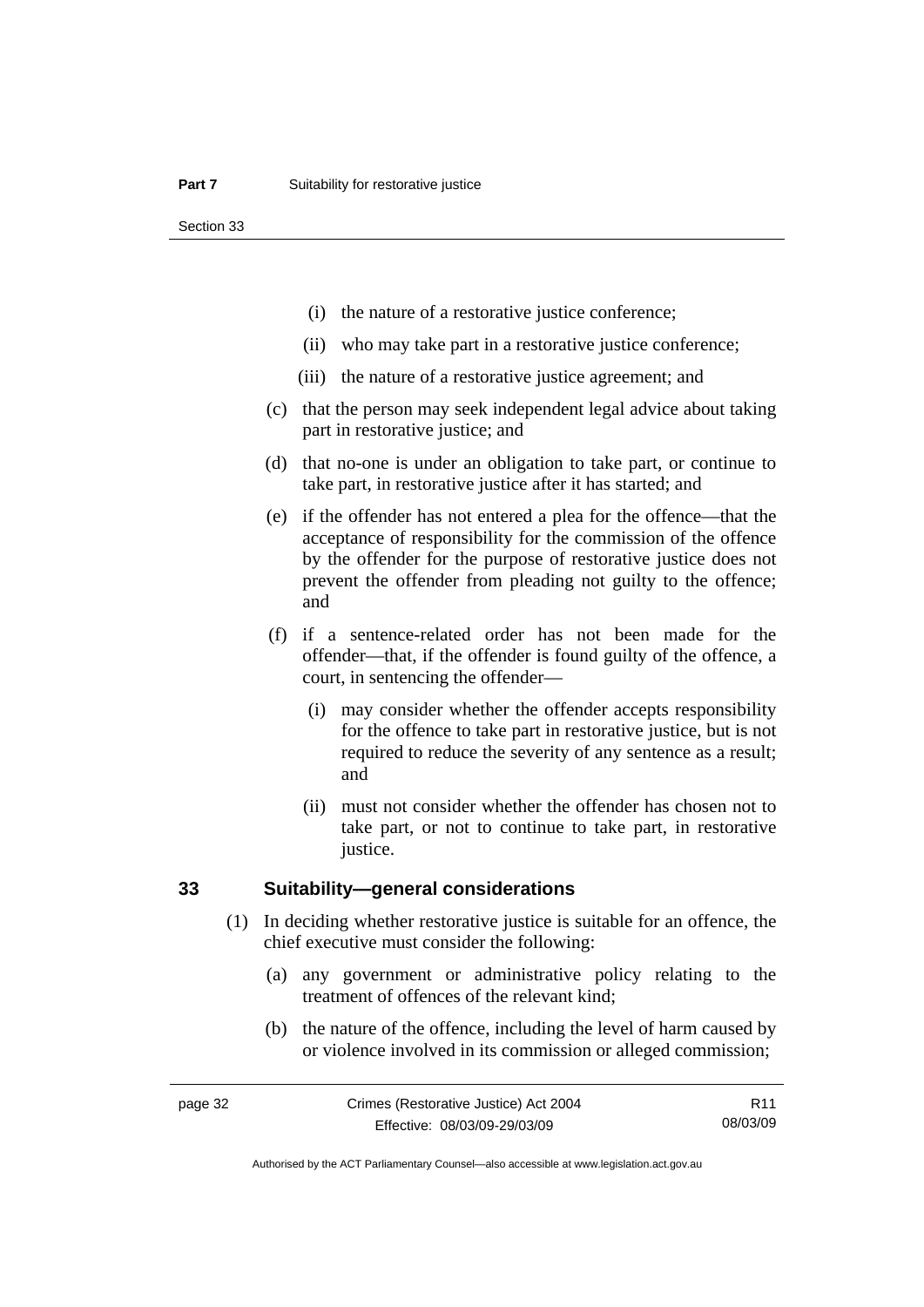Section 33

- (i) the nature of a restorative justice conference;
- (ii) who may take part in a restorative justice conference;
- (iii) the nature of a restorative justice agreement; and
- (c) that the person may seek independent legal advice about taking part in restorative justice; and
- (d) that no-one is under an obligation to take part, or continue to take part, in restorative justice after it has started; and
- (e) if the offender has not entered a plea for the offence—that the acceptance of responsibility for the commission of the offence by the offender for the purpose of restorative justice does not prevent the offender from pleading not guilty to the offence; and
- (f) if a sentence-related order has not been made for the offender—that, if the offender is found guilty of the offence, a court, in sentencing the offender—
	- (i) may consider whether the offender accepts responsibility for the offence to take part in restorative justice, but is not required to reduce the severity of any sentence as a result; and
	- (ii) must not consider whether the offender has chosen not to take part, or not to continue to take part, in restorative justice.

### **33 Suitability—general considerations**

- (1) In deciding whether restorative justice is suitable for an offence, the chief executive must consider the following:
	- (a) any government or administrative policy relating to the treatment of offences of the relevant kind;
	- (b) the nature of the offence, including the level of harm caused by or violence involved in its commission or alleged commission;

R11 08/03/09

Authorised by the ACT Parliamentary Counsel—also accessible at www.legislation.act.gov.au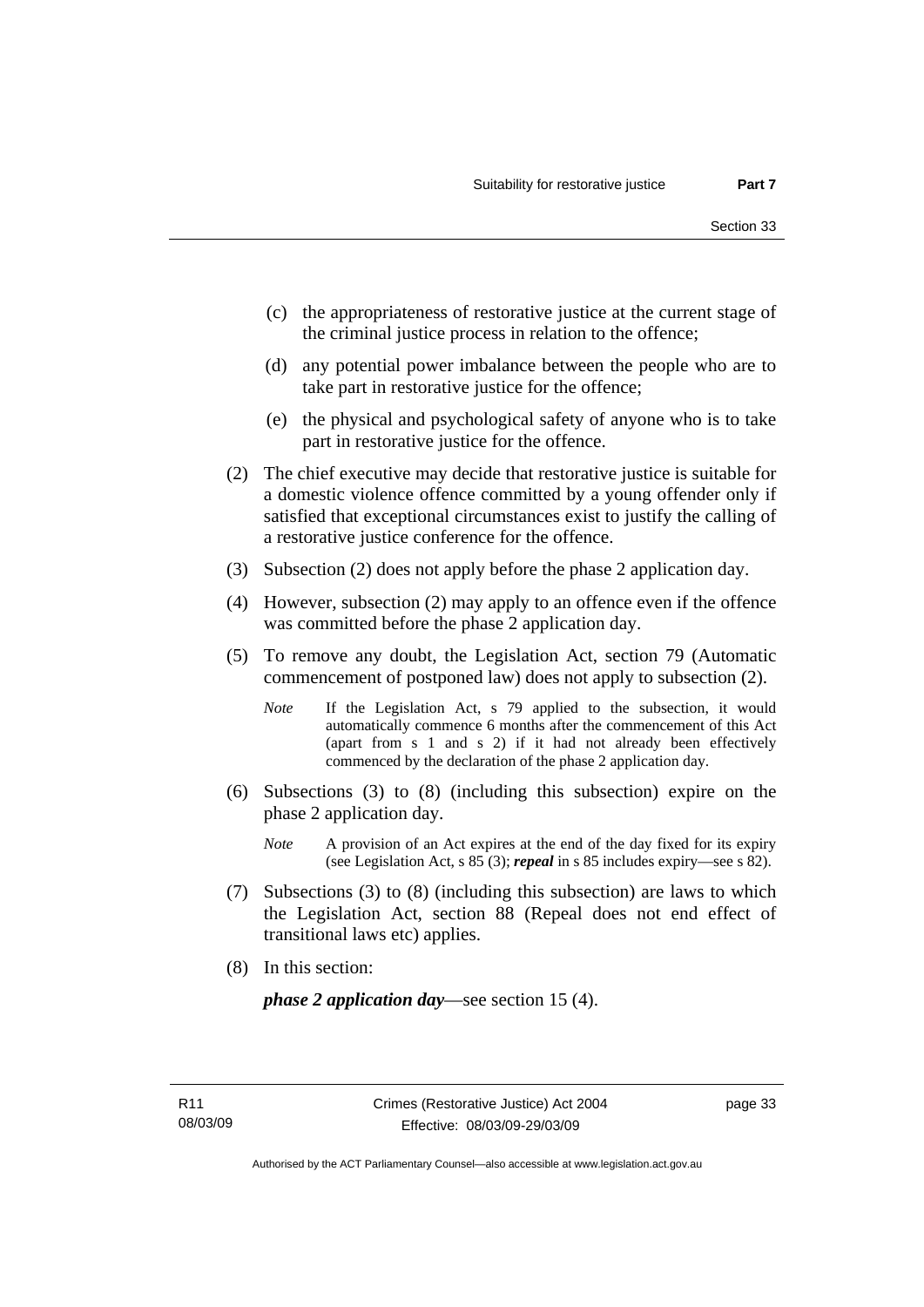- (c) the appropriateness of restorative justice at the current stage of the criminal justice process in relation to the offence;
- (d) any potential power imbalance between the people who are to take part in restorative justice for the offence;
- (e) the physical and psychological safety of anyone who is to take part in restorative justice for the offence.
- (2) The chief executive may decide that restorative justice is suitable for a domestic violence offence committed by a young offender only if satisfied that exceptional circumstances exist to justify the calling of a restorative justice conference for the offence.
- (3) Subsection (2) does not apply before the phase 2 application day.
- (4) However, subsection (2) may apply to an offence even if the offence was committed before the phase 2 application day.
- (5) To remove any doubt, the Legislation Act, section 79 (Automatic commencement of postponed law) does not apply to subsection (2).
	- *Note* If the Legislation Act, s 79 applied to the subsection, it would automatically commence 6 months after the commencement of this Act (apart from s 1 and s 2) if it had not already been effectively commenced by the declaration of the phase 2 application day.
- (6) Subsections (3) to (8) (including this subsection) expire on the phase 2 application day.
	- *Note* A provision of an Act expires at the end of the day fixed for its expiry (see Legislation Act, s 85 (3); *repeal* in s 85 includes expiry—see s 82).
- (7) Subsections (3) to (8) (including this subsection) are laws to which the Legislation Act, section 88 (Repeal does not end effect of transitional laws etc) applies.
- (8) In this section:

*phase 2 application day*—see section 15 (4).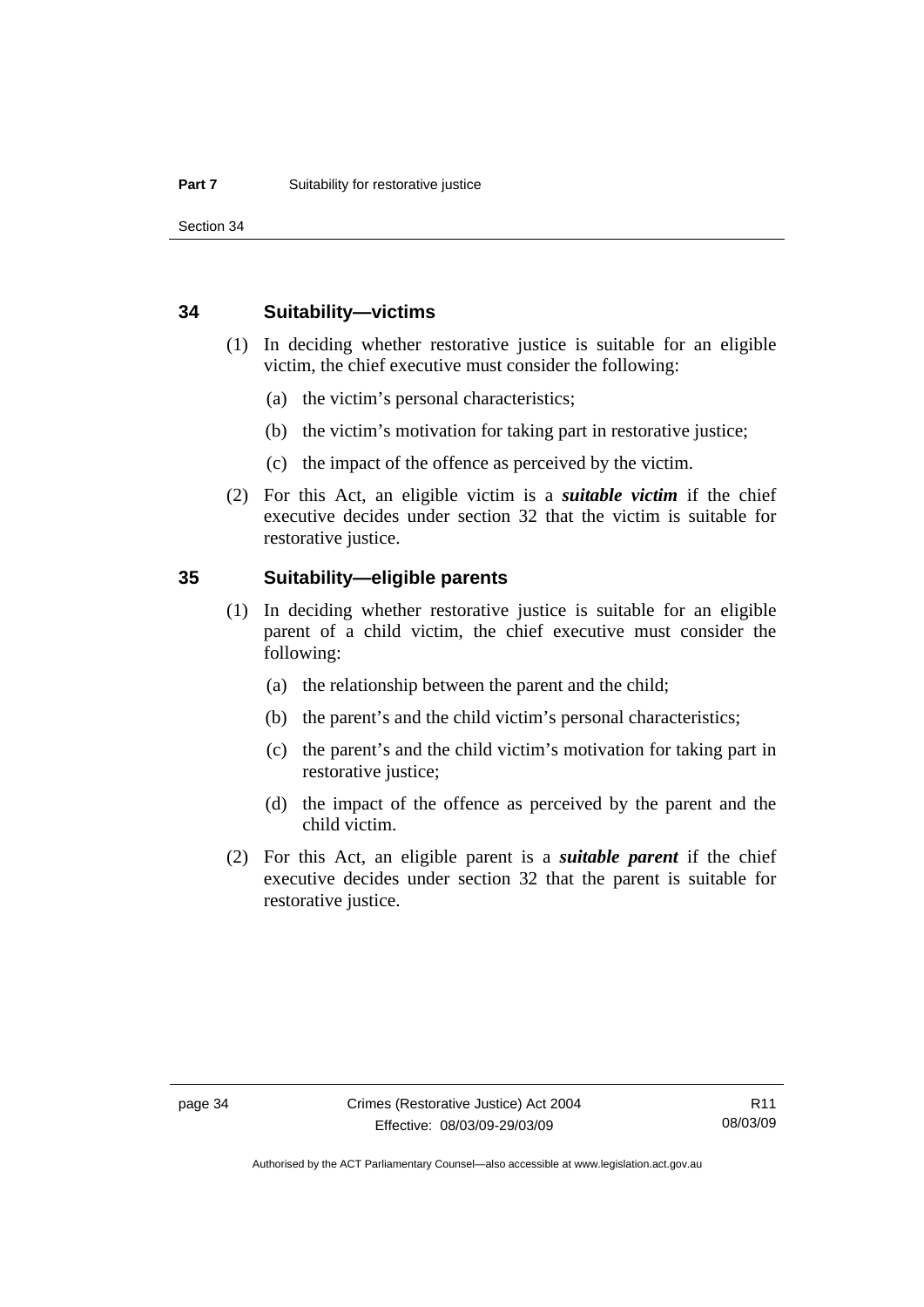Section 34

### **34 Suitability—victims**

- (1) In deciding whether restorative justice is suitable for an eligible victim, the chief executive must consider the following:
	- (a) the victim's personal characteristics;
	- (b) the victim's motivation for taking part in restorative justice;
	- (c) the impact of the offence as perceived by the victim.
- (2) For this Act, an eligible victim is a *suitable victim* if the chief executive decides under section 32 that the victim is suitable for restorative justice.

## **35 Suitability—eligible parents**

- (1) In deciding whether restorative justice is suitable for an eligible parent of a child victim, the chief executive must consider the following:
	- (a) the relationship between the parent and the child;
	- (b) the parent's and the child victim's personal characteristics;
	- (c) the parent's and the child victim's motivation for taking part in restorative justice;
	- (d) the impact of the offence as perceived by the parent and the child victim.
- (2) For this Act, an eligible parent is a *suitable parent* if the chief executive decides under section 32 that the parent is suitable for restorative justice.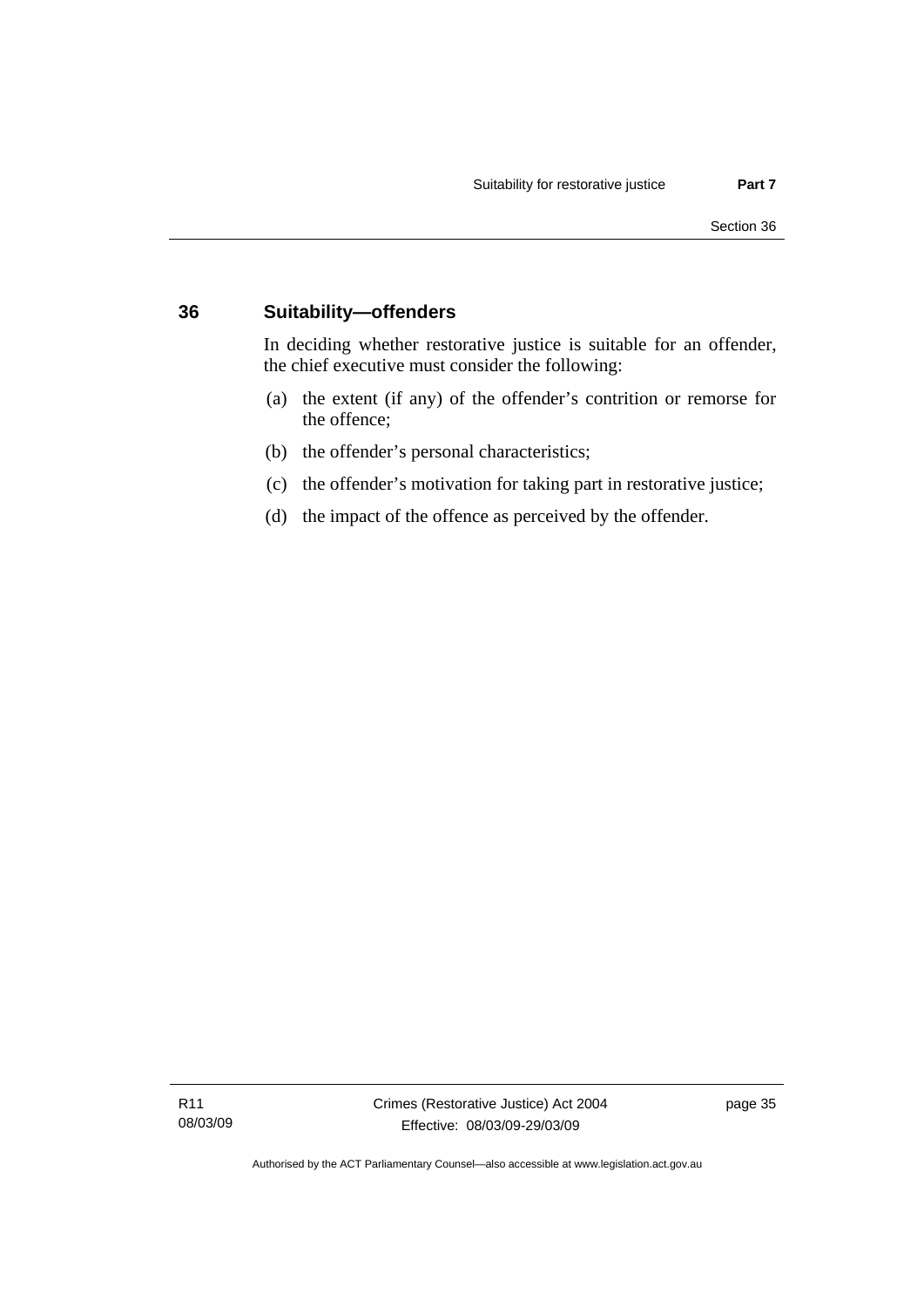## **36 Suitability—offenders**

In deciding whether restorative justice is suitable for an offender, the chief executive must consider the following:

- (a) the extent (if any) of the offender's contrition or remorse for the offence;
- (b) the offender's personal characteristics;
- (c) the offender's motivation for taking part in restorative justice;
- (d) the impact of the offence as perceived by the offender.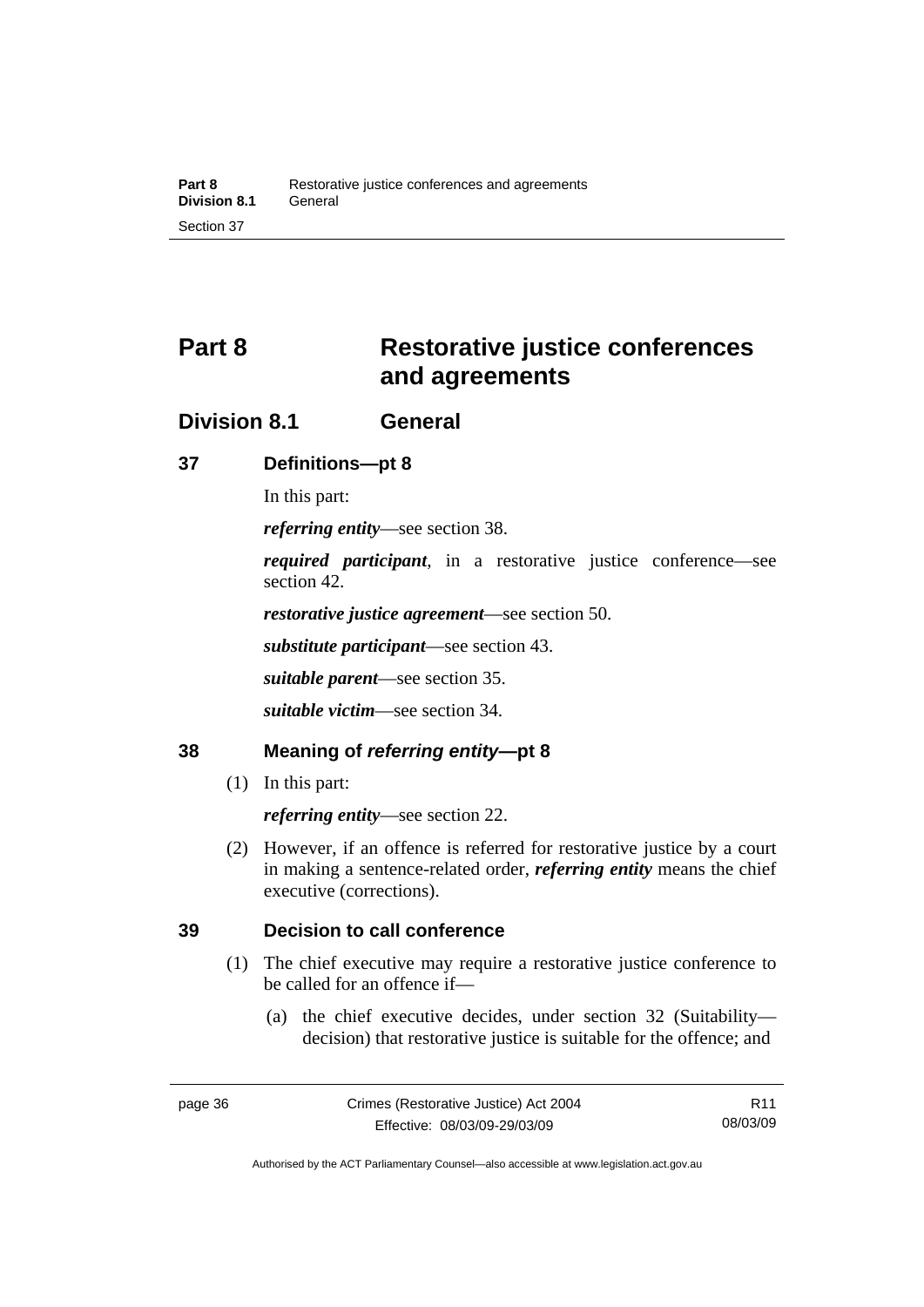# **Part 8 Restorative justice conferences and agreements**

## **Division 8.1 General**

## **37 Definitions—pt 8**

In this part:

*referring entity*—see section 38.

*required participant*, in a restorative justice conference—see section 42.

*restorative justice agreement*—see section 50.

*substitute participant*—see section 43.

*suitable parent*—see section 35.

*suitable victim*—see section 34.

## **38 Meaning of** *referring entity***—pt 8**

(1) In this part:

*referring entity*—see section 22.

 (2) However, if an offence is referred for restorative justice by a court in making a sentence-related order, *referring entity* means the chief executive (corrections).

## **39 Decision to call conference**

- (1) The chief executive may require a restorative justice conference to be called for an offence if—
	- (a) the chief executive decides, under section 32 (Suitability decision) that restorative justice is suitable for the offence; and

Authorised by the ACT Parliamentary Counsel—also accessible at www.legislation.act.gov.au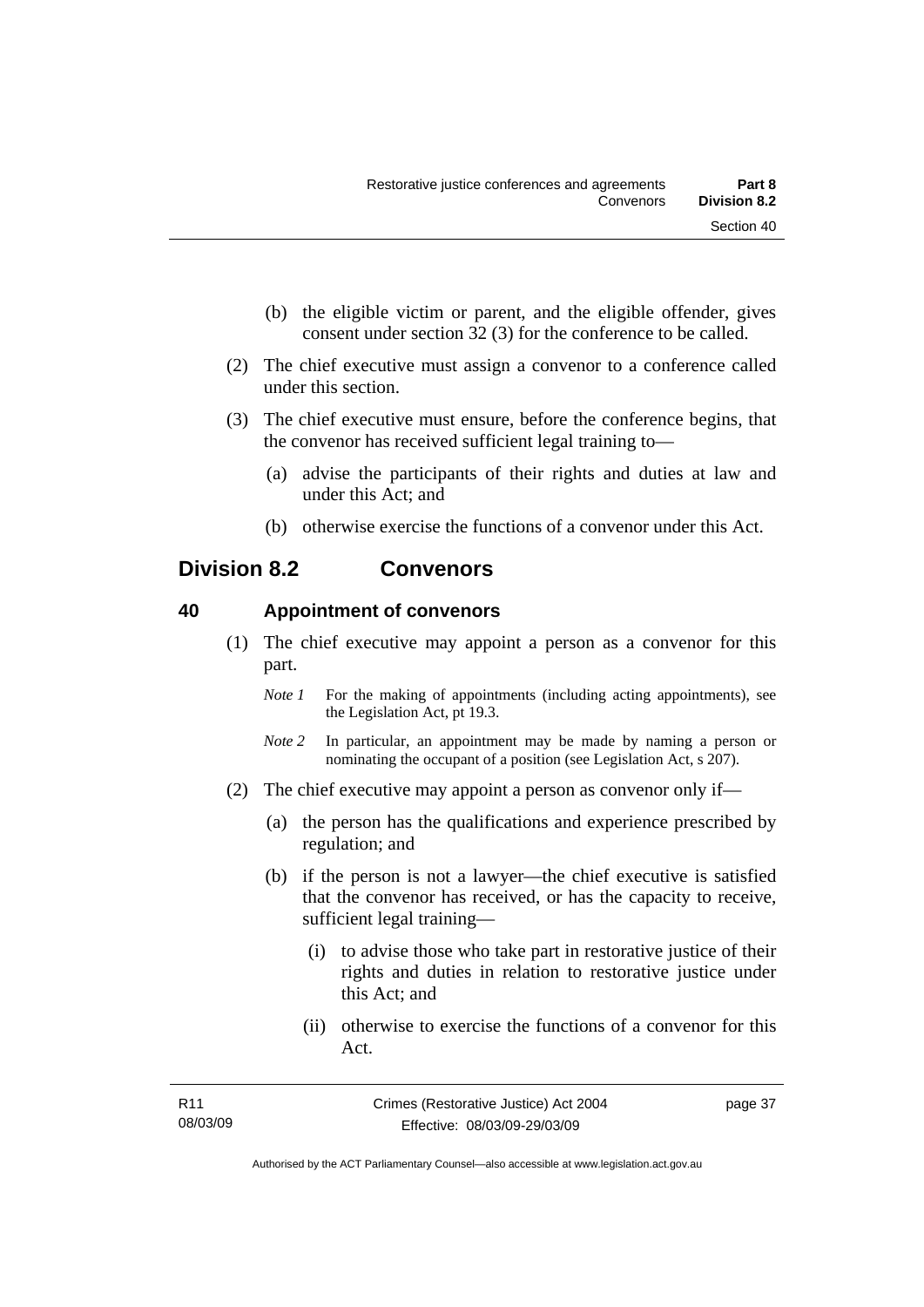- (b) the eligible victim or parent, and the eligible offender, gives consent under section 32 (3) for the conference to be called.
- (2) The chief executive must assign a convenor to a conference called under this section.
- (3) The chief executive must ensure, before the conference begins, that the convenor has received sufficient legal training to—
	- (a) advise the participants of their rights and duties at law and under this Act; and
	- (b) otherwise exercise the functions of a convenor under this Act.

## **Division 8.2 Convenors**

## **40 Appointment of convenors**

- (1) The chief executive may appoint a person as a convenor for this part.
	- *Note 1* For the making of appointments (including acting appointments), see the Legislation Act, pt 19.3.
	- *Note 2* In particular, an appointment may be made by naming a person or nominating the occupant of a position (see Legislation Act, s 207).
- (2) The chief executive may appoint a person as convenor only if—
	- (a) the person has the qualifications and experience prescribed by regulation; and
	- (b) if the person is not a lawyer—the chief executive is satisfied that the convenor has received, or has the capacity to receive, sufficient legal training—
		- (i) to advise those who take part in restorative justice of their rights and duties in relation to restorative justice under this Act; and
		- (ii) otherwise to exercise the functions of a convenor for this Act.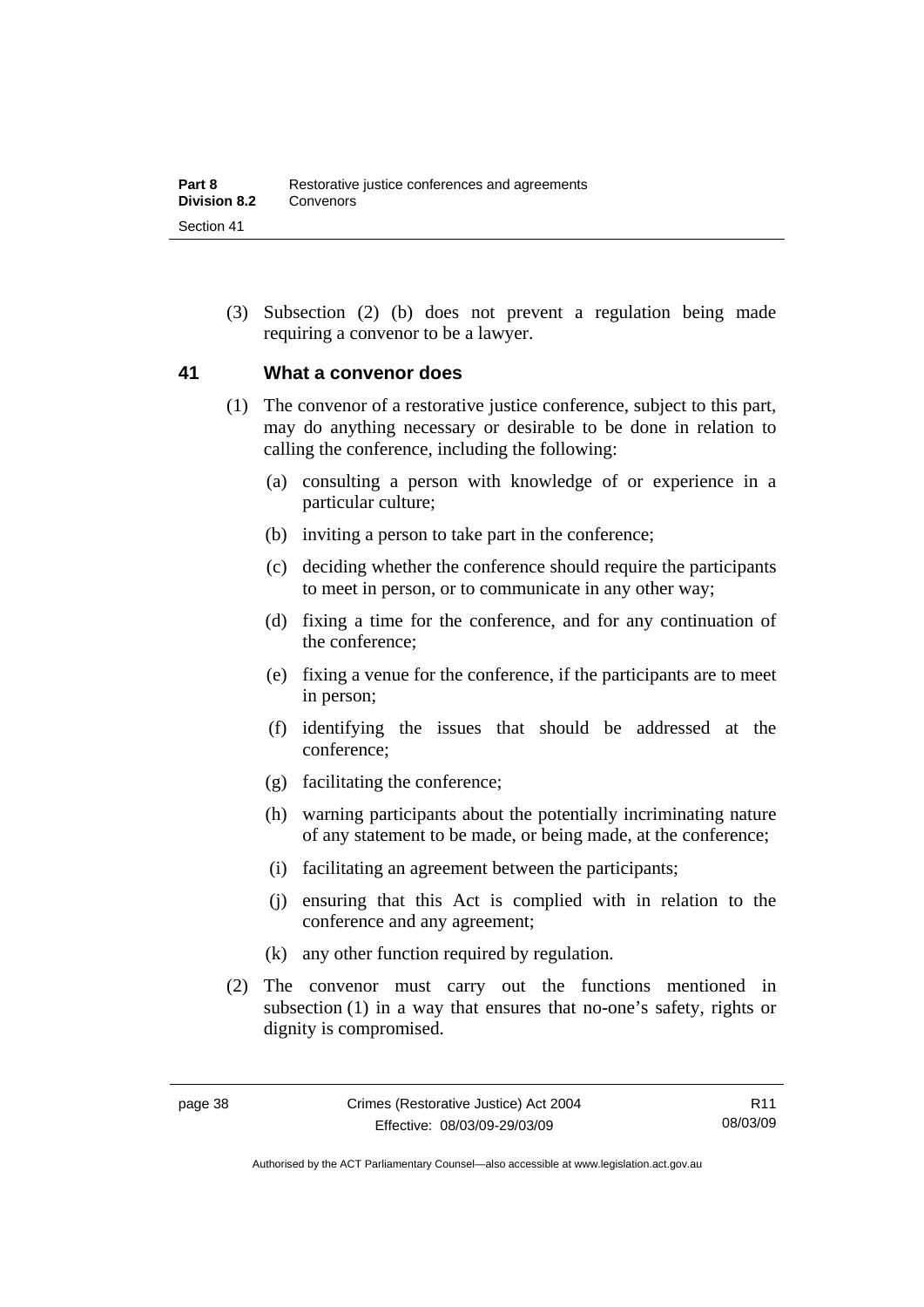(3) Subsection (2) (b) does not prevent a regulation being made requiring a convenor to be a lawyer.

## **41 What a convenor does**

- (1) The convenor of a restorative justice conference, subject to this part, may do anything necessary or desirable to be done in relation to calling the conference, including the following:
	- (a) consulting a person with knowledge of or experience in a particular culture;
	- (b) inviting a person to take part in the conference;
	- (c) deciding whether the conference should require the participants to meet in person, or to communicate in any other way;
	- (d) fixing a time for the conference, and for any continuation of the conference;
	- (e) fixing a venue for the conference, if the participants are to meet in person;
	- (f) identifying the issues that should be addressed at the conference;
	- (g) facilitating the conference;
	- (h) warning participants about the potentially incriminating nature of any statement to be made, or being made, at the conference;
	- (i) facilitating an agreement between the participants;
	- (j) ensuring that this Act is complied with in relation to the conference and any agreement;
	- (k) any other function required by regulation.
- (2) The convenor must carry out the functions mentioned in subsection (1) in a way that ensures that no-one's safety, rights or dignity is compromised.

Authorised by the ACT Parliamentary Counsel—also accessible at www.legislation.act.gov.au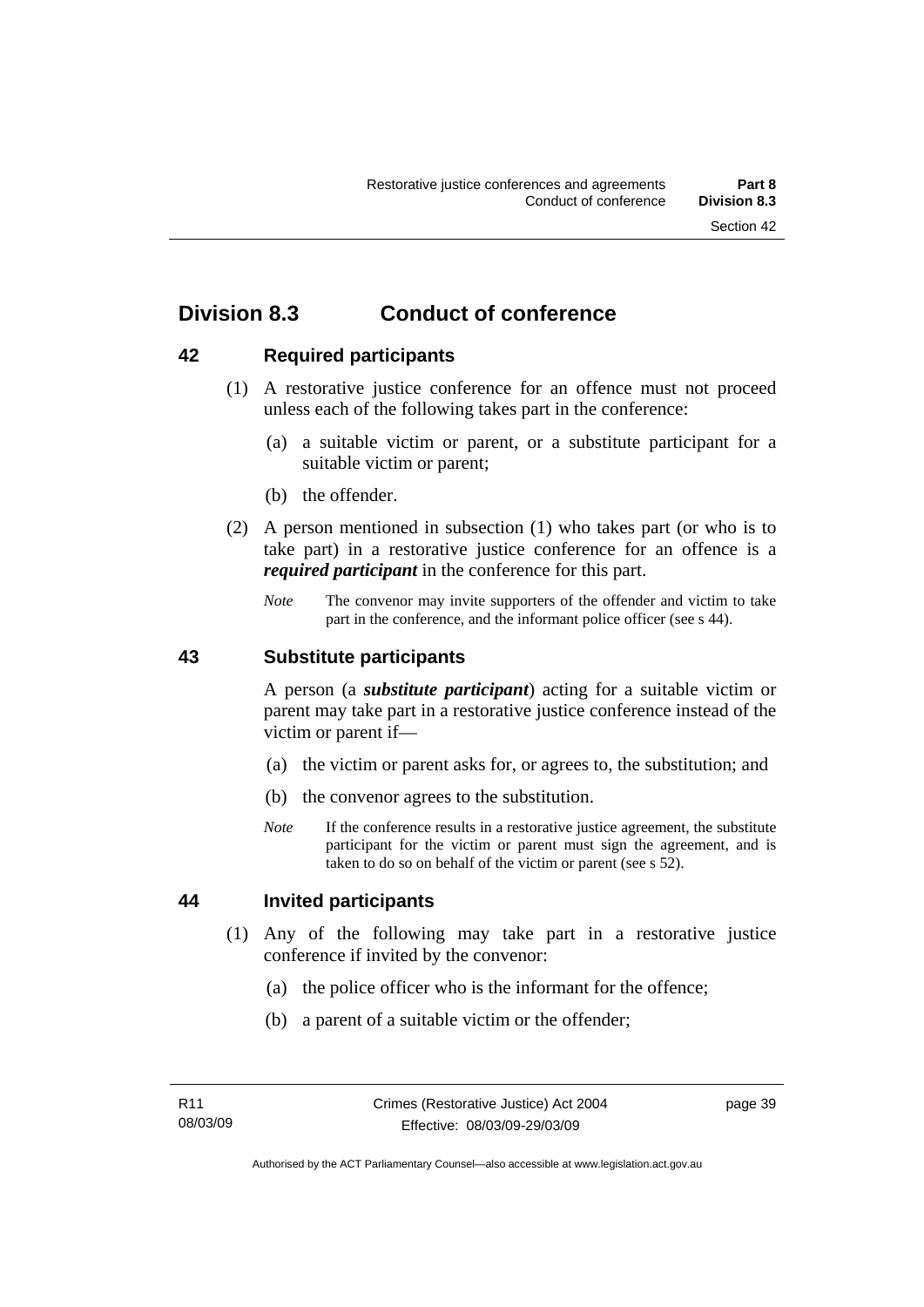## **Division 8.3 Conduct of conference**

## **42 Required participants**

- (1) A restorative justice conference for an offence must not proceed unless each of the following takes part in the conference:
	- (a) a suitable victim or parent, or a substitute participant for a suitable victim or parent;
	- (b) the offender.
- (2) A person mentioned in subsection (1) who takes part (or who is to take part) in a restorative justice conference for an offence is a *required participant* in the conference for this part.
	- *Note* The convenor may invite supporters of the offender and victim to take part in the conference, and the informant police officer (see s 44).

## **43 Substitute participants**

A person (a *substitute participant*) acting for a suitable victim or parent may take part in a restorative justice conference instead of the victim or parent if—

- (a) the victim or parent asks for, or agrees to, the substitution; and
- (b) the convenor agrees to the substitution.
- *Note* If the conference results in a restorative justice agreement, the substitute participant for the victim or parent must sign the agreement, and is taken to do so on behalf of the victim or parent (see s 52).

## **44 Invited participants**

- (1) Any of the following may take part in a restorative justice conference if invited by the convenor:
	- (a) the police officer who is the informant for the offence;
	- (b) a parent of a suitable victim or the offender;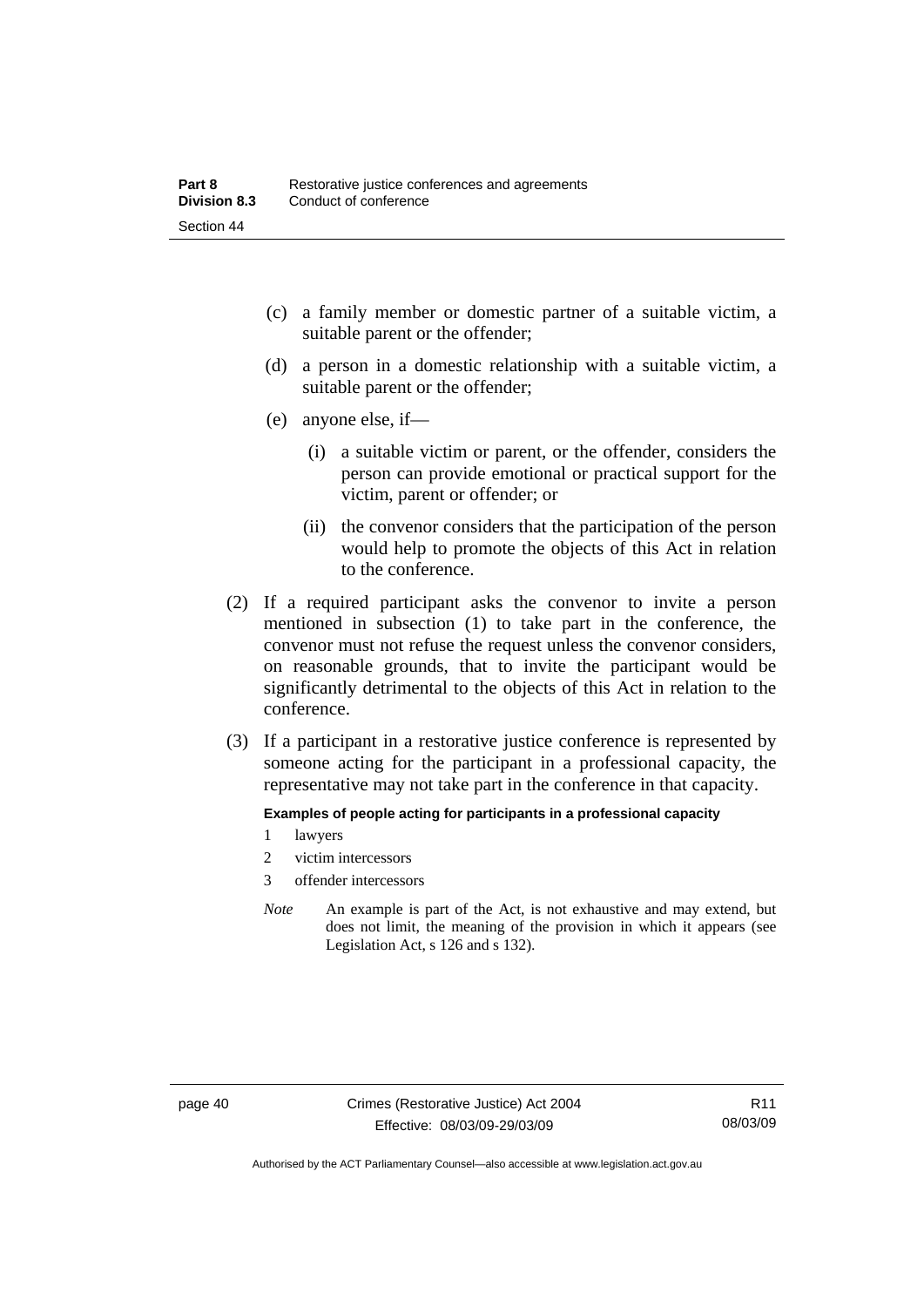- (c) a family member or domestic partner of a suitable victim, a suitable parent or the offender;
- (d) a person in a domestic relationship with a suitable victim, a suitable parent or the offender;
- (e) anyone else, if—
	- (i) a suitable victim or parent, or the offender, considers the person can provide emotional or practical support for the victim, parent or offender; or
	- (ii) the convenor considers that the participation of the person would help to promote the objects of this Act in relation to the conference.
- (2) If a required participant asks the convenor to invite a person mentioned in subsection (1) to take part in the conference, the convenor must not refuse the request unless the convenor considers, on reasonable grounds, that to invite the participant would be significantly detrimental to the objects of this Act in relation to the conference.
- (3) If a participant in a restorative justice conference is represented by someone acting for the participant in a professional capacity, the representative may not take part in the conference in that capacity.

#### **Examples of people acting for participants in a professional capacity**

- 1 lawyers
- 2 victim intercessors
- 3 offender intercessors
- *Note* An example is part of the Act, is not exhaustive and may extend, but does not limit, the meaning of the provision in which it appears (see Legislation Act, s 126 and s 132).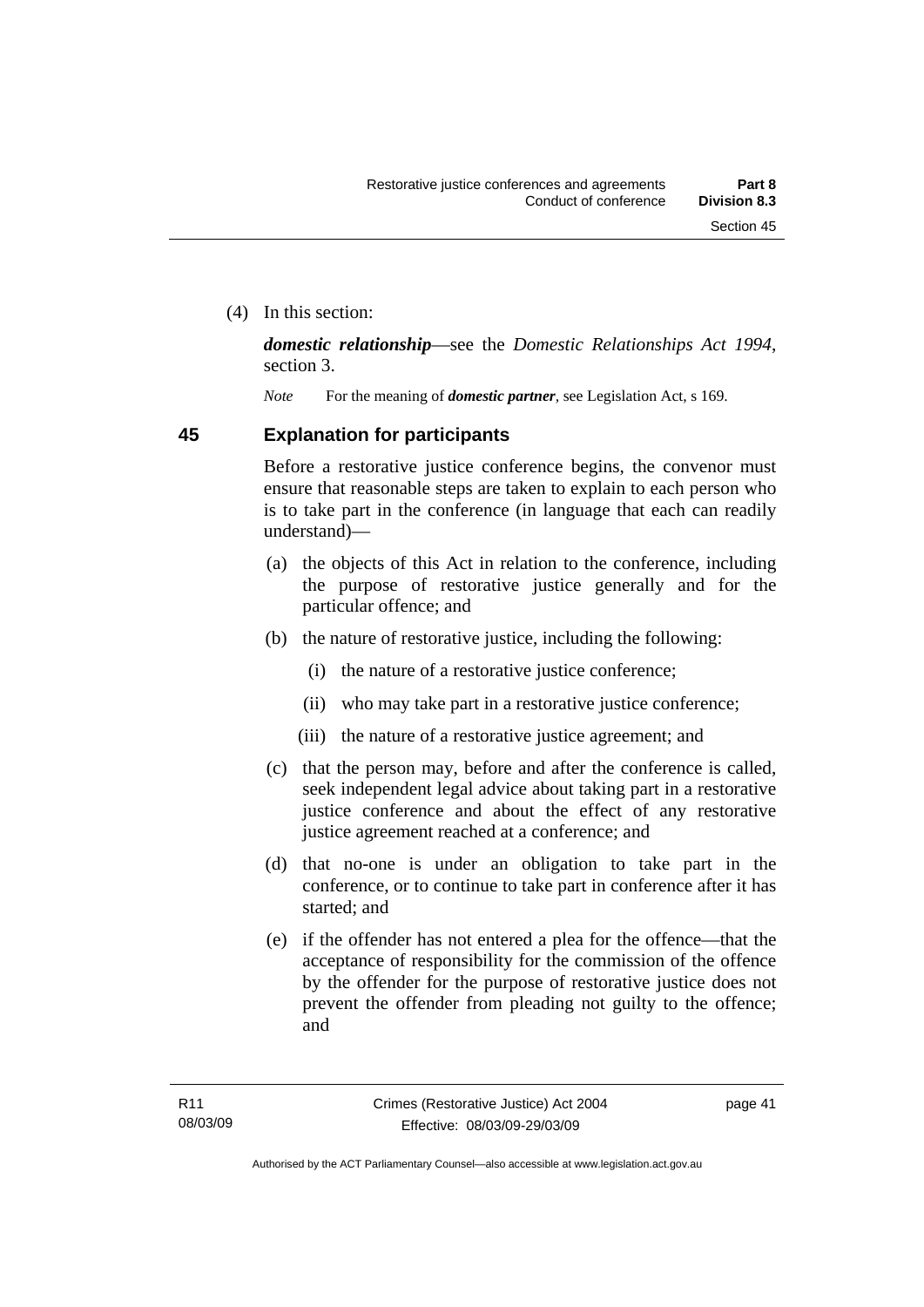(4) In this section:

*domestic relationship*—see the *Domestic Relationships Act 1994*, section 3.

*Note* For the meaning of *domestic partner*, see Legislation Act, s 169.

## **45 Explanation for participants**

Before a restorative justice conference begins, the convenor must ensure that reasonable steps are taken to explain to each person who is to take part in the conference (in language that each can readily understand)—

- (a) the objects of this Act in relation to the conference, including the purpose of restorative justice generally and for the particular offence; and
- (b) the nature of restorative justice, including the following:
	- (i) the nature of a restorative justice conference;
	- (ii) who may take part in a restorative justice conference;
	- (iii) the nature of a restorative justice agreement; and
- (c) that the person may, before and after the conference is called, seek independent legal advice about taking part in a restorative justice conference and about the effect of any restorative justice agreement reached at a conference; and
- (d) that no-one is under an obligation to take part in the conference, or to continue to take part in conference after it has started; and
- (e) if the offender has not entered a plea for the offence—that the acceptance of responsibility for the commission of the offence by the offender for the purpose of restorative justice does not prevent the offender from pleading not guilty to the offence; and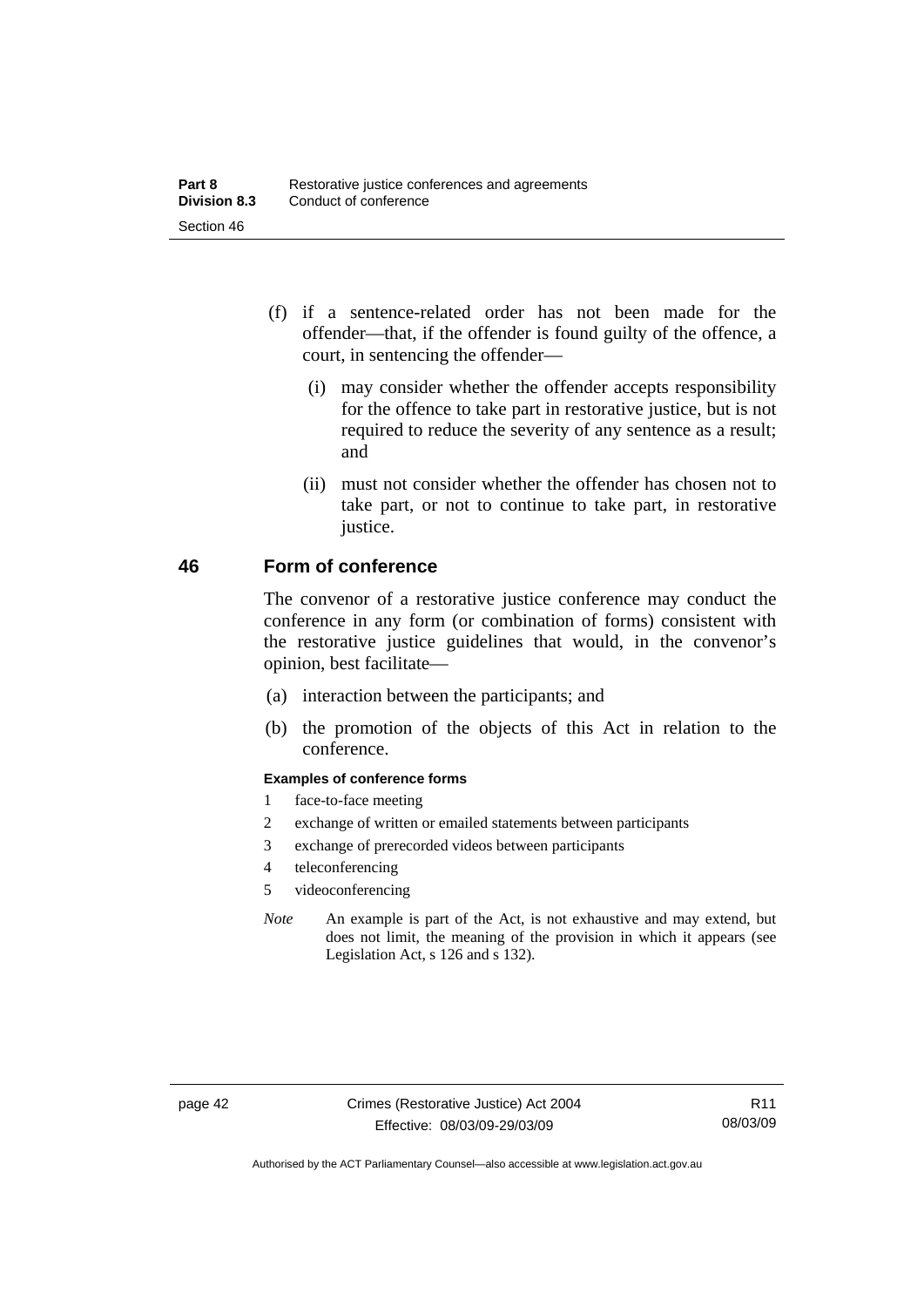- (f) if a sentence-related order has not been made for the offender—that, if the offender is found guilty of the offence, a court, in sentencing the offender—
	- (i) may consider whether the offender accepts responsibility for the offence to take part in restorative justice, but is not required to reduce the severity of any sentence as a result; and
	- (ii) must not consider whether the offender has chosen not to take part, or not to continue to take part, in restorative justice.

## **46 Form of conference**

The convenor of a restorative justice conference may conduct the conference in any form (or combination of forms) consistent with the restorative justice guidelines that would, in the convenor's opinion, best facilitate—

- (a) interaction between the participants; and
- (b) the promotion of the objects of this Act in relation to the conference.

#### **Examples of conference forms**

- 1 face-to-face meeting
- 2 exchange of written or emailed statements between participants
- 3 exchange of prerecorded videos between participants
- 4 teleconferencing
- 5 videoconferencing
- *Note* An example is part of the Act, is not exhaustive and may extend, but does not limit, the meaning of the provision in which it appears (see Legislation Act, s 126 and s 132).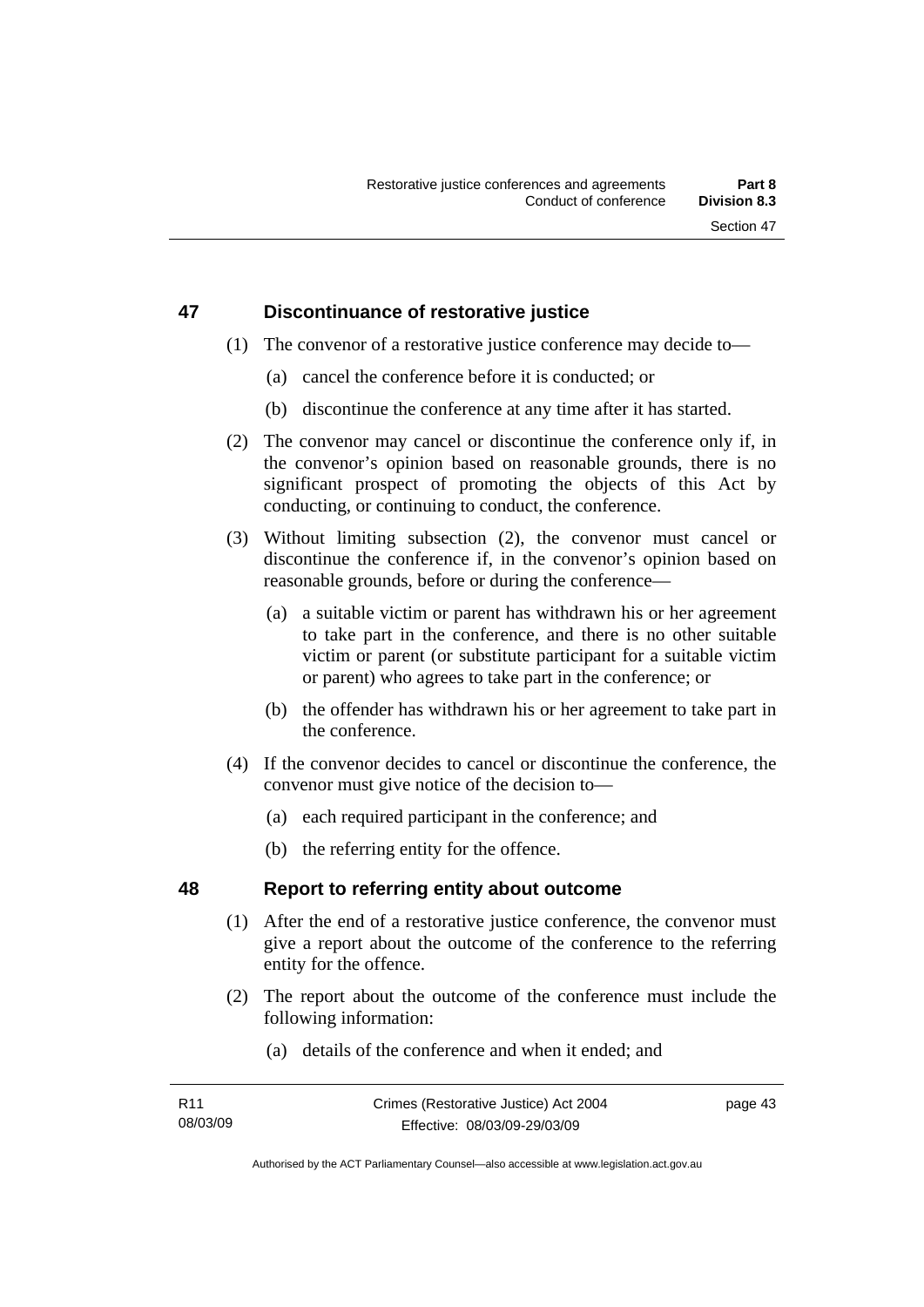## **47 Discontinuance of restorative justice**

- (1) The convenor of a restorative justice conference may decide to—
	- (a) cancel the conference before it is conducted; or
	- (b) discontinue the conference at any time after it has started.
- (2) The convenor may cancel or discontinue the conference only if, in the convenor's opinion based on reasonable grounds, there is no significant prospect of promoting the objects of this Act by conducting, or continuing to conduct, the conference.
- (3) Without limiting subsection (2), the convenor must cancel or discontinue the conference if, in the convenor's opinion based on reasonable grounds, before or during the conference—
	- (a) a suitable victim or parent has withdrawn his or her agreement to take part in the conference, and there is no other suitable victim or parent (or substitute participant for a suitable victim or parent) who agrees to take part in the conference; or
	- (b) the offender has withdrawn his or her agreement to take part in the conference.
- (4) If the convenor decides to cancel or discontinue the conference, the convenor must give notice of the decision to—
	- (a) each required participant in the conference; and
	- (b) the referring entity for the offence.

## **48 Report to referring entity about outcome**

- (1) After the end of a restorative justice conference, the convenor must give a report about the outcome of the conference to the referring entity for the offence.
- (2) The report about the outcome of the conference must include the following information:
	- (a) details of the conference and when it ended; and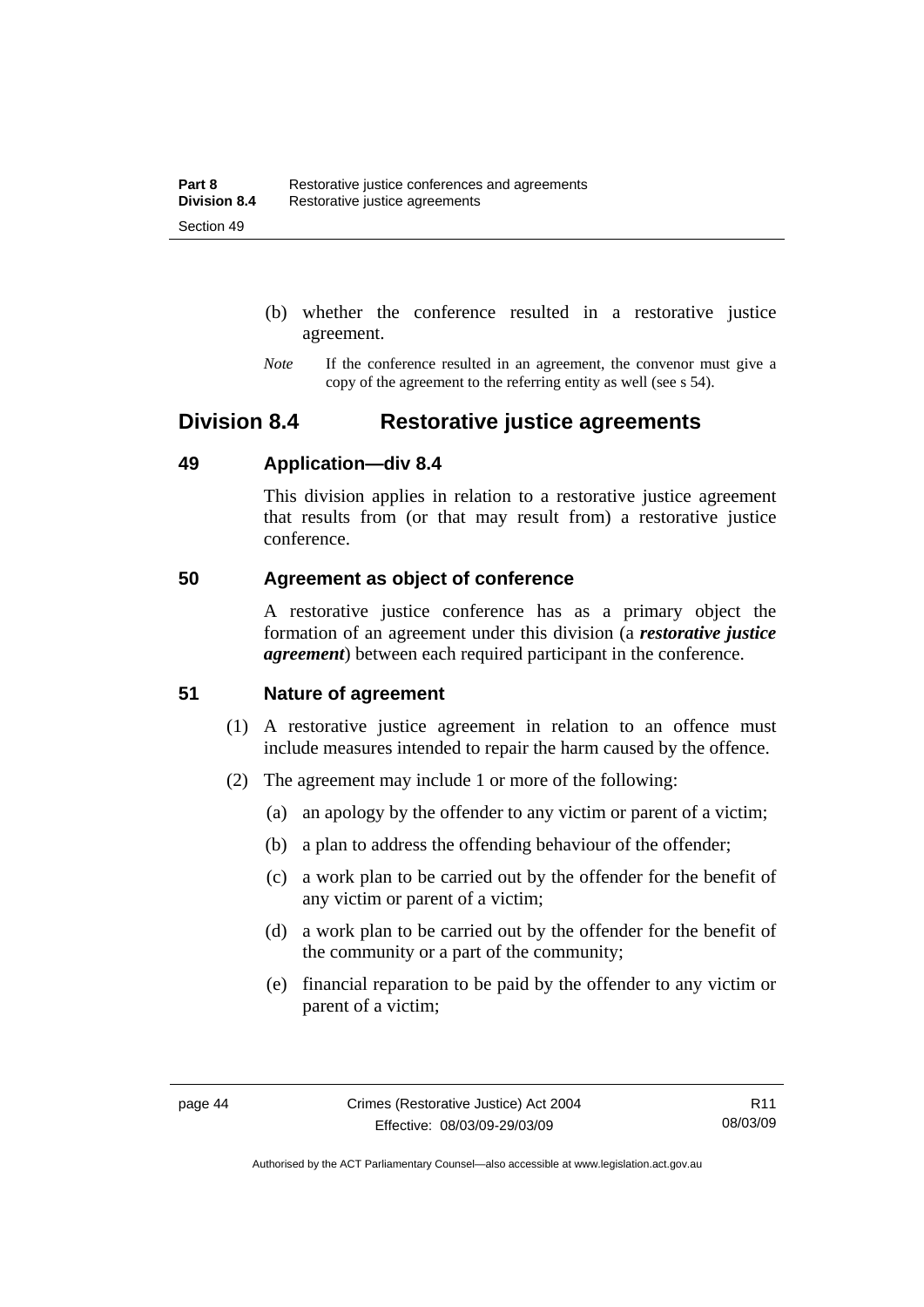- (b) whether the conference resulted in a restorative justice agreement.
- *Note* If the conference resulted in an agreement, the convenor must give a copy of the agreement to the referring entity as well (see s 54).

## **Division 8.4 Restorative justice agreements**

## **49 Application—div 8.4**

This division applies in relation to a restorative justice agreement that results from (or that may result from) a restorative justice conference.

## **50 Agreement as object of conference**

A restorative justice conference has as a primary object the formation of an agreement under this division (a *restorative justice agreement*) between each required participant in the conference.

## **51 Nature of agreement**

- (1) A restorative justice agreement in relation to an offence must include measures intended to repair the harm caused by the offence.
- (2) The agreement may include 1 or more of the following:
	- (a) an apology by the offender to any victim or parent of a victim;
	- (b) a plan to address the offending behaviour of the offender;
	- (c) a work plan to be carried out by the offender for the benefit of any victim or parent of a victim;
	- (d) a work plan to be carried out by the offender for the benefit of the community or a part of the community;
	- (e) financial reparation to be paid by the offender to any victim or parent of a victim;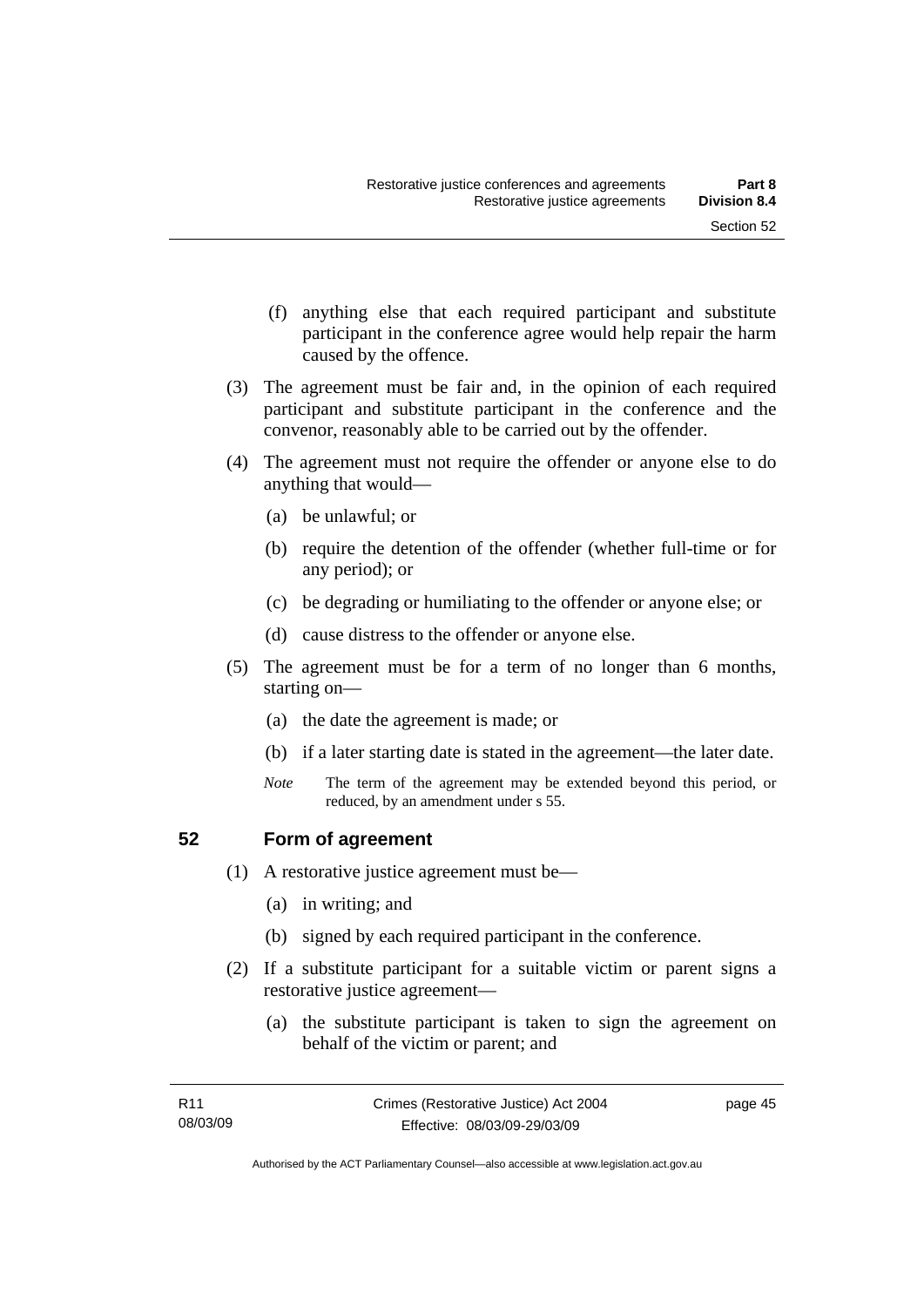- (f) anything else that each required participant and substitute participant in the conference agree would help repair the harm caused by the offence.
- (3) The agreement must be fair and, in the opinion of each required participant and substitute participant in the conference and the convenor, reasonably able to be carried out by the offender.
- (4) The agreement must not require the offender or anyone else to do anything that would—
	- (a) be unlawful; or
	- (b) require the detention of the offender (whether full-time or for any period); or
	- (c) be degrading or humiliating to the offender or anyone else; or
	- (d) cause distress to the offender or anyone else.
- (5) The agreement must be for a term of no longer than 6 months, starting on—
	- (a) the date the agreement is made; or
	- (b) if a later starting date is stated in the agreement—the later date.
	- *Note* The term of the agreement may be extended beyond this period, or reduced, by an amendment under s 55.

### **52 Form of agreement**

- (1) A restorative justice agreement must be—
	- (a) in writing; and
	- (b) signed by each required participant in the conference.
- (2) If a substitute participant for a suitable victim or parent signs a restorative justice agreement—
	- (a) the substitute participant is taken to sign the agreement on behalf of the victim or parent; and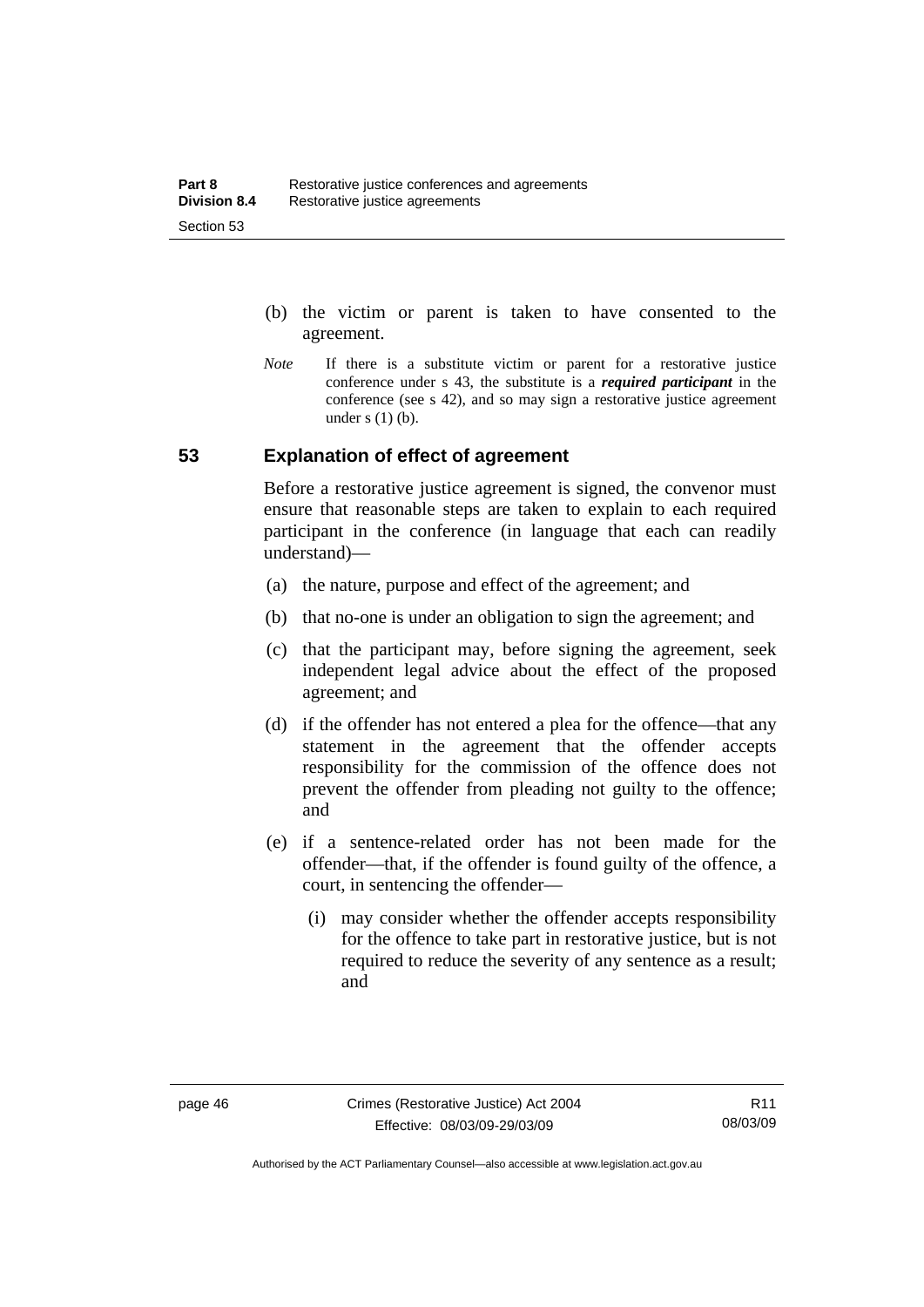- (b) the victim or parent is taken to have consented to the agreement.
- *Note* If there is a substitute victim or parent for a restorative justice conference under s 43, the substitute is a *required participant* in the conference (see s 42), and so may sign a restorative justice agreement under  $s(1)(b)$ .

## **53 Explanation of effect of agreement**

Before a restorative justice agreement is signed, the convenor must ensure that reasonable steps are taken to explain to each required participant in the conference (in language that each can readily understand)—

- (a) the nature, purpose and effect of the agreement; and
- (b) that no-one is under an obligation to sign the agreement; and
- (c) that the participant may, before signing the agreement, seek independent legal advice about the effect of the proposed agreement; and
- (d) if the offender has not entered a plea for the offence—that any statement in the agreement that the offender accepts responsibility for the commission of the offence does not prevent the offender from pleading not guilty to the offence; and
- (e) if a sentence-related order has not been made for the offender—that, if the offender is found guilty of the offence, a court, in sentencing the offender—
	- (i) may consider whether the offender accepts responsibility for the offence to take part in restorative justice, but is not required to reduce the severity of any sentence as a result: and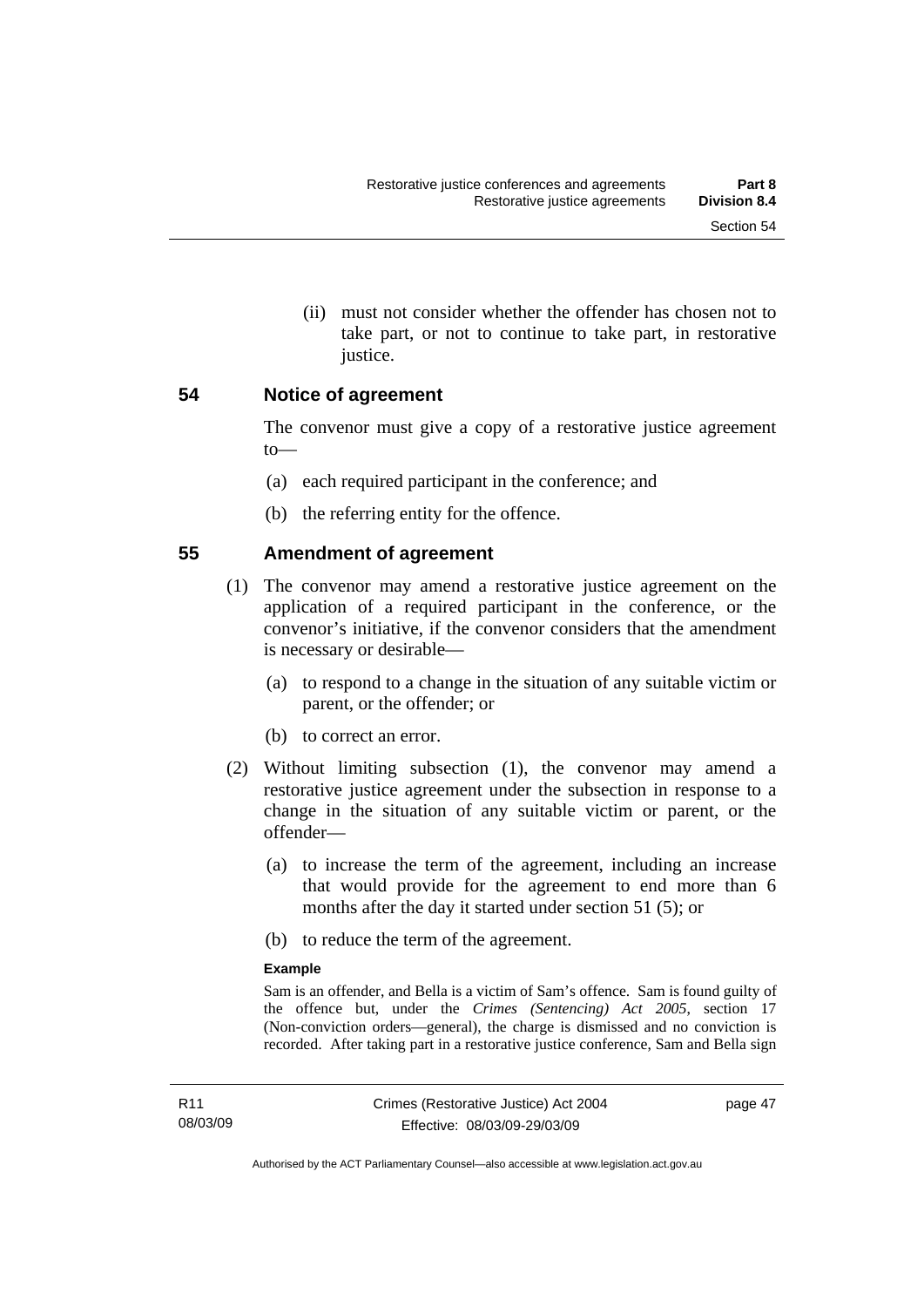(ii) must not consider whether the offender has chosen not to take part, or not to continue to take part, in restorative justice.

### **54 Notice of agreement**

The convenor must give a copy of a restorative justice agreement to—

- (a) each required participant in the conference; and
- (b) the referring entity for the offence.

## **55 Amendment of agreement**

- (1) The convenor may amend a restorative justice agreement on the application of a required participant in the conference, or the convenor's initiative, if the convenor considers that the amendment is necessary or desirable—
	- (a) to respond to a change in the situation of any suitable victim or parent, or the offender; or
	- (b) to correct an error.
- (2) Without limiting subsection (1), the convenor may amend a restorative justice agreement under the subsection in response to a change in the situation of any suitable victim or parent, or the offender—
	- (a) to increase the term of the agreement, including an increase that would provide for the agreement to end more than 6 months after the day it started under section 51 (5); or
	- (b) to reduce the term of the agreement.

#### **Example**

Sam is an offender, and Bella is a victim of Sam's offence. Sam is found guilty of the offence but, under the *Crimes (Sentencing) Act 2005*, section 17 (Non-conviction orders—general), the charge is dismissed and no conviction is recorded. After taking part in a restorative justice conference, Sam and Bella sign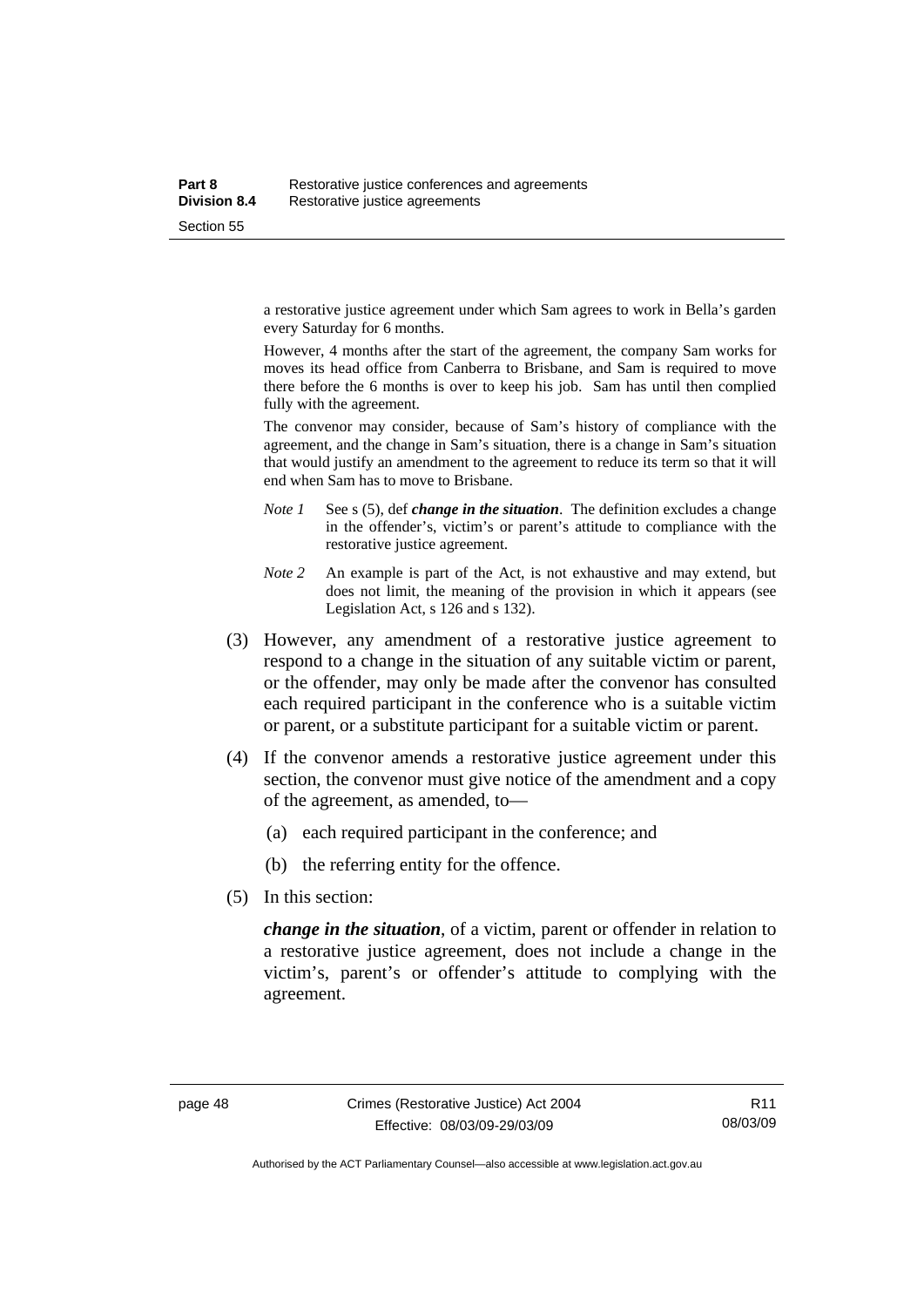a restorative justice agreement under which Sam agrees to work in Bella's garden every Saturday for 6 months.

However, 4 months after the start of the agreement, the company Sam works for moves its head office from Canberra to Brisbane, and Sam is required to move there before the 6 months is over to keep his job. Sam has until then complied fully with the agreement.

The convenor may consider, because of Sam's history of compliance with the agreement, and the change in Sam's situation, there is a change in Sam's situation that would justify an amendment to the agreement to reduce its term so that it will end when Sam has to move to Brisbane.

- *Note 1* See s (5), def *change in the situation*. The definition excludes a change in the offender's, victim's or parent's attitude to compliance with the restorative justice agreement.
- *Note 2* An example is part of the Act, is not exhaustive and may extend, but does not limit, the meaning of the provision in which it appears (see Legislation Act, s 126 and s 132).
- (3) However, any amendment of a restorative justice agreement to respond to a change in the situation of any suitable victim or parent, or the offender, may only be made after the convenor has consulted each required participant in the conference who is a suitable victim or parent, or a substitute participant for a suitable victim or parent.
- (4) If the convenor amends a restorative justice agreement under this section, the convenor must give notice of the amendment and a copy of the agreement, as amended, to—
	- (a) each required participant in the conference; and
	- (b) the referring entity for the offence.
- (5) In this section:

*change in the situation*, of a victim, parent or offender in relation to a restorative justice agreement, does not include a change in the victim's, parent's or offender's attitude to complying with the agreement.

Authorised by the ACT Parliamentary Counsel—also accessible at www.legislation.act.gov.au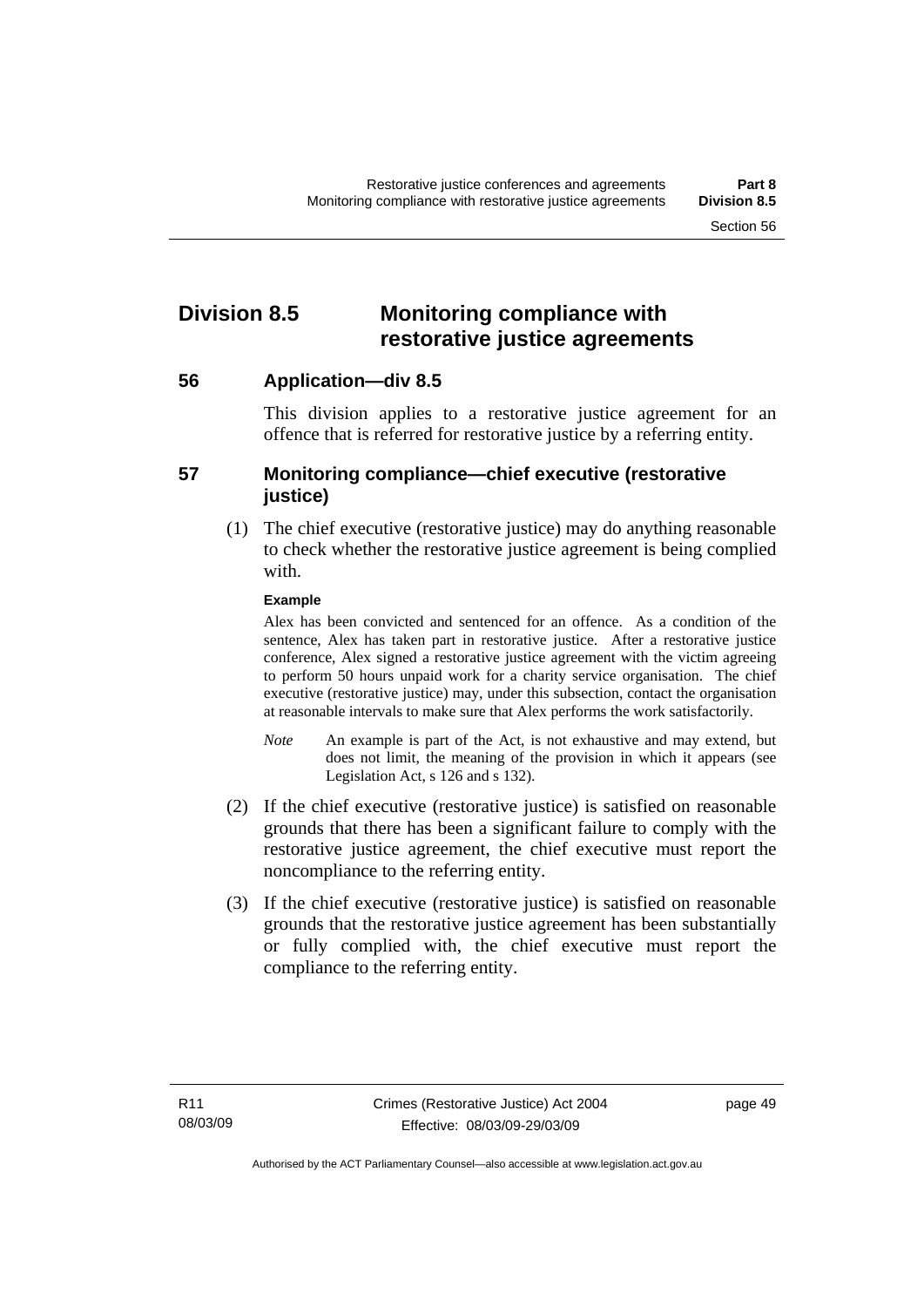## **Division 8.5 Monitoring compliance with restorative justice agreements**

**56 Application—div 8.5** 

This division applies to a restorative justice agreement for an offence that is referred for restorative justice by a referring entity.

## **57 Monitoring compliance—chief executive (restorative justice)**

 (1) The chief executive (restorative justice) may do anything reasonable to check whether the restorative justice agreement is being complied with.

### **Example**

Alex has been convicted and sentenced for an offence. As a condition of the sentence, Alex has taken part in restorative justice. After a restorative justice conference, Alex signed a restorative justice agreement with the victim agreeing to perform 50 hours unpaid work for a charity service organisation. The chief executive (restorative justice) may, under this subsection, contact the organisation at reasonable intervals to make sure that Alex performs the work satisfactorily.

- *Note* An example is part of the Act, is not exhaustive and may extend, but does not limit, the meaning of the provision in which it appears (see Legislation Act, s 126 and s 132).
- (2) If the chief executive (restorative justice) is satisfied on reasonable grounds that there has been a significant failure to comply with the restorative justice agreement, the chief executive must report the noncompliance to the referring entity.
- (3) If the chief executive (restorative justice) is satisfied on reasonable grounds that the restorative justice agreement has been substantially or fully complied with, the chief executive must report the compliance to the referring entity.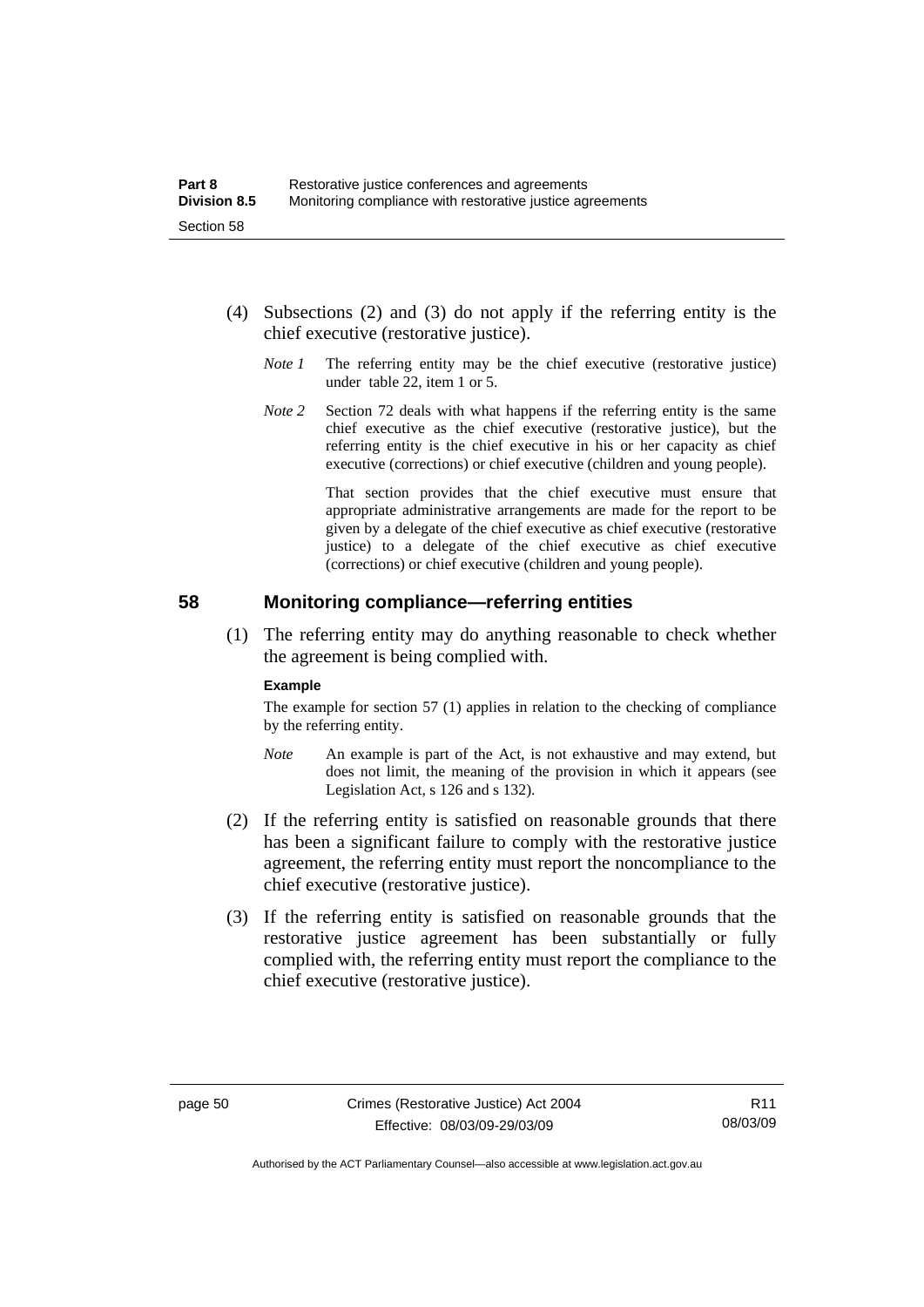- (4) Subsections (2) and (3) do not apply if the referring entity is the chief executive (restorative justice).
	- *Note 1* The referring entity may be the chief executive (restorative justice) under table 22, item 1 or 5.
	- *Note* 2 Section 72 deals with what happens if the referring entity is the same chief executive as the chief executive (restorative justice), but the referring entity is the chief executive in his or her capacity as chief executive (corrections) or chief executive (children and young people).

 That section provides that the chief executive must ensure that appropriate administrative arrangements are made for the report to be given by a delegate of the chief executive as chief executive (restorative justice) to a delegate of the chief executive as chief executive (corrections) or chief executive (children and young people).

### **58 Monitoring compliance—referring entities**

 (1) The referring entity may do anything reasonable to check whether the agreement is being complied with.

#### **Example**

The example for section 57 (1) applies in relation to the checking of compliance by the referring entity.

- *Note* An example is part of the Act, is not exhaustive and may extend, but does not limit, the meaning of the provision in which it appears (see Legislation Act, s 126 and s 132).
- (2) If the referring entity is satisfied on reasonable grounds that there has been a significant failure to comply with the restorative justice agreement, the referring entity must report the noncompliance to the chief executive (restorative justice).
- (3) If the referring entity is satisfied on reasonable grounds that the restorative justice agreement has been substantially or fully complied with, the referring entity must report the compliance to the chief executive (restorative justice).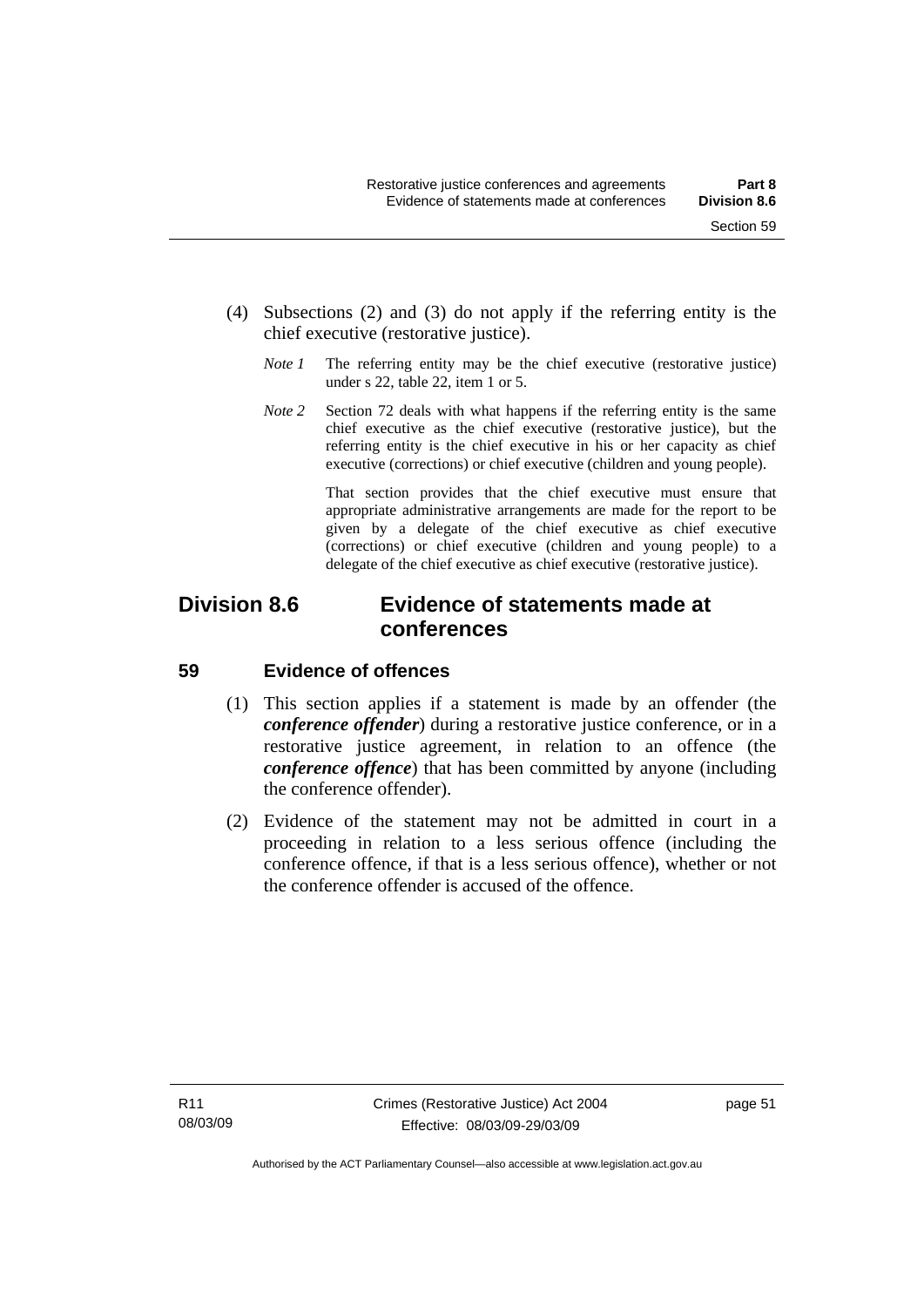- (4) Subsections (2) and (3) do not apply if the referring entity is the chief executive (restorative justice).
	- *Note 1* The referring entity may be the chief executive (restorative justice) under s 22, table 22, item 1 or 5.
	- *Note 2* Section 72 deals with what happens if the referring entity is the same chief executive as the chief executive (restorative justice), but the referring entity is the chief executive in his or her capacity as chief executive (corrections) or chief executive (children and young people).

 That section provides that the chief executive must ensure that appropriate administrative arrangements are made for the report to be given by a delegate of the chief executive as chief executive (corrections) or chief executive (children and young people) to a delegate of the chief executive as chief executive (restorative justice).

## **Division 8.6 Evidence of statements made at conferences**

## **59 Evidence of offences**

- (1) This section applies if a statement is made by an offender (the *conference offender*) during a restorative justice conference, or in a restorative justice agreement, in relation to an offence (the *conference offence*) that has been committed by anyone (including the conference offender).
- (2) Evidence of the statement may not be admitted in court in a proceeding in relation to a less serious offence (including the conference offence, if that is a less serious offence), whether or not the conference offender is accused of the offence.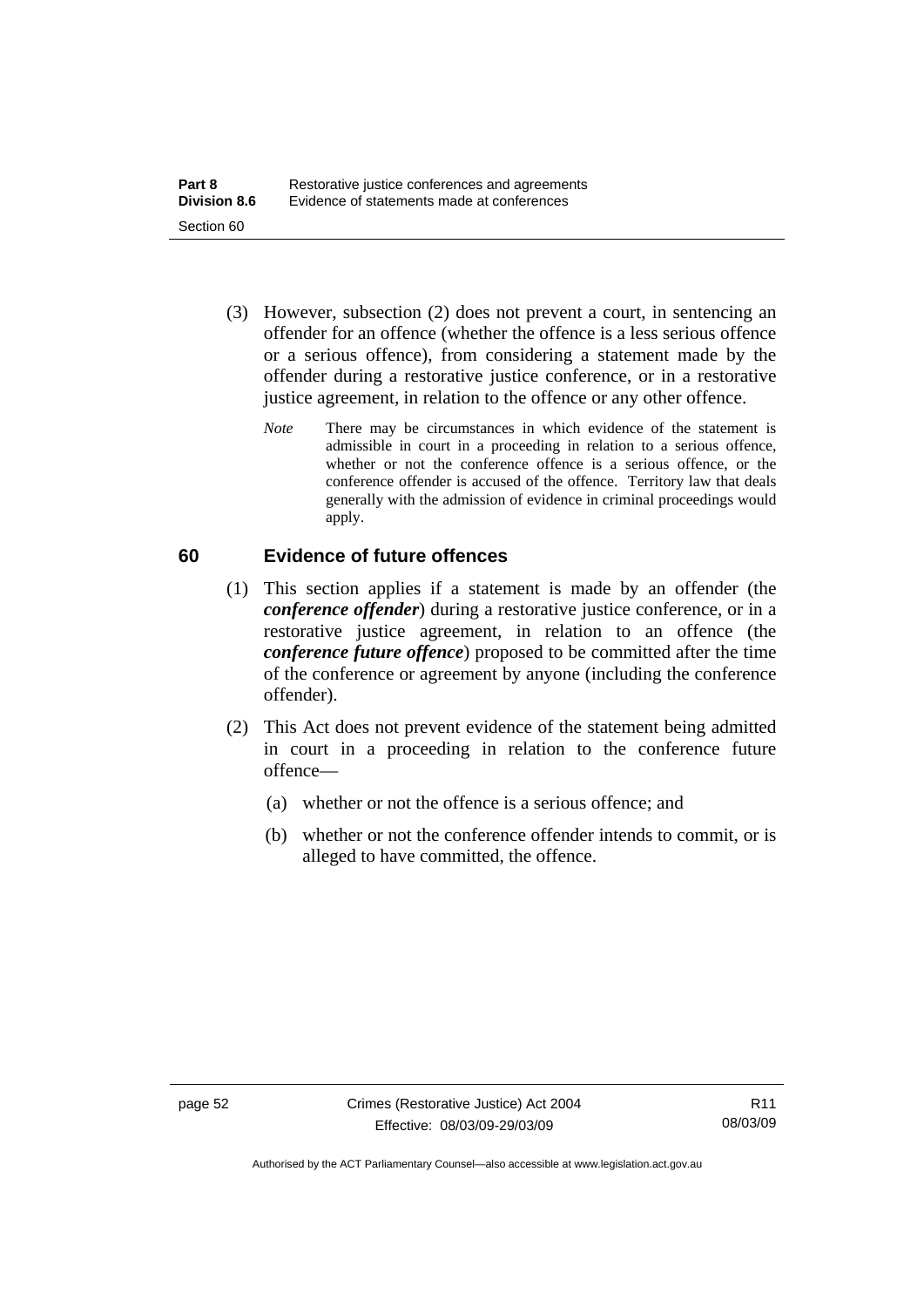- (3) However, subsection (2) does not prevent a court, in sentencing an offender for an offence (whether the offence is a less serious offence or a serious offence), from considering a statement made by the offender during a restorative justice conference, or in a restorative justice agreement, in relation to the offence or any other offence.
	- *Note* There may be circumstances in which evidence of the statement is admissible in court in a proceeding in relation to a serious offence, whether or not the conference offence is a serious offence, or the conference offender is accused of the offence. Territory law that deals generally with the admission of evidence in criminal proceedings would apply.

## **60 Evidence of future offences**

- (1) This section applies if a statement is made by an offender (the *conference offender*) during a restorative justice conference, or in a restorative justice agreement, in relation to an offence (the *conference future offence*) proposed to be committed after the time of the conference or agreement by anyone (including the conference offender).
- (2) This Act does not prevent evidence of the statement being admitted in court in a proceeding in relation to the conference future offence—
	- (a) whether or not the offence is a serious offence; and
	- (b) whether or not the conference offender intends to commit, or is alleged to have committed, the offence.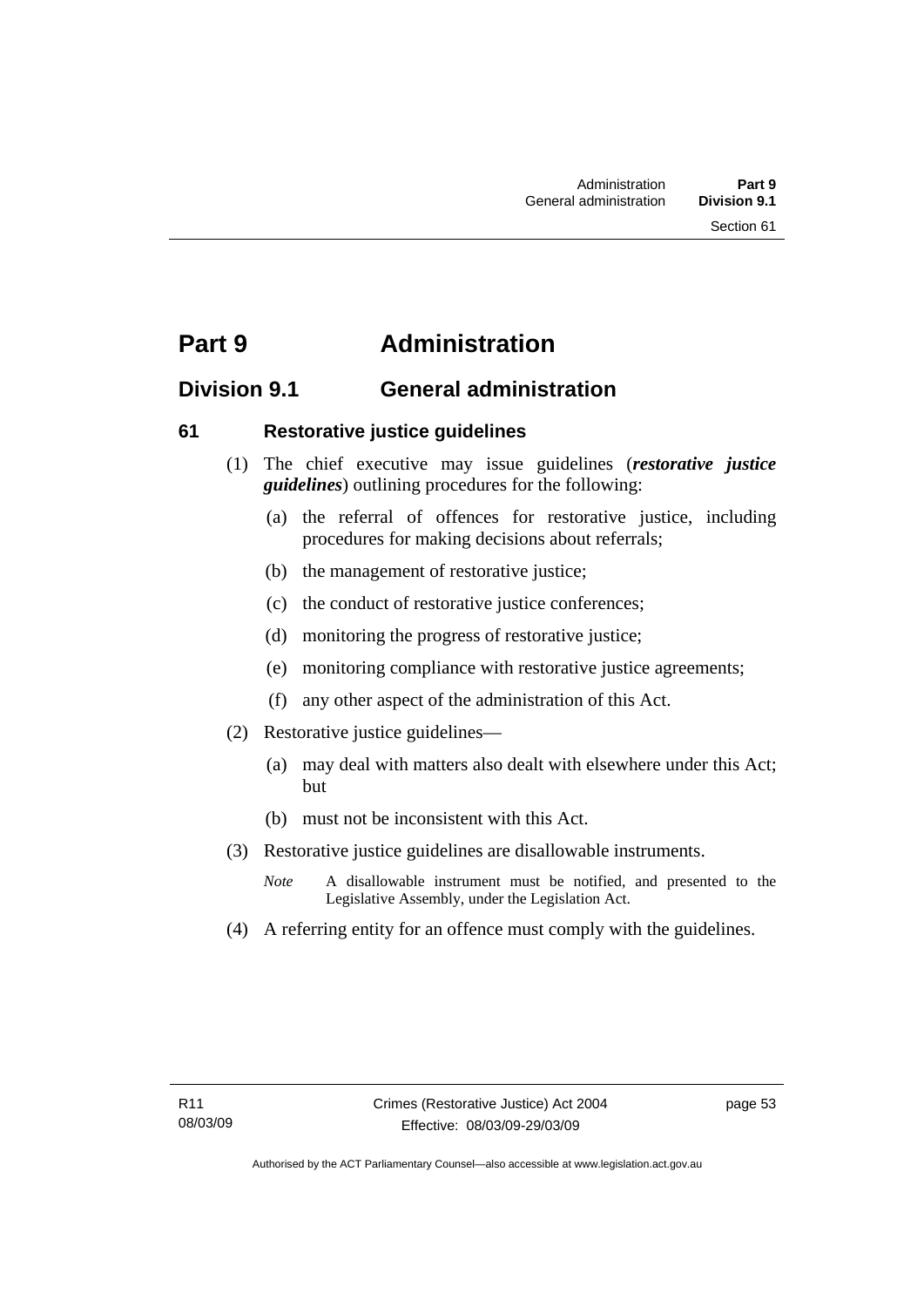## **Part 9 Administration**

## **Division 9.1 General administration**

## **61 Restorative justice guidelines**

- (1) The chief executive may issue guidelines (*restorative justice guidelines*) outlining procedures for the following:
	- (a) the referral of offences for restorative justice, including procedures for making decisions about referrals;
	- (b) the management of restorative justice;
	- (c) the conduct of restorative justice conferences;
	- (d) monitoring the progress of restorative justice;
	- (e) monitoring compliance with restorative justice agreements;
	- (f) any other aspect of the administration of this Act.
- (2) Restorative justice guidelines—
	- (a) may deal with matters also dealt with elsewhere under this Act; but
	- (b) must not be inconsistent with this Act.
- (3) Restorative justice guidelines are disallowable instruments.
	- *Note* A disallowable instrument must be notified, and presented to the Legislative Assembly, under the Legislation Act.
- (4) A referring entity for an offence must comply with the guidelines.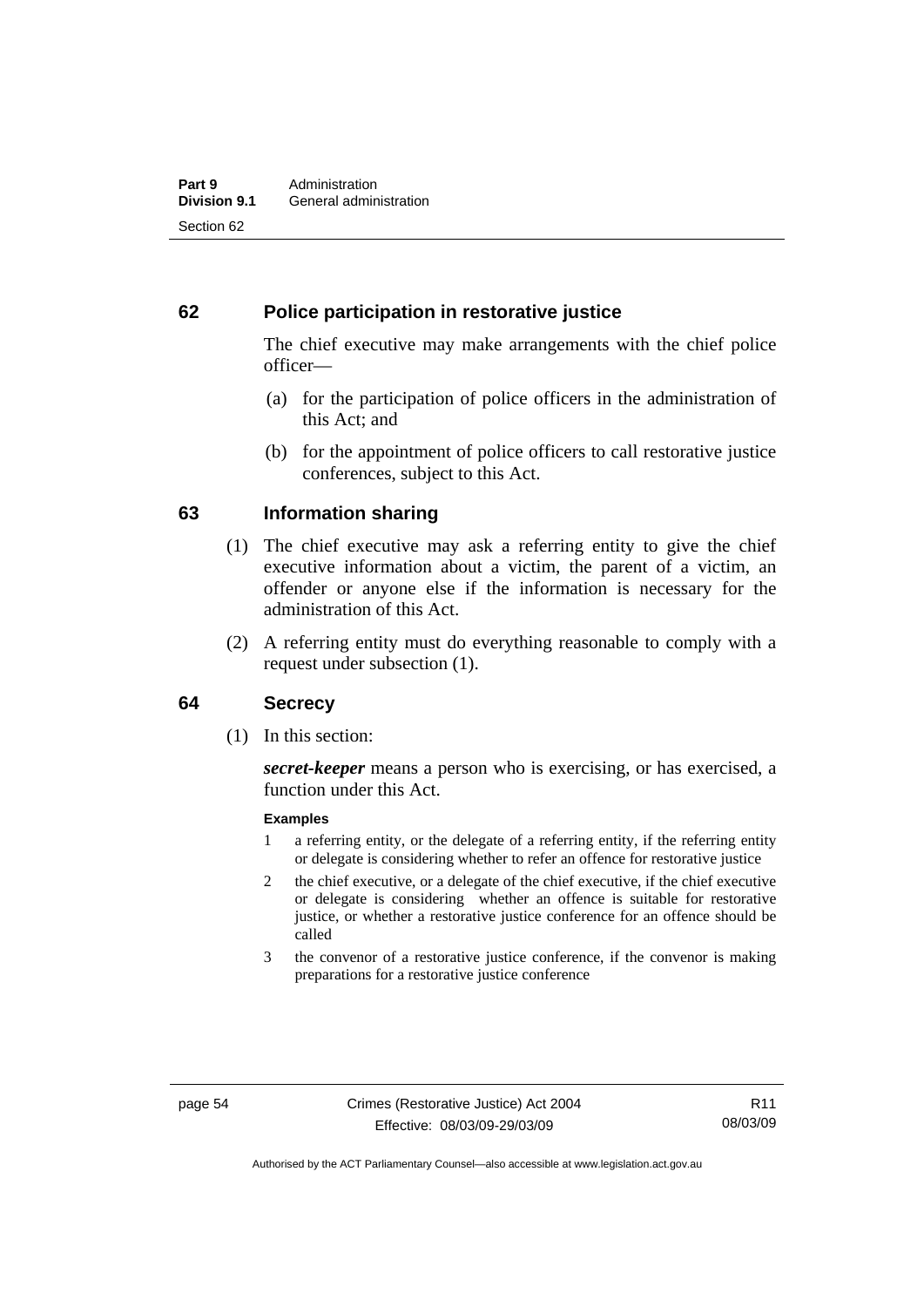## **62 Police participation in restorative justice**

The chief executive may make arrangements with the chief police officer—

- (a) for the participation of police officers in the administration of this Act; and
- (b) for the appointment of police officers to call restorative justice conferences, subject to this Act.

## **63 Information sharing**

- (1) The chief executive may ask a referring entity to give the chief executive information about a victim, the parent of a victim, an offender or anyone else if the information is necessary for the administration of this Act.
- (2) A referring entity must do everything reasonable to comply with a request under subsection (1).

## **64 Secrecy**

(1) In this section:

*secret-keeper* means a person who is exercising, or has exercised, a function under this Act.

#### **Examples**

- 1 a referring entity, or the delegate of a referring entity, if the referring entity or delegate is considering whether to refer an offence for restorative justice
- 2 the chief executive, or a delegate of the chief executive, if the chief executive or delegate is considering whether an offence is suitable for restorative justice, or whether a restorative justice conference for an offence should be called
- 3 the convenor of a restorative justice conference, if the convenor is making preparations for a restorative justice conference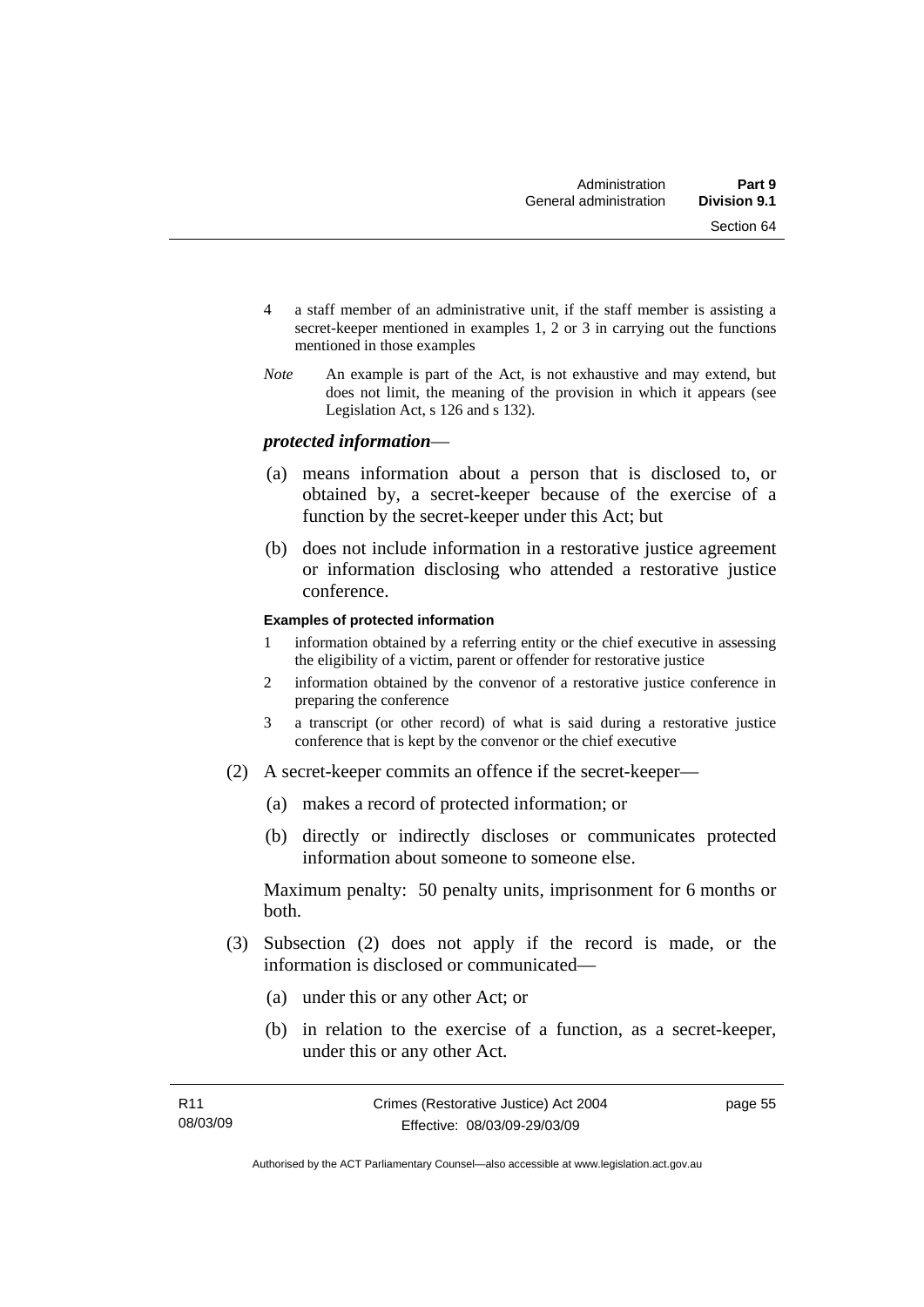- 4 a staff member of an administrative unit, if the staff member is assisting a secret-keeper mentioned in examples 1, 2 or 3 in carrying out the functions mentioned in those examples
- *Note* An example is part of the Act, is not exhaustive and may extend, but does not limit, the meaning of the provision in which it appears (see Legislation Act, s 126 and s 132).

### *protected information*—

- (a) means information about a person that is disclosed to, or obtained by, a secret-keeper because of the exercise of a function by the secret-keeper under this Act; but
- (b) does not include information in a restorative justice agreement or information disclosing who attended a restorative justice conference.

#### **Examples of protected information**

- 1 information obtained by a referring entity or the chief executive in assessing the eligibility of a victim, parent or offender for restorative justice
- 2 information obtained by the convenor of a restorative justice conference in preparing the conference
- 3 a transcript (or other record) of what is said during a restorative justice conference that is kept by the convenor or the chief executive
- (2) A secret-keeper commits an offence if the secret-keeper—
	- (a) makes a record of protected information; or
	- (b) directly or indirectly discloses or communicates protected information about someone to someone else.

Maximum penalty: 50 penalty units, imprisonment for 6 months or both.

- (3) Subsection (2) does not apply if the record is made, or the information is disclosed or communicated—
	- (a) under this or any other Act; or
	- (b) in relation to the exercise of a function, as a secret-keeper, under this or any other Act.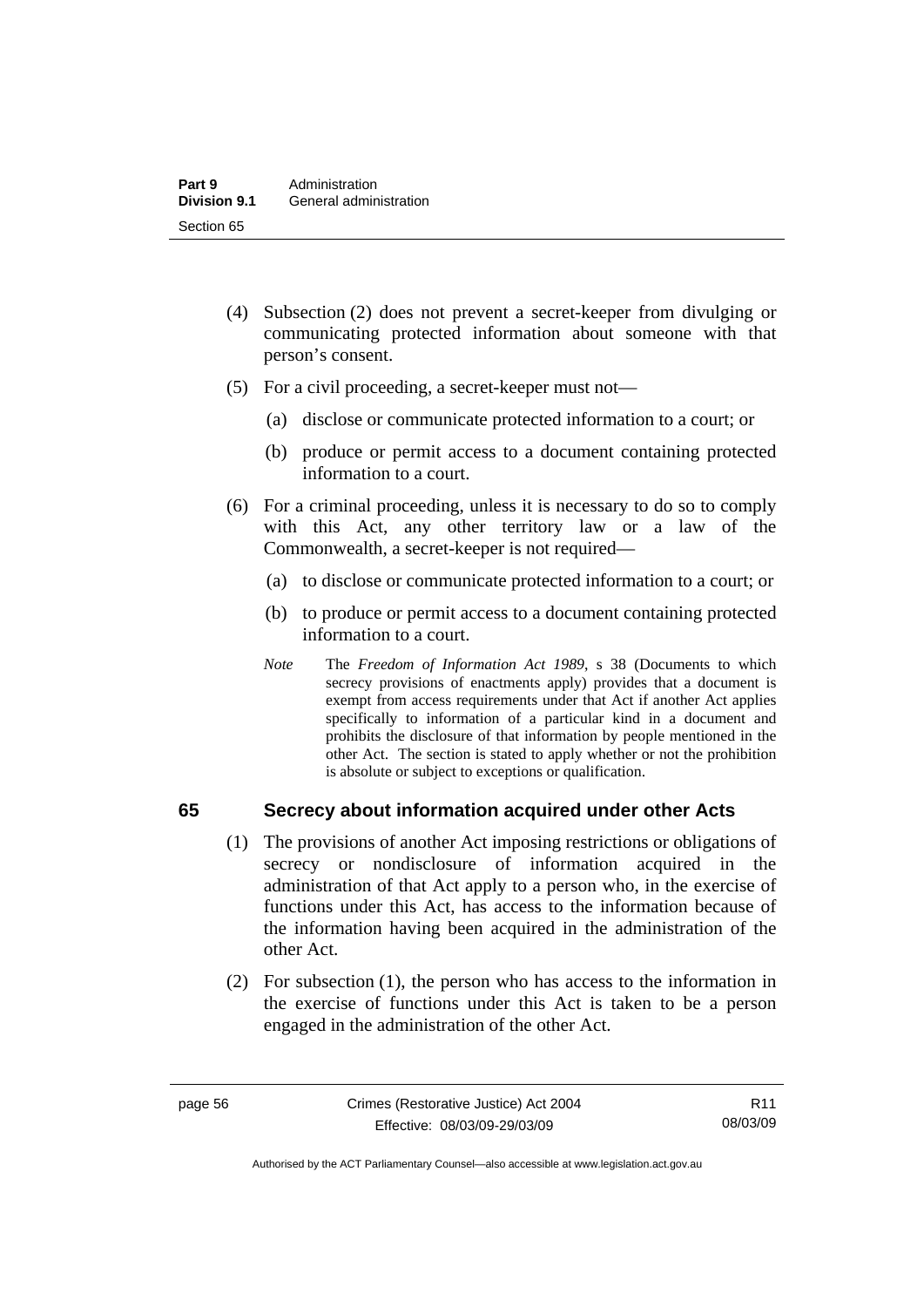- (4) Subsection (2) does not prevent a secret-keeper from divulging or communicating protected information about someone with that person's consent.
- (5) For a civil proceeding, a secret-keeper must not—
	- (a) disclose or communicate protected information to a court; or
	- (b) produce or permit access to a document containing protected information to a court.
- (6) For a criminal proceeding, unless it is necessary to do so to comply with this Act, any other territory law or a law of the Commonwealth, a secret-keeper is not required—
	- (a) to disclose or communicate protected information to a court; or
	- (b) to produce or permit access to a document containing protected information to a court.
	- *Note* The *Freedom of Information Act 1989*, s 38 (Documents to which secrecy provisions of enactments apply) provides that a document is exempt from access requirements under that Act if another Act applies specifically to information of a particular kind in a document and prohibits the disclosure of that information by people mentioned in the other Act. The section is stated to apply whether or not the prohibition is absolute or subject to exceptions or qualification.

## **65 Secrecy about information acquired under other Acts**

- (1) The provisions of another Act imposing restrictions or obligations of secrecy or nondisclosure of information acquired in the administration of that Act apply to a person who, in the exercise of functions under this Act, has access to the information because of the information having been acquired in the administration of the other Act.
- (2) For subsection (1), the person who has access to the information in the exercise of functions under this Act is taken to be a person engaged in the administration of the other Act.

R11 08/03/09

Authorised by the ACT Parliamentary Counsel—also accessible at www.legislation.act.gov.au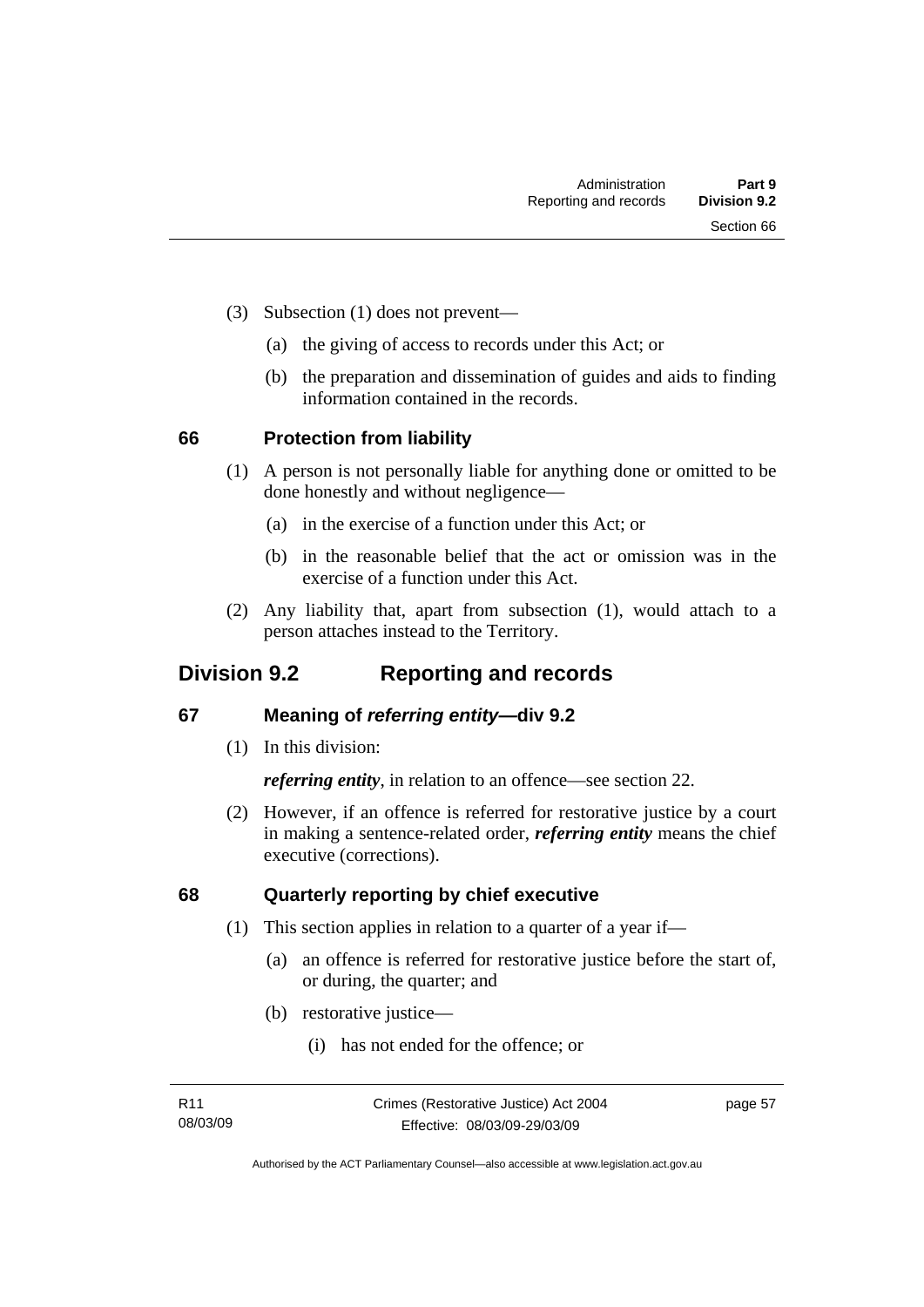- (3) Subsection (1) does not prevent—
	- (a) the giving of access to records under this Act; or
	- (b) the preparation and dissemination of guides and aids to finding information contained in the records.

## **66 Protection from liability**

- (1) A person is not personally liable for anything done or omitted to be done honestly and without negligence—
	- (a) in the exercise of a function under this Act; or
	- (b) in the reasonable belief that the act or omission was in the exercise of a function under this Act.
- (2) Any liability that, apart from subsection (1), would attach to a person attaches instead to the Territory.

## **Division 9.2 Reporting and records**

## **67 Meaning of** *referring entity—***div 9.2**

(1) In this division:

*referring entity*, in relation to an offence—see section 22.

 (2) However, if an offence is referred for restorative justice by a court in making a sentence-related order, *referring entity* means the chief executive (corrections).

## **68 Quarterly reporting by chief executive**

- (1) This section applies in relation to a quarter of a year if—
	- (a) an offence is referred for restorative justice before the start of, or during, the quarter; and
	- (b) restorative justice—
		- (i) has not ended for the offence; or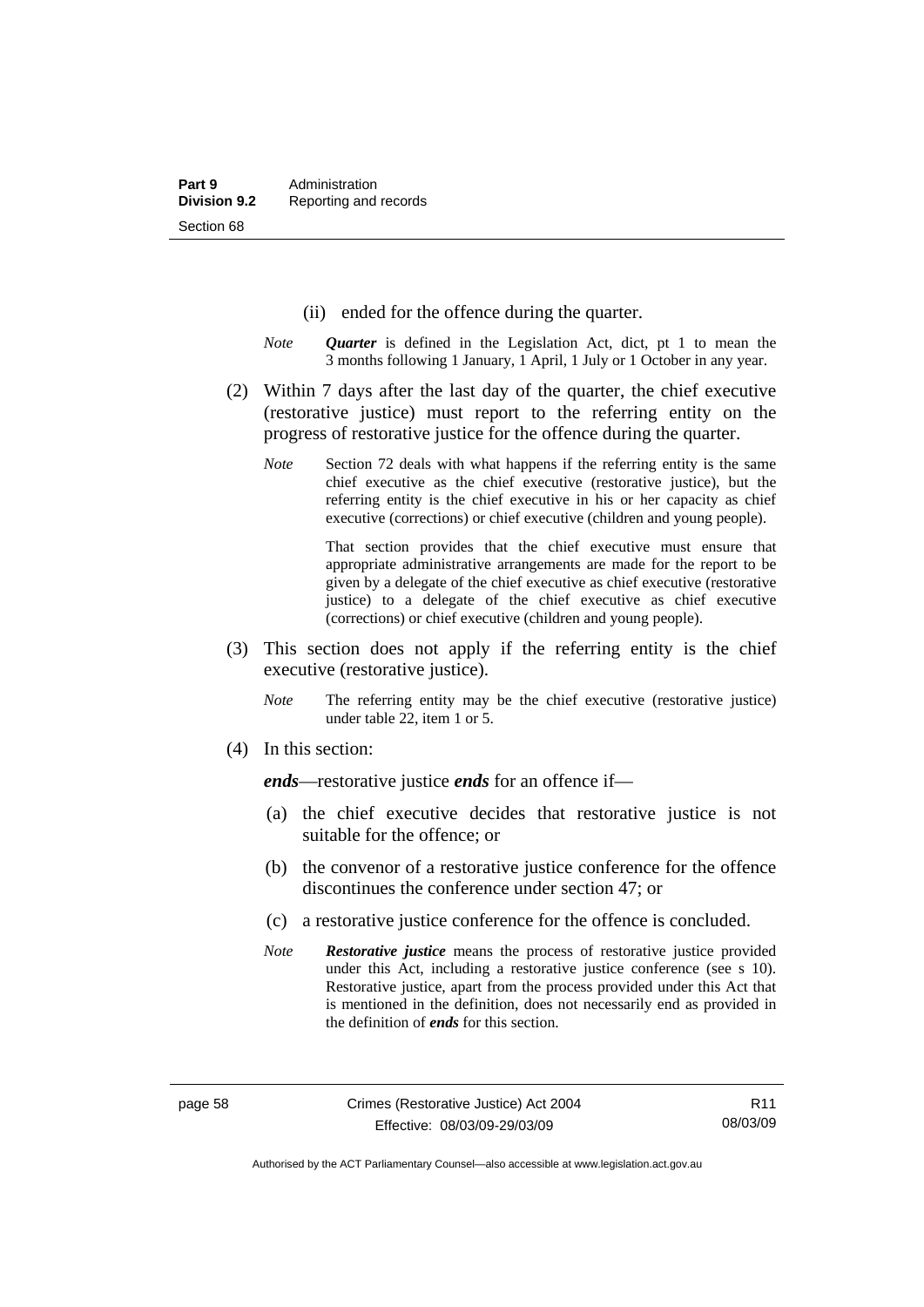- (ii) ended for the offence during the quarter.
- *Note Quarter* is defined in the Legislation Act, dict, pt 1 to mean the 3 months following 1 January, 1 April, 1 July or 1 October in any year.
- (2) Within 7 days after the last day of the quarter, the chief executive (restorative justice) must report to the referring entity on the progress of restorative justice for the offence during the quarter.
	- *Note* Section 72 deals with what happens if the referring entity is the same chief executive as the chief executive (restorative justice), but the referring entity is the chief executive in his or her capacity as chief executive (corrections) or chief executive (children and young people).

 That section provides that the chief executive must ensure that appropriate administrative arrangements are made for the report to be given by a delegate of the chief executive as chief executive (restorative justice) to a delegate of the chief executive as chief executive (corrections) or chief executive (children and young people).

- (3) This section does not apply if the referring entity is the chief executive (restorative justice).
	- *Note* The referring entity may be the chief executive (restorative justice) under table 22, item 1 or 5.
- (4) In this section:

*ends*—restorative justice *ends* for an offence if—

- (a) the chief executive decides that restorative justice is not suitable for the offence; or
- (b) the convenor of a restorative justice conference for the offence discontinues the conference under section 47; or
- (c) a restorative justice conference for the offence is concluded.
- *Note Restorative justice* means the process of restorative justice provided under this Act, including a restorative justice conference (see s 10). Restorative justice, apart from the process provided under this Act that is mentioned in the definition, does not necessarily end as provided in the definition of *ends* for this section.

Authorised by the ACT Parliamentary Counsel—also accessible at www.legislation.act.gov.au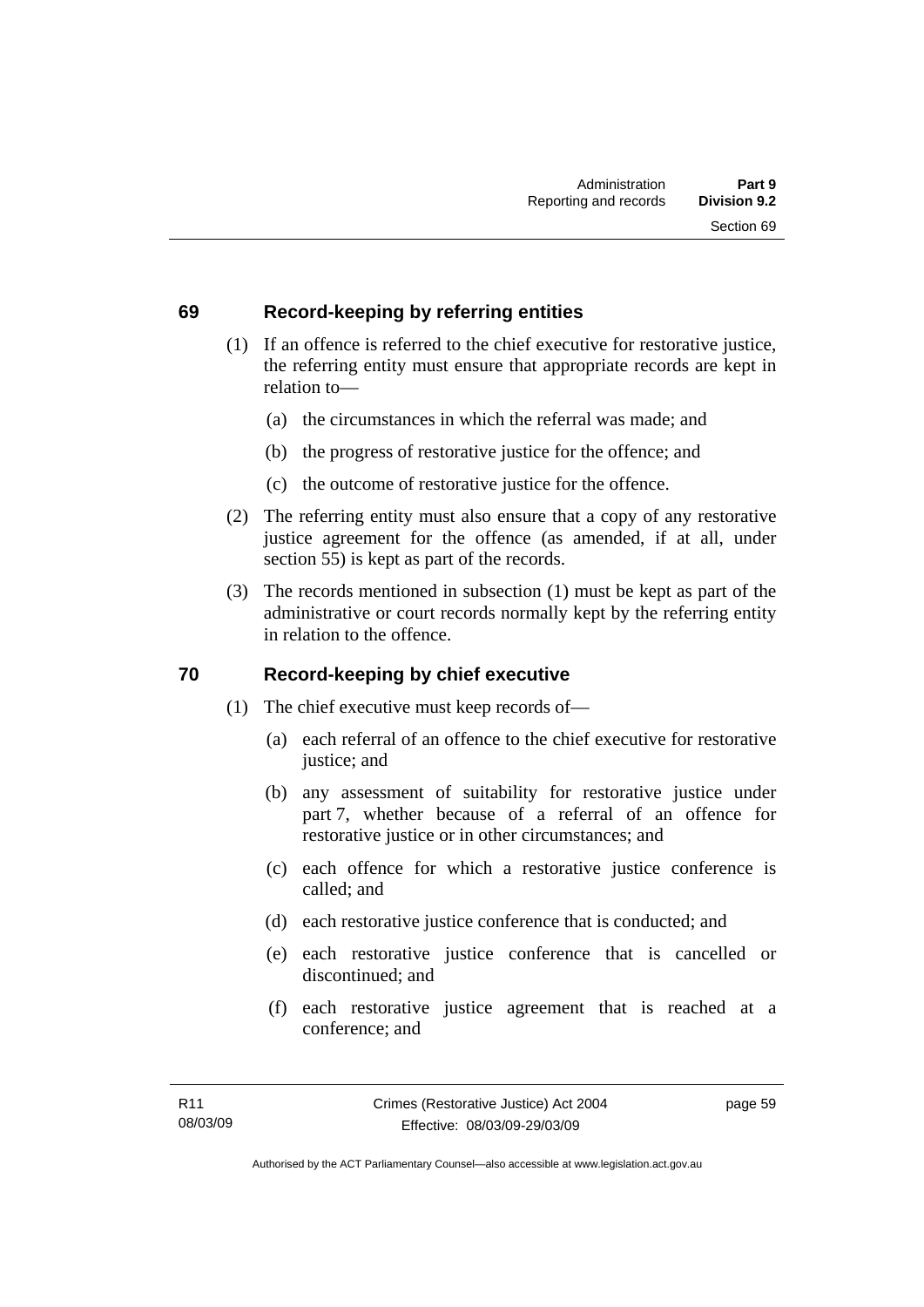## **69 Record-keeping by referring entities**

- (1) If an offence is referred to the chief executive for restorative justice, the referring entity must ensure that appropriate records are kept in relation to—
	- (a) the circumstances in which the referral was made; and
	- (b) the progress of restorative justice for the offence; and
	- (c) the outcome of restorative justice for the offence.
- (2) The referring entity must also ensure that a copy of any restorative justice agreement for the offence (as amended, if at all, under section 55) is kept as part of the records.
- (3) The records mentioned in subsection (1) must be kept as part of the administrative or court records normally kept by the referring entity in relation to the offence.

## **70 Record-keeping by chief executive**

- (1) The chief executive must keep records of—
	- (a) each referral of an offence to the chief executive for restorative justice; and
	- (b) any assessment of suitability for restorative justice under part 7, whether because of a referral of an offence for restorative justice or in other circumstances; and
	- (c) each offence for which a restorative justice conference is called; and
	- (d) each restorative justice conference that is conducted; and
	- (e) each restorative justice conference that is cancelled or discontinued; and
	- (f) each restorative justice agreement that is reached at a conference; and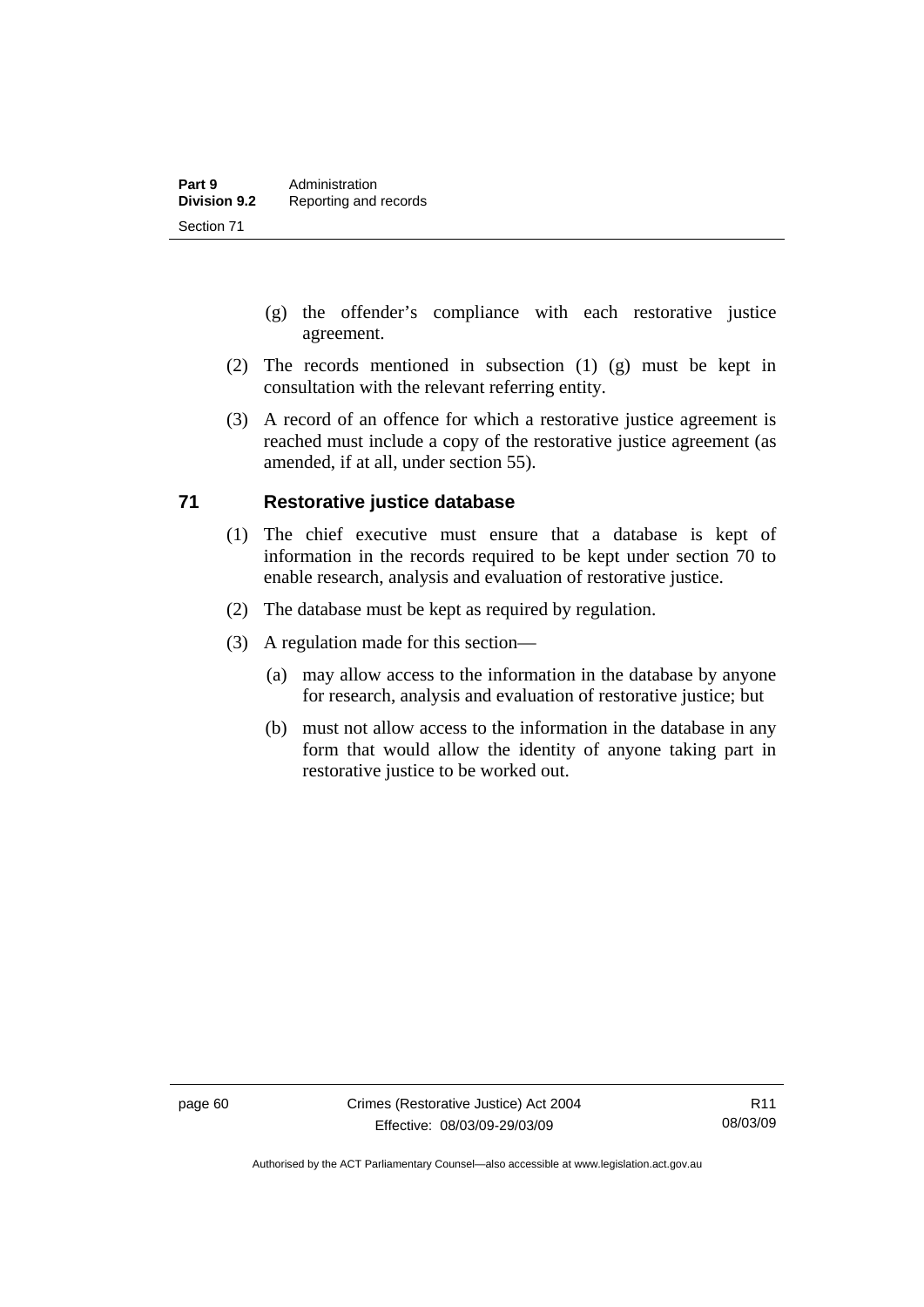- (g) the offender's compliance with each restorative justice agreement.
- (2) The records mentioned in subsection (1) (g) must be kept in consultation with the relevant referring entity.
- (3) A record of an offence for which a restorative justice agreement is reached must include a copy of the restorative justice agreement (as amended, if at all, under section 55).

## **71 Restorative justice database**

- (1) The chief executive must ensure that a database is kept of information in the records required to be kept under section 70 to enable research, analysis and evaluation of restorative justice.
- (2) The database must be kept as required by regulation.
- (3) A regulation made for this section—
	- (a) may allow access to the information in the database by anyone for research, analysis and evaluation of restorative justice; but
	- (b) must not allow access to the information in the database in any form that would allow the identity of anyone taking part in restorative justice to be worked out.

Authorised by the ACT Parliamentary Counsel—also accessible at www.legislation.act.gov.au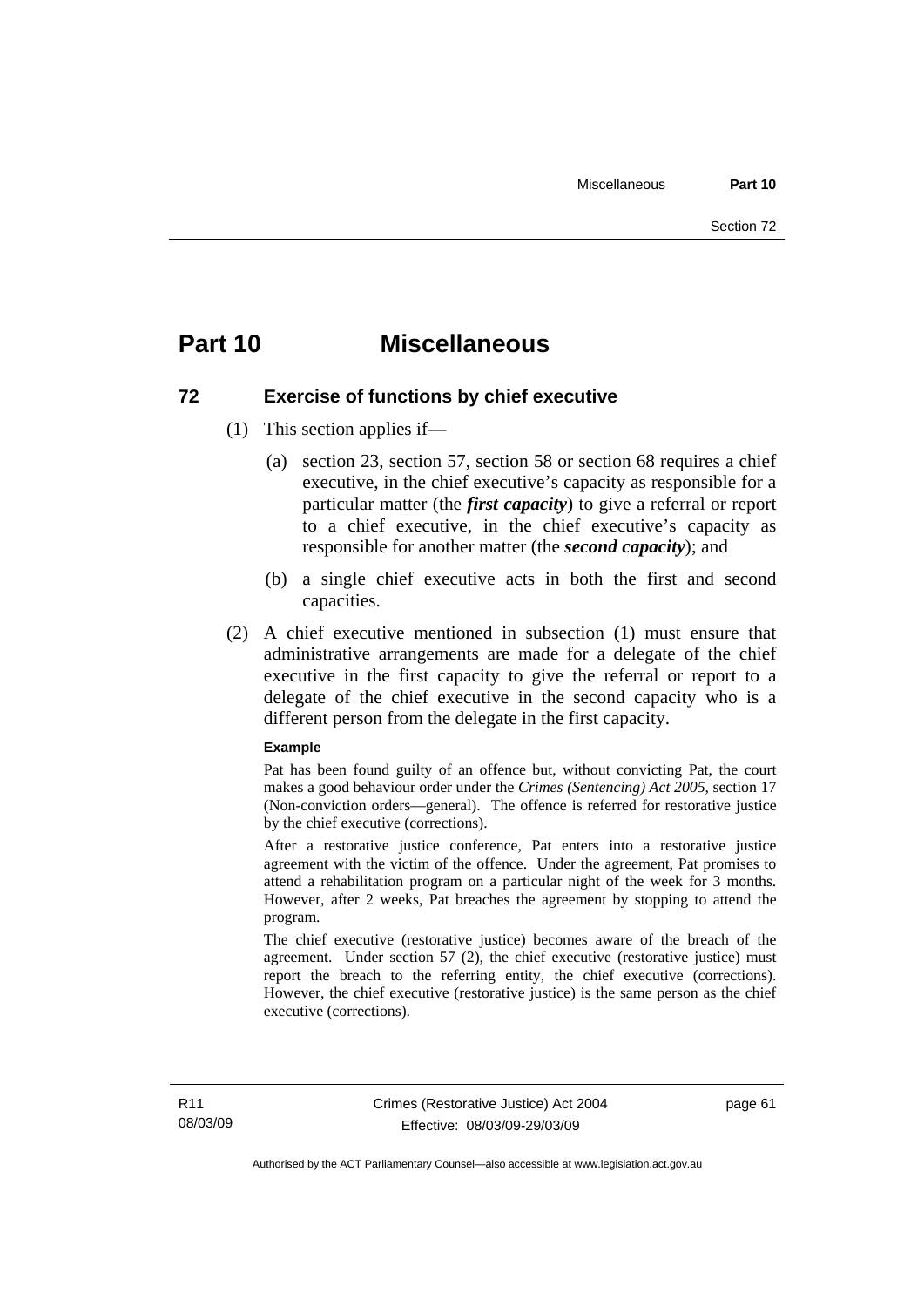## **Part 10 Miscellaneous**

## **72 Exercise of functions by chief executive**

- (1) This section applies if—
	- (a) section 23, section 57, section 58 or section 68 requires a chief executive, in the chief executive's capacity as responsible for a particular matter (the *first capacity*) to give a referral or report to a chief executive, in the chief executive's capacity as responsible for another matter (the *second capacity*); and
	- (b) a single chief executive acts in both the first and second capacities.
- (2) A chief executive mentioned in subsection (1) must ensure that administrative arrangements are made for a delegate of the chief executive in the first capacity to give the referral or report to a delegate of the chief executive in the second capacity who is a different person from the delegate in the first capacity.

#### **Example**

Pat has been found guilty of an offence but, without convicting Pat, the court makes a good behaviour order under the *Crimes (Sentencing) Act 2005*, section 17 (Non-conviction orders—general). The offence is referred for restorative justice by the chief executive (corrections).

After a restorative justice conference, Pat enters into a restorative justice agreement with the victim of the offence. Under the agreement, Pat promises to attend a rehabilitation program on a particular night of the week for 3 months. However, after 2 weeks, Pat breaches the agreement by stopping to attend the program.

The chief executive (restorative justice) becomes aware of the breach of the agreement. Under section 57 (2), the chief executive (restorative justice) must report the breach to the referring entity, the chief executive (corrections). However, the chief executive (restorative justice) is the same person as the chief executive (corrections).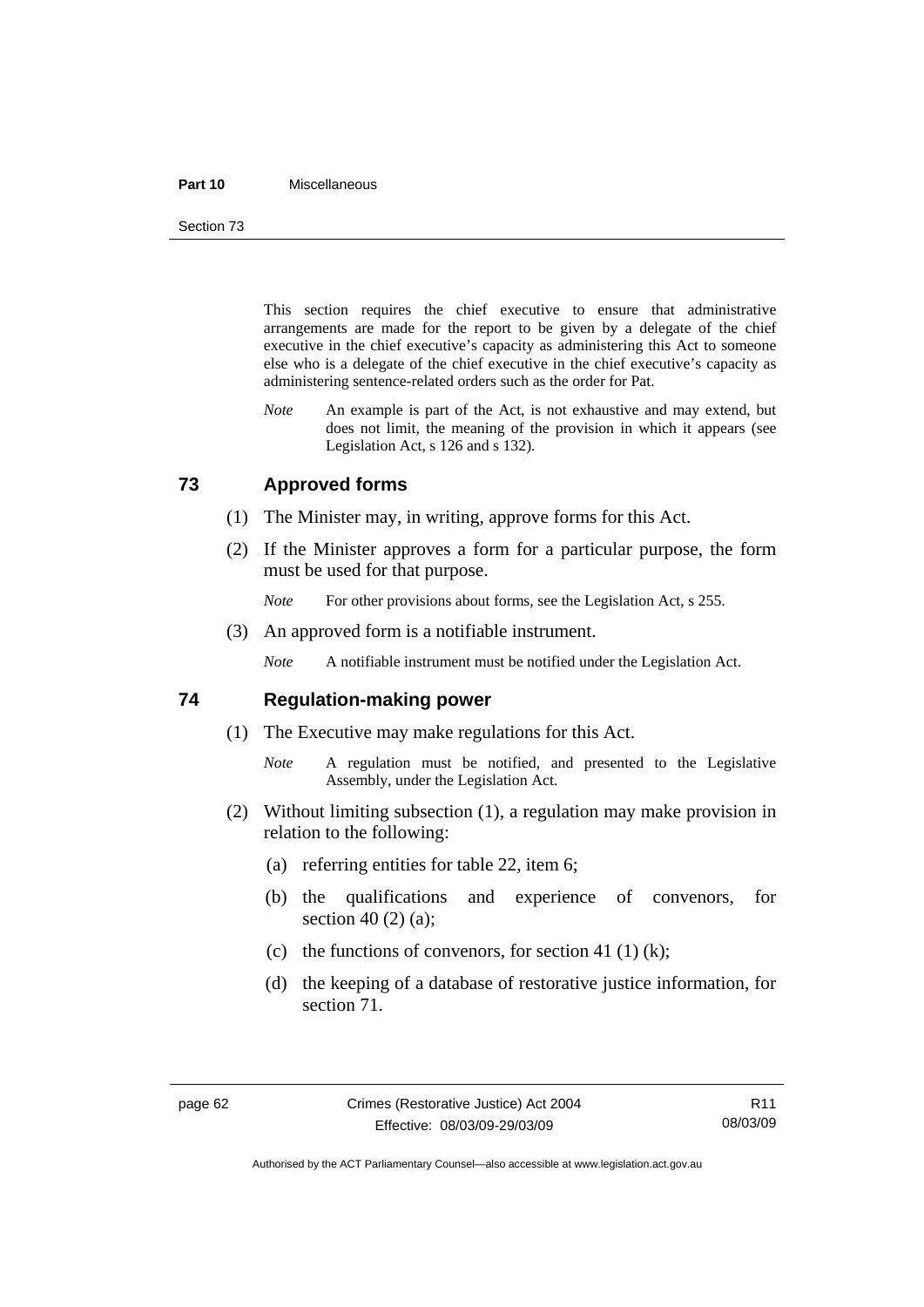#### **Part 10** Miscellaneous

Section 73

This section requires the chief executive to ensure that administrative arrangements are made for the report to be given by a delegate of the chief executive in the chief executive's capacity as administering this Act to someone else who is a delegate of the chief executive in the chief executive's capacity as administering sentence-related orders such as the order for Pat.

*Note* An example is part of the Act, is not exhaustive and may extend, but does not limit, the meaning of the provision in which it appears (see Legislation Act, s 126 and s 132).

## **73 Approved forms**

- (1) The Minister may, in writing, approve forms for this Act.
- (2) If the Minister approves a form for a particular purpose, the form must be used for that purpose.
	- *Note* For other provisions about forms, see the Legislation Act, s 255.
- (3) An approved form is a notifiable instrument.

*Note* A notifiable instrument must be notified under the Legislation Act.

### **74 Regulation-making power**

- (1) The Executive may make regulations for this Act.
	- *Note* A regulation must be notified, and presented to the Legislative Assembly, under the Legislation Act.
- (2) Without limiting subsection (1), a regulation may make provision in relation to the following:
	- (a) referring entities for table 22, item 6;
	- (b) the qualifications and experience of convenors, for section 40 (2) (a);
	- (c) the functions of convenors, for section 41 (1) (k);
	- (d) the keeping of a database of restorative justice information, for section 71.

Authorised by the ACT Parliamentary Counsel—also accessible at www.legislation.act.gov.au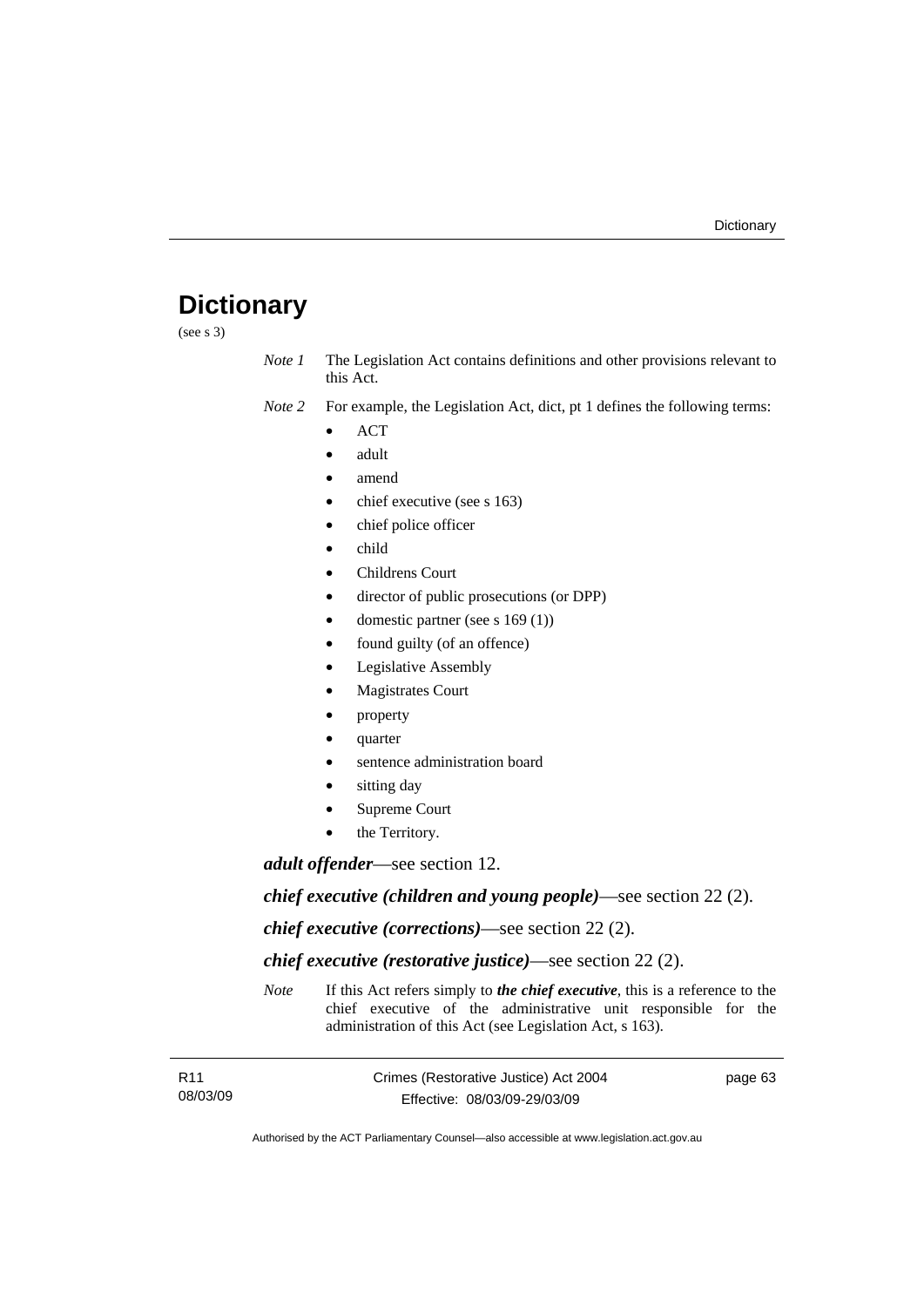# **Dictionary**

(see s 3)

*Note 1* The Legislation Act contains definitions and other provisions relevant to this Act.

*Note 2* For example, the Legislation Act, dict, pt 1 defines the following terms:

- ACT
- adult
- amend
- chief executive (see s 163)
- chief police officer
- child
- Childrens Court
- director of public prosecutions (or DPP)
- domestic partner (see s 169 (1))
- found guilty (of an offence)
- Legislative Assembly
- **Magistrates Court**
- property
- quarter
- sentence administration board
- sitting day
- Supreme Court
- the Territory.

*adult offender*—see section 12.

*chief executive (children and young people)*—see section 22 (2).

*chief executive (corrections)*—see section 22 (2).

*chief executive (restorative justice)*—see section 22 (2).

*Note* If this Act refers simply to *the chief executive*, this is a reference to the chief executive of the administrative unit responsible for the administration of this Act (see Legislation Act, s 163).

| R11      | Crimes (Restorative Justice) Act 2004 | page 63 |
|----------|---------------------------------------|---------|
| 08/03/09 | Effective: 08/03/09-29/03/09          |         |

Authorised by the ACT Parliamentary Counsel—also accessible at www.legislation.act.gov.au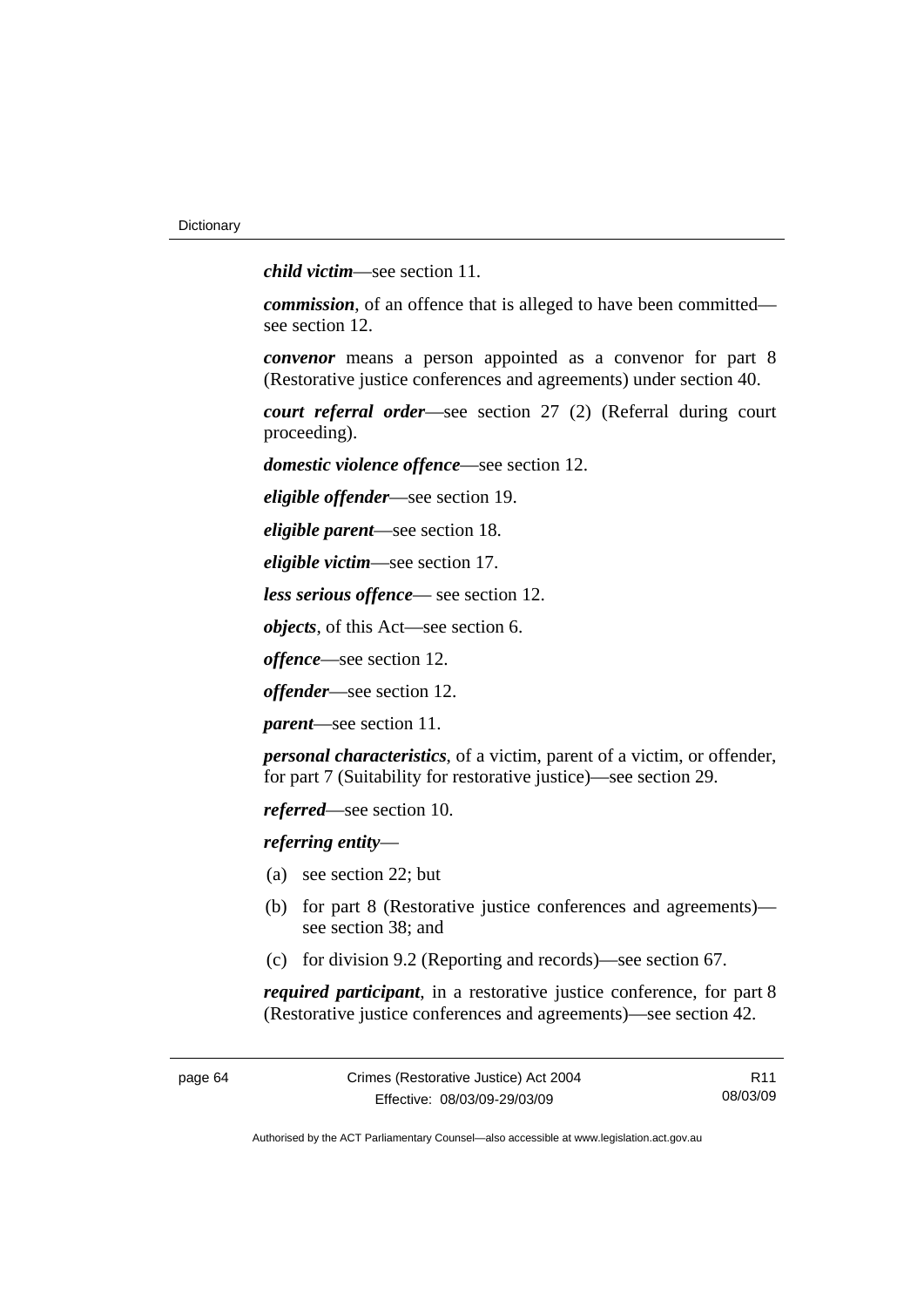*child victim*—see section 11.

*commission*, of an offence that is alleged to have been committed see section 12.

*convenor* means a person appointed as a convenor for part 8 (Restorative justice conferences and agreements) under section 40.

*court referral order*—see section 27 (2) (Referral during court proceeding).

*domestic violence offence*—see section 12.

*eligible offender*—see section 19.

*eligible parent*—see section 18.

*eligible victim*—see section 17.

*less serious offence*— see section 12.

*objects*, of this Act—see section 6.

*offence*—see section 12.

*offender*—see section 12.

*parent*—see section 11.

*personal characteristics*, of a victim, parent of a victim, or offender, for part 7 (Suitability for restorative justice)—see section 29.

*referred*—see section 10.

*referring entity*—

- (a) see section 22; but
- (b) for part 8 (Restorative justice conferences and agreements) see section 38; and
- (c) for division 9.2 (Reporting and records)—see section 67.

*required participant*, in a restorative justice conference, for part 8 (Restorative justice conferences and agreements)—see section 42.

page 64 Crimes (Restorative Justice) Act 2004 Effective: 08/03/09-29/03/09

R11 08/03/09

Authorised by the ACT Parliamentary Counsel—also accessible at www.legislation.act.gov.au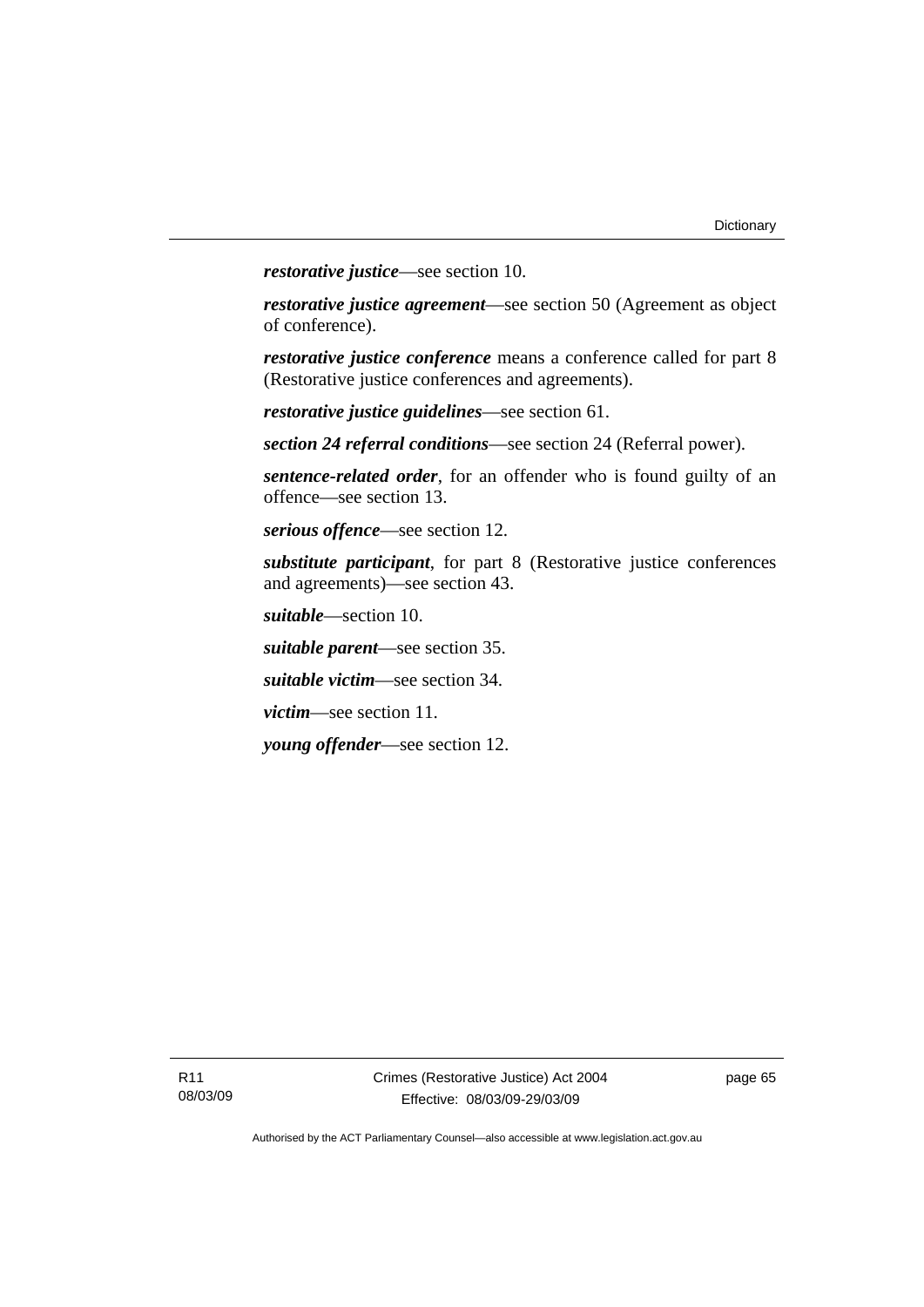*restorative justice*—see section 10.

*restorative justice agreement*—see section 50 (Agreement as object of conference).

*restorative justice conference* means a conference called for part 8 (Restorative justice conferences and agreements).

*restorative justice guidelines*—see section 61.

*section 24 referral conditions*—see section 24 (Referral power).

*sentence-related order*, for an offender who is found guilty of an offence—see section 13.

*serious offence*—see section 12.

*substitute participant*, for part 8 (Restorative justice conferences and agreements)—see section 43.

*suitable*—section 10.

*suitable parent*—see section 35.

*suitable victim*—see section 34.

*victim*—see section 11.

*young offender*—see section 12.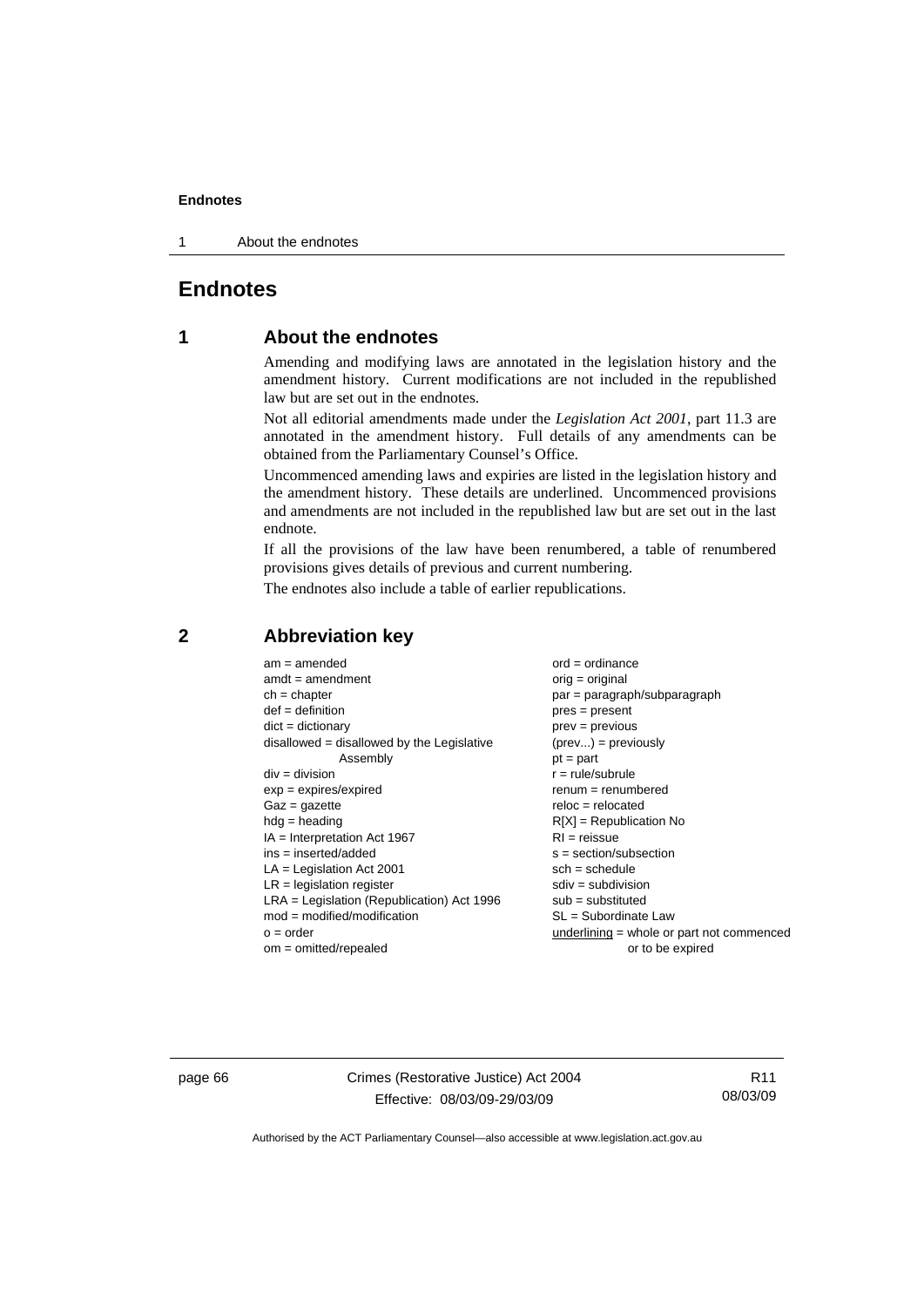1 About the endnotes

# **Endnotes**

# **1 About the endnotes**

Amending and modifying laws are annotated in the legislation history and the amendment history. Current modifications are not included in the republished law but are set out in the endnotes.

Not all editorial amendments made under the *Legislation Act 2001*, part 11.3 are annotated in the amendment history. Full details of any amendments can be obtained from the Parliamentary Counsel's Office.

Uncommenced amending laws and expiries are listed in the legislation history and the amendment history. These details are underlined. Uncommenced provisions and amendments are not included in the republished law but are set out in the last endnote.

If all the provisions of the law have been renumbered, a table of renumbered provisions gives details of previous and current numbering.

The endnotes also include a table of earlier republications.

| $am = amended$                               | $ord = ordinance$                           |  |  |
|----------------------------------------------|---------------------------------------------|--|--|
| $amdt = amendment$                           | $orig = original$                           |  |  |
| $ch = chapter$                               | $par = paragraph/subparagraph$              |  |  |
| $def = definition$                           | $pres = present$                            |  |  |
| $dict = dictionary$                          | $prev = previous$                           |  |  |
| disallowed = disallowed by the Legislative   | $(\text{prev}) = \text{previously}$         |  |  |
| Assembly                                     | $pt = part$                                 |  |  |
| $div = division$                             | $r = rule/subrule$                          |  |  |
| $exp = expires/expired$                      | $remum = renumbered$                        |  |  |
| $Gaz = gazette$                              | $reloc = relocated$                         |  |  |
| $hdg =$ heading                              | $R[X]$ = Republication No                   |  |  |
| $IA = Interpretation Act 1967$               | $RI = reissue$                              |  |  |
| $ins = inserted/added$                       | $s = section/subsection$                    |  |  |
| $LA =$ Legislation Act 2001                  | $sch = schedule$                            |  |  |
| $LR =$ legislation register                  | $sdiv = subdivision$                        |  |  |
| $LRA =$ Legislation (Republication) Act 1996 | $sub =$ substituted                         |  |  |
| $mod = modified/modification$                | SL = Subordinate Law                        |  |  |
| $o = order$                                  | underlining $=$ whole or part not commenced |  |  |
| $om = omitted/repealed$                      | or to be expired                            |  |  |
|                                              |                                             |  |  |

## **2 Abbreviation key**

page 66 Crimes (Restorative Justice) Act 2004 Effective: 08/03/09-29/03/09

R11 08/03/09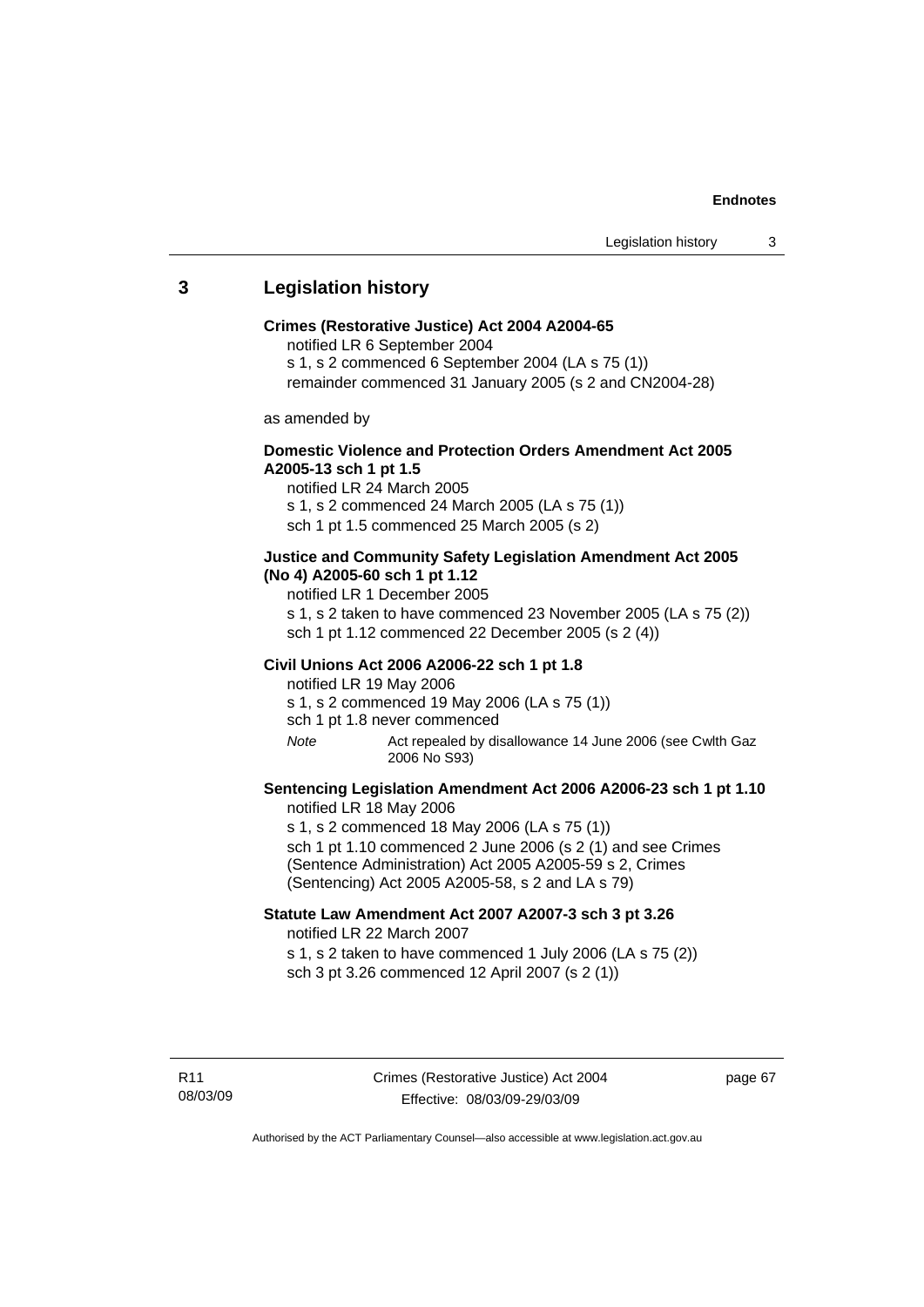## **3 Legislation history**

#### **Crimes (Restorative Justice) Act 2004 A2004-65**

notified LR 6 September 2004

s 1, s 2 commenced 6 September 2004 (LA s 75 (1))

remainder commenced 31 January 2005 (s 2 and CN2004-28)

as amended by

## **Domestic Violence and Protection Orders Amendment Act 2005 A2005-13 sch 1 pt 1.5**

notified LR 24 March 2005 s 1, s 2 commenced 24 March 2005 (LA s 75 (1)) sch 1 pt 1.5 commenced 25 March 2005 (s 2)

#### **Justice and Community Safety Legislation Amendment Act 2005 (No 4) A2005-60 sch 1 pt 1.12**

notified LR 1 December 2005

s 1, s 2 taken to have commenced 23 November 2005 (LA s 75 (2)) sch 1 pt 1.12 commenced 22 December 2005 (s 2 (4))

#### **Civil Unions Act 2006 A2006-22 sch 1 pt 1.8**

notified LR 19 May 2006 s 1, s 2 commenced 19 May 2006 (LA s 75 (1)) sch 1 pt 1.8 never commenced

*Note* Act repealed by disallowance 14 June 2006 (see Cwlth Gaz 2006 No S93)

## **Sentencing Legislation Amendment Act 2006 A2006-23 sch 1 pt 1.10**  notified LR 18 May 2006

s 1, s 2 commenced 18 May 2006 (LA s 75 (1)) sch 1 pt 1.10 commenced 2 June 2006 (s 2 (1) and see Crimes (Sentence Administration) Act 2005 A2005-59 s 2, Crimes (Sentencing) Act 2005 A2005-58, s 2 and LA s 79)

## **Statute Law Amendment Act 2007 A2007-3 sch 3 pt 3.26**  notified LR 22 March 2007

s 1, s 2 taken to have commenced 1 July 2006 (LA s 75 (2)) sch 3 pt 3.26 commenced 12 April 2007 (s 2 (1))

R11 08/03/09 page 67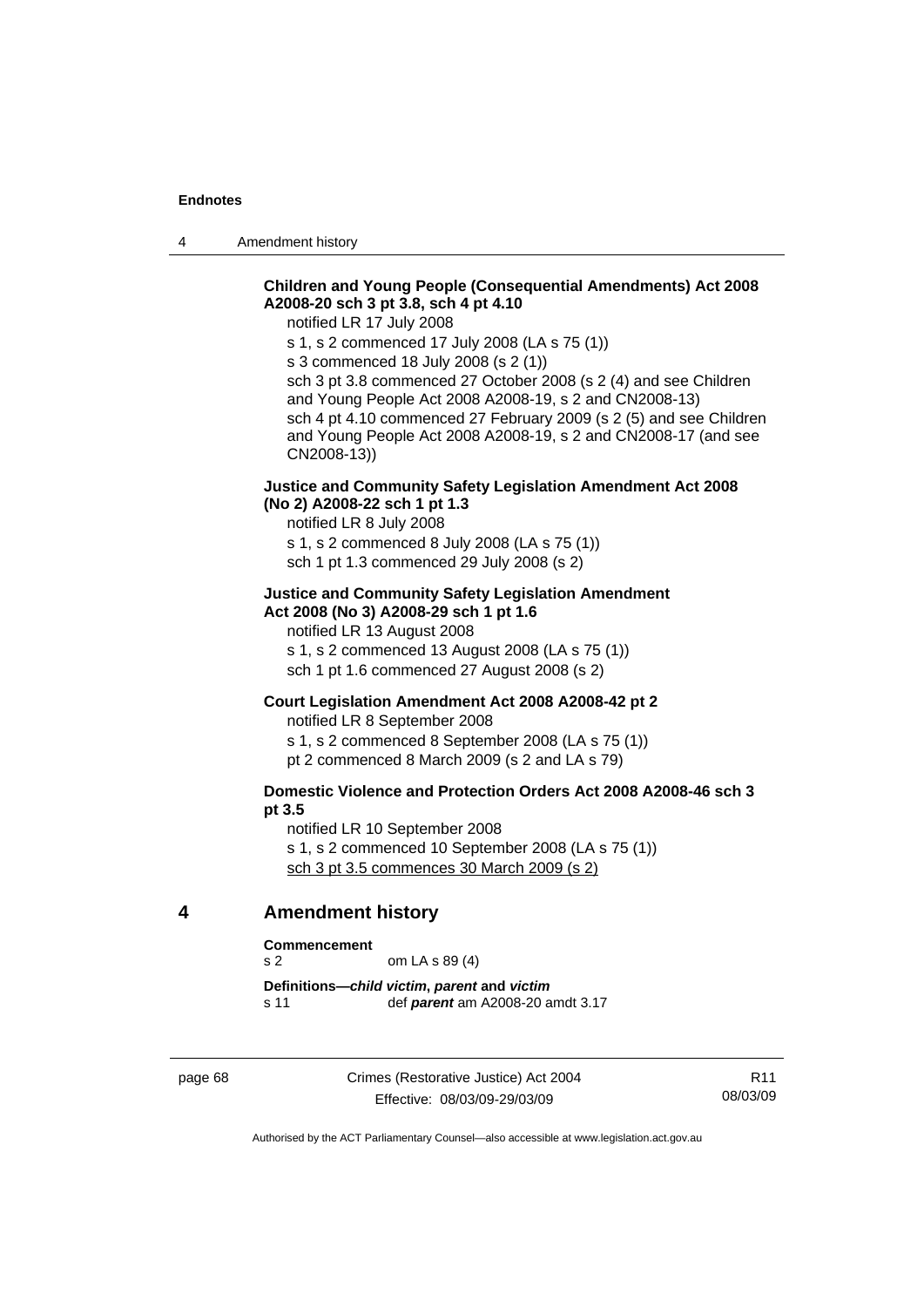4 Amendment history

## **Children and Young People (Consequential Amendments) Act 2008 A2008-20 sch 3 pt 3.8, sch 4 pt 4.10**

notified LR 17 July 2008

s 1, s 2 commenced 17 July 2008 (LA s 75 (1))

s 3 commenced 18 July 2008 (s 2 (1))

sch 3 pt 3.8 commenced 27 October 2008 (s 2 (4) and see Children and Young People Act 2008 A2008-19, s 2 and CN2008-13) sch 4 pt 4.10 commenced 27 February 2009 (s 2 (5) and see Children and Young People Act 2008 A2008-19, s 2 and CN2008-17 (and see CN2008-13))

## **Justice and Community Safety Legislation Amendment Act 2008 (No 2) A2008-22 sch 1 pt 1.3**

notified LR 8 July 2008

s 1, s 2 commenced 8 July 2008 (LA s 75 (1)) sch 1 pt 1.3 commenced 29 July 2008 (s 2)

## **Justice and Community Safety Legislation Amendment Act 2008 (No 3) A2008-29 sch 1 pt 1.6**

notified LR 13 August 2008

s 1, s 2 commenced 13 August 2008 (LA s 75 (1)) sch 1 pt 1.6 commenced 27 August 2008 (s 2)

#### **Court Legislation Amendment Act 2008 A2008-42 pt 2**

notified LR 8 September 2008

s 1, s 2 commenced 8 September 2008 (LA s 75 (1))

pt 2 commenced 8 March 2009 (s 2 and LA s 79)

## **Domestic Violence and Protection Orders Act 2008 A2008-46 sch 3 pt 3.5**

notified LR 10 September 2008 s 1, s 2 commenced 10 September 2008 (LA s 75 (1)) sch 3 pt 3.5 commences 30 March 2009 (s 2)

#### **4 Amendment history**

#### **Commencement**

s 2 om LA s 89 (4)

**Definitions—***child victim***,** *parent* **and** *victim* s 11 def *parent* am A2008-20 amdt 3.17

page 68 Crimes (Restorative Justice) Act 2004 Effective: 08/03/09-29/03/09

R11 08/03/09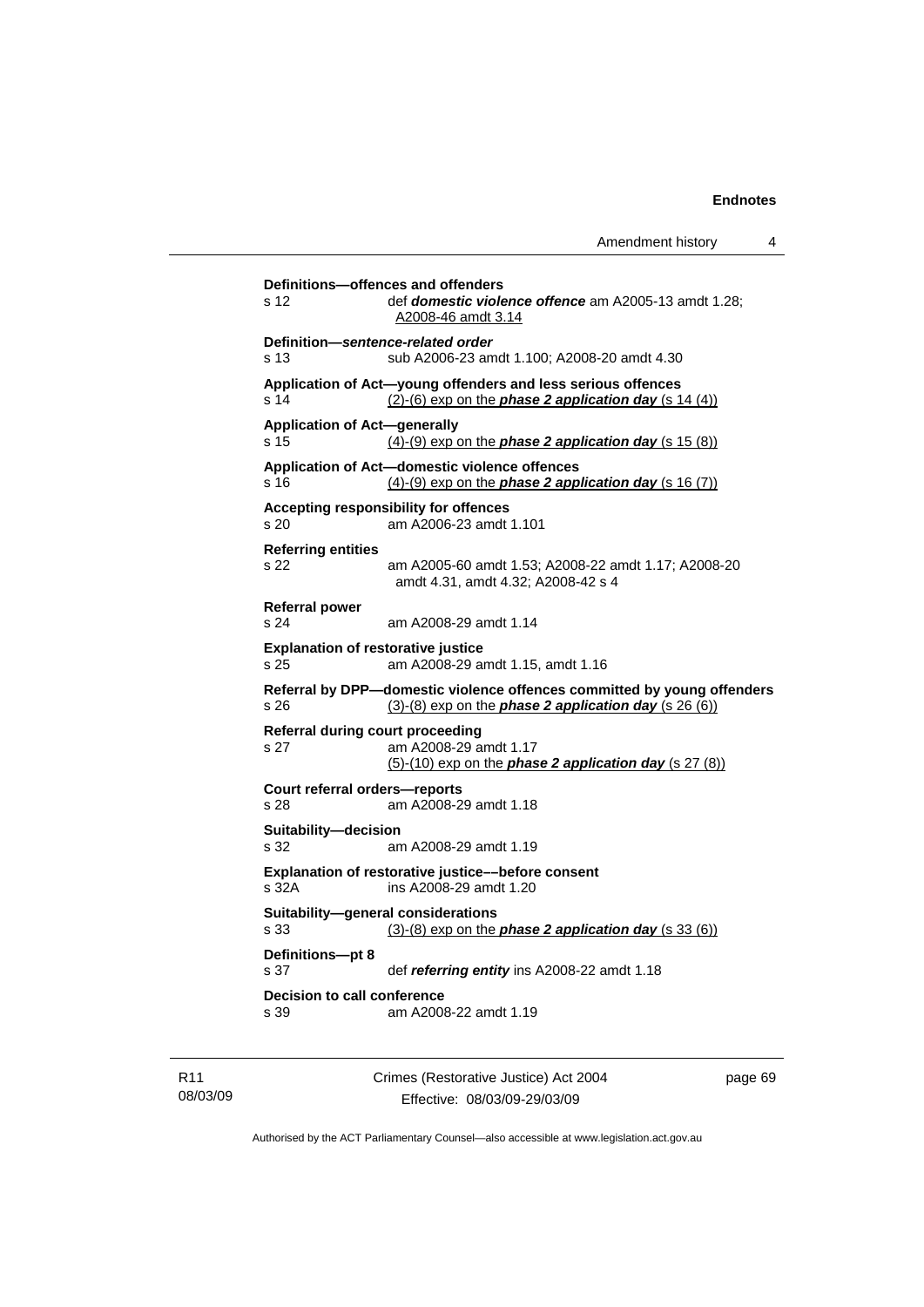Amendment history 4 **Definitions—offences and offenders**  s 12 def *domestic violence offence* am A2005-13 amdt 1.28; A2008-46 amdt 3.14 **Definition—***sentence-related order*  s 13 sub A2006-23 amdt 1.100; A2008-20 amdt 4.30 **Application of Act—young offenders and less serious offences**  s 14 (2)-(6) exp on the *phase 2 application day* (s 14 (4)) **Application of Act—generally**  s 15 (4)-(9) exp on the *phase 2 application day* (s 15 (8)) **Application of Act—domestic violence offences**  amdt 4.31, amdt 4.32; A2008-42 s 4 (5)-(10) exp on the *phase 2 application day* (s 27 (8))

s 16 (4)-(9) exp on the *phase 2 application day* (s 16 (7)) **Accepting responsibility for offences**  s 20 am A2006-23 amdt 1.101 **Referring entities**  s 22 am A2005-60 amdt 1.53; A2008-22 amdt 1.17; A2008-20 **Referral power**  s 24 am A2008-29 amdt 1.14 **Explanation of restorative justice**  s 25 am A2008-29 amdt 1.15, amdt 1.16 **Referral by DPP—domestic violence offences committed by young offenders**  s 26 (3)-(8) exp on the *phase 2 application day* (s 26 (6)) **Referral during court proceeding**  s 27 am A2008-29 amdt 1.17 **Court referral orders—reports**  s 28 am A2008-29 amdt 1.18 **Suitability—decision**  s 32 am A2008-29 amdt 1.19 **Explanation of restorative justice––before consent**  s 32A ins A2008-29 amdt 1.20 **Suitability—general considerations**  s 33 (3)-(8) exp on the *phase 2 application day* (s 33 (6)) **Definitions—pt 8**  s 37 def *referring entity* ins A2008-22 amdt 1.18 **Decision to call conference**  s 39 am A2008-22 amdt 1.19

R11 08/03/09 Crimes (Restorative Justice) Act 2004 Effective: 08/03/09-29/03/09 page 69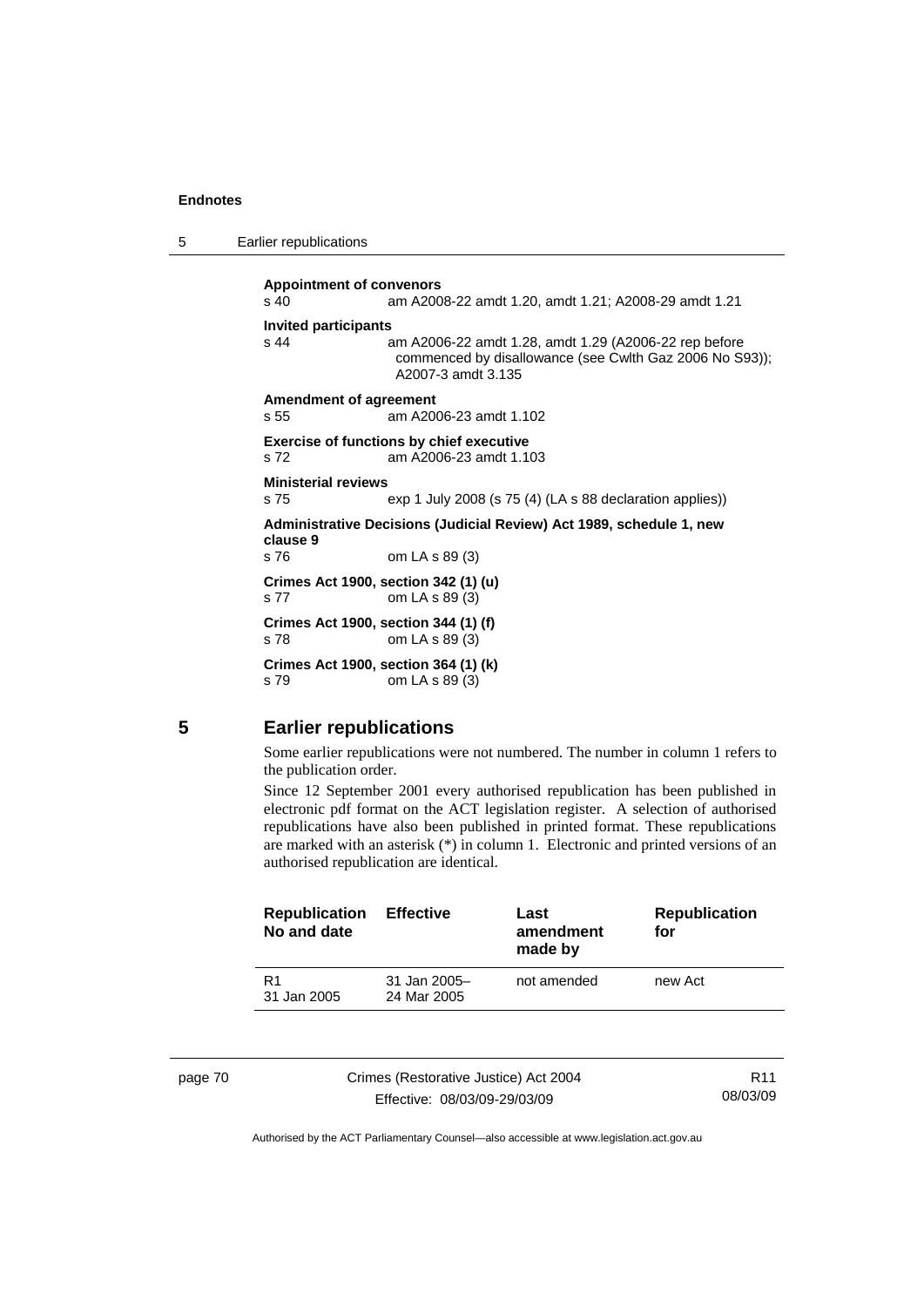| 5 | Earlier republications |
|---|------------------------|
|---|------------------------|

**Appointment of convenors**  s 40 am A2008-22 amdt 1.20, amdt 1.21; A2008-29 amdt 1.21 **Invited participants**  s 44 am A2006-22 amdt 1.28, amdt 1.29 (A2006-22 rep before commenced by disallowance (see Cwlth Gaz 2006 No S93)); A2007-3 amdt 3.135 **Amendment of agreement**  s 55 am A2006-23 amdt 1.102 **Exercise of functions by chief executive**  s 72 am A2006-23 amdt 1.103 **Ministerial reviews**  s 75 exp 1 July 2008 (s 75 (4) (LA s 88 declaration applies)) **Administrative Decisions (Judicial Review) Act 1989, schedule 1, new clause 9**  s 76 om LA s 89 (3) **Crimes Act 1900, section 342 (1) (u)**  s 77 om LA s 89 (3) **Crimes Act 1900, section 344 (1) (f)**  s 78 om LA s 89 (3) **Crimes Act 1900, section 364 (1) (k)**  s 79 om LA s 89 (3)

## **5 Earlier republications**

Some earlier republications were not numbered. The number in column 1 refers to the publication order.

Since 12 September 2001 every authorised republication has been published in electronic pdf format on the ACT legislation register. A selection of authorised republications have also been published in printed format. These republications are marked with an asterisk (\*) in column 1. Electronic and printed versions of an authorised republication are identical.

| <b>Republication</b><br>No and date | <b>Effective</b>              | Last<br>amendment<br>made by | <b>Republication</b><br>for |
|-------------------------------------|-------------------------------|------------------------------|-----------------------------|
| R <sub>1</sub><br>31 Jan 2005       | $31$ Jan 2005-<br>24 Mar 2005 | not amended                  | new Act                     |
|                                     |                               |                              |                             |

| page ru |  |
|---------|--|
|---------|--|

page 70 Crimes (Restorative Justice) Act 2004 Effective: 08/03/09-29/03/09

R11 08/03/09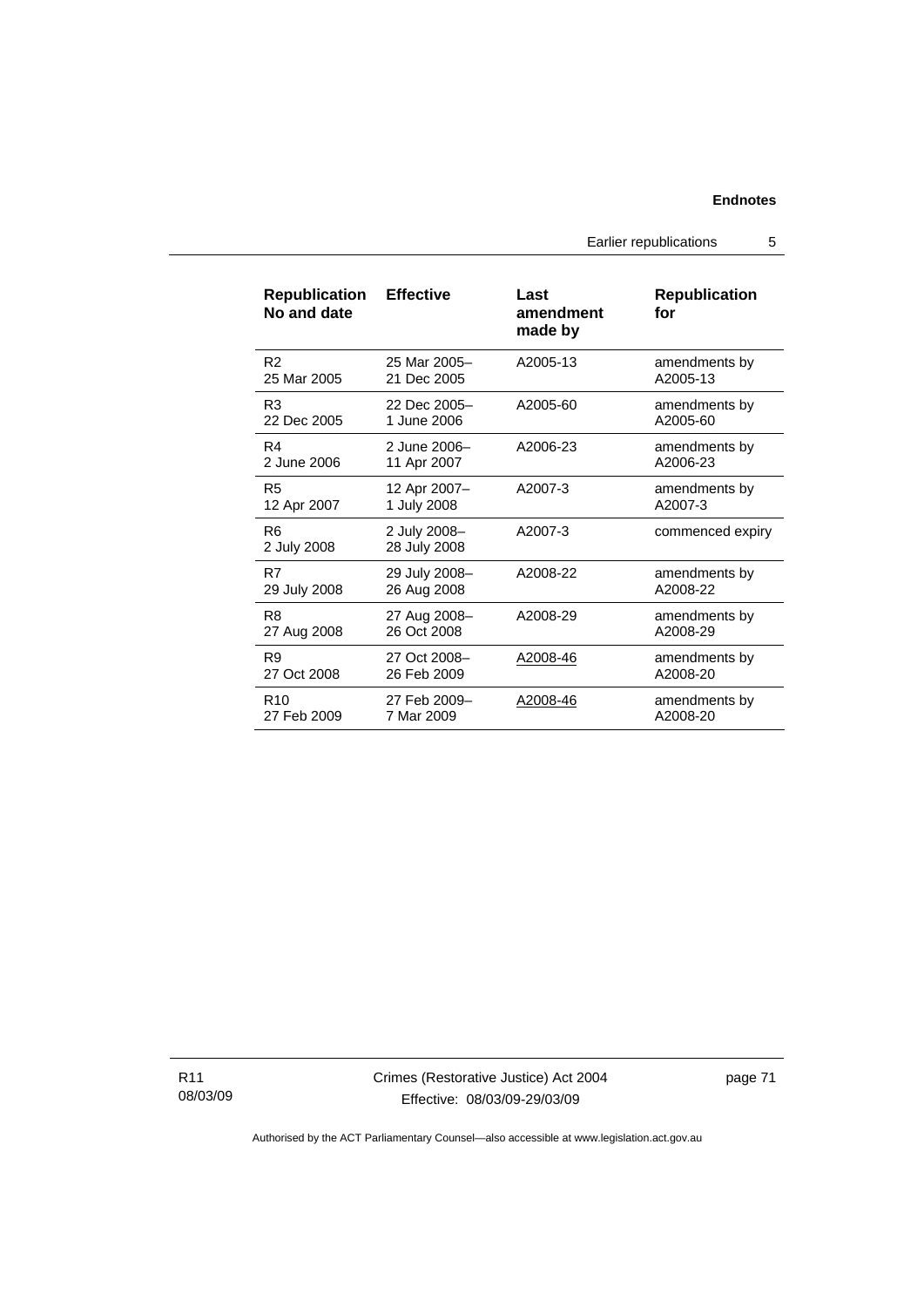Earlier republications 5

| <b>Republication</b><br>No and date | <b>Effective</b>             | Last<br>amendment<br>made by | <b>Republication</b><br>for |
|-------------------------------------|------------------------------|------------------------------|-----------------------------|
| R <sub>2</sub>                      | 25 Mar 2005-                 | A2005-13                     | amendments by               |
| 25 Mar 2005                         | 21 Dec 2005                  |                              | A2005-13                    |
| R <sub>3</sub>                      | 22 Dec 2005-                 | A2005-60                     | amendments by               |
| 22 Dec 2005                         | 1 June 2006                  |                              | A2005-60                    |
| R <sub>4</sub>                      | 2 June 2006-                 | A2006-23                     | amendments by               |
| 2 June 2006                         | 11 Apr 2007                  |                              | A2006-23                    |
| R <sub>5</sub>                      | 12 Apr 2007-                 | A2007-3                      | amendments by               |
| 12 Apr 2007                         | 1 July 2008                  |                              | A2007-3                     |
| R <sub>6</sub><br>2 July 2008       | 2 July 2008-<br>28 July 2008 | A2007-3                      | commenced expiry            |
| R7                                  | 29 July 2008-                | A2008-22                     | amendments by               |
| 29 July 2008                        | 26 Aug 2008                  |                              | A2008-22                    |
| R8                                  | 27 Aug 2008-                 | A2008-29                     | amendments by               |
| 27 Aug 2008                         | 26 Oct 2008                  |                              | A2008-29                    |
| R <sub>9</sub>                      | 27 Oct 2008-                 | A2008-46                     | amendments by               |
| 27 Oct 2008                         | 26 Feb 2009                  |                              | A2008-20                    |
| R <sub>10</sub>                     | 27 Feb 2009-                 | A2008-46                     | amendments by               |
| 27 Feb 2009                         | 7 Mar 2009                   |                              | A2008-20                    |

R11 08/03/09 page 71